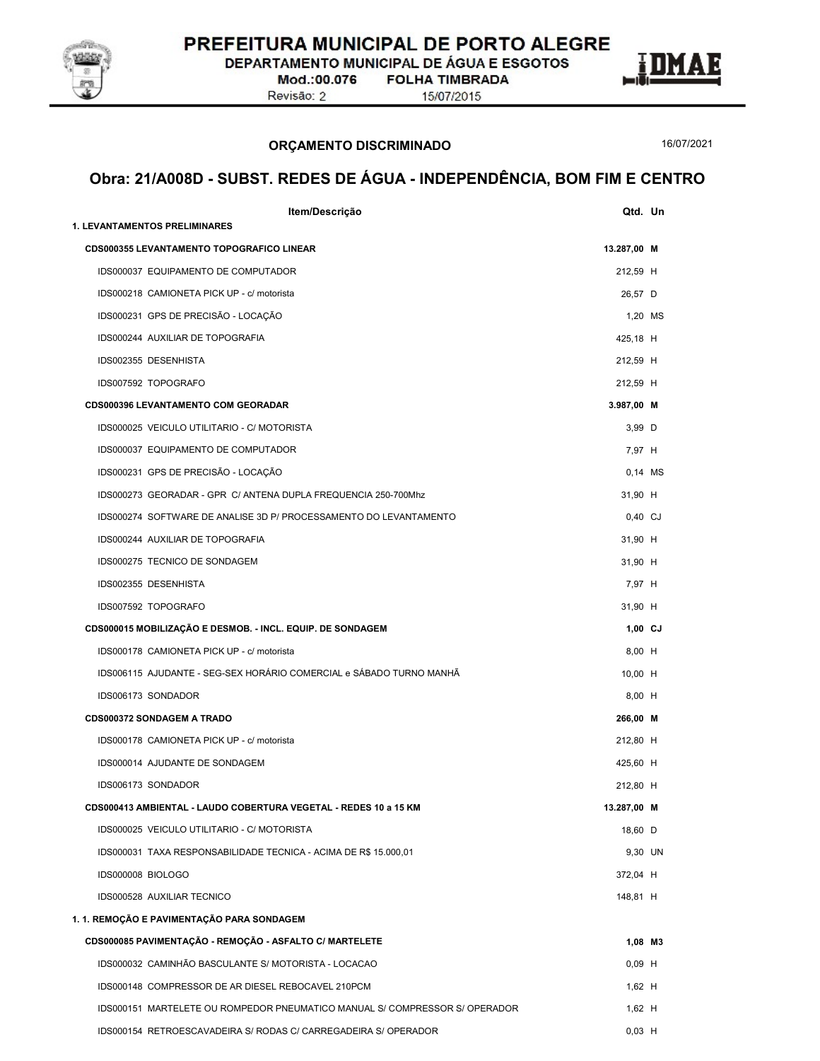

DEPARTAMENTO MUNICIPAL DE ÁGUA E ESGOTOS

Mod.:00.076 Revisão: 2

**FOLHA TIMBRADA** 15/07/2015



16/07/2021

E

| Item/Descrição                                                              | Qtd. Un     |
|-----------------------------------------------------------------------------|-------------|
| <b>1. LEVANTAMENTOS PRELIMINARES</b>                                        |             |
| <b>CDS000355 LEVANTAMENTO TOPOGRAFICO LINEAR</b>                            | 13.287,00 M |
| IDS000037 EQUIPAMENTO DE COMPUTADOR                                         | 212,59 H    |
| IDS000218 CAMIONETA PICK UP - c/ motorista                                  | 26,57 D     |
| IDS000231 GPS DE PRECISÃO - LOCAÇÃO                                         | 1,20 MS     |
| IDS000244 AUXILIAR DE TOPOGRAFIA                                            | 425,18 H    |
| IDS002355 DESENHISTA                                                        | 212,59 H    |
| IDS007592 TOPOGRAFO                                                         | 212,59 H    |
| <b>CDS000396 LEVANTAMENTO COM GEORADAR</b>                                  | 3.987,00 M  |
| IDS000025 VEICULO UTILITARIO - C/ MOTORISTA                                 | 3,99 D      |
| IDS000037 EQUIPAMENTO DE COMPUTADOR                                         | 7,97 H      |
| IDS000231 GPS DE PRECISÃO - LOCAÇÃO                                         | $0,14$ MS   |
| IDS000273 GEORADAR - GPR C/ ANTENA DUPLA FREQUENCIA 250-700Mhz              | 31,90 H     |
| IDS000274 SOFTWARE DE ANALISE 3D P/ PROCESSAMENTO DO LEVANTAMENTO           | $0,40$ CJ   |
| IDS000244 AUXILIAR DE TOPOGRAFIA                                            | 31,90 H     |
| IDS000275 TECNICO DE SONDAGEM                                               | 31,90 H     |
| IDS002355 DESENHISTA                                                        | 7,97 H      |
| IDS007592 TOPOGRAFO                                                         | 31,90 H     |
| CDS000015 MOBILIZAÇÃO E DESMOB. - INCL. EQUIP. DE SONDAGEM                  | $1,00$ CJ   |
| IDS000178 CAMIONETA PICK UP - c/ motorista                                  | 8,00 H      |
| IDS006115 AJUDANTE - SEG-SEX HORÁRIO COMERCIAL e SÁBADO TURNO MANHÃ         | 10,00 H     |
| IDS006173 SONDADOR                                                          | 8,00 H      |
| CDS000372 SONDAGEM A TRADO                                                  | 266,00 M    |
| IDS000178 CAMIONETA PICK UP - c/ motorista                                  | 212,80 H    |
| IDS000014 AJUDANTE DE SONDAGEM                                              | 425,60 H    |
| IDS006173 SONDADOR                                                          | 212,80 H    |
| CDS000413 AMBIENTAL - LAUDO COBERTURA VEGETAL - REDES 10 a 15 KM            | 13.287,00 M |
| IDS000025 VEICULO UTILITARIO - C/ MOTORISTA                                 | 18,60 D     |
| IDS000031 TAXA RESPONSABILIDADE TECNICA - ACIMA DE R\$ 15.000,01            | 9,30 UN     |
| IDS000008 BIOLOGO                                                           | 372,04 H    |
| IDS000528 AUXILIAR TECNICO                                                  | 148,81 H    |
| 1. 1. REMOÇÃO E PAVIMENTAÇÃO PARA SONDAGEM                                  |             |
| CDS000085 PAVIMENTAÇÃO - REMOÇÃO - ASFALTO C/ MARTELETE                     | 1,08 M3     |
| IDS000032 CAMINHÃO BASCULANTE S/ MOTORISTA - LOCACAO                        | $0,09$ H    |
| IDS000148 COMPRESSOR DE AR DIESEL REBOCAVEL 210PCM                          | $1,62$ H    |
| IDS000151 MARTELETE OU ROMPEDOR PNEUMATICO MANUAL S/ COMPRESSOR S/ OPERADOR | $1,62$ H    |
| IDS000154 RETROESCAVADEIRA S/ RODAS C/ CARREGADEIRA S/ OPERADOR             | $0,03$ H    |
|                                                                             |             |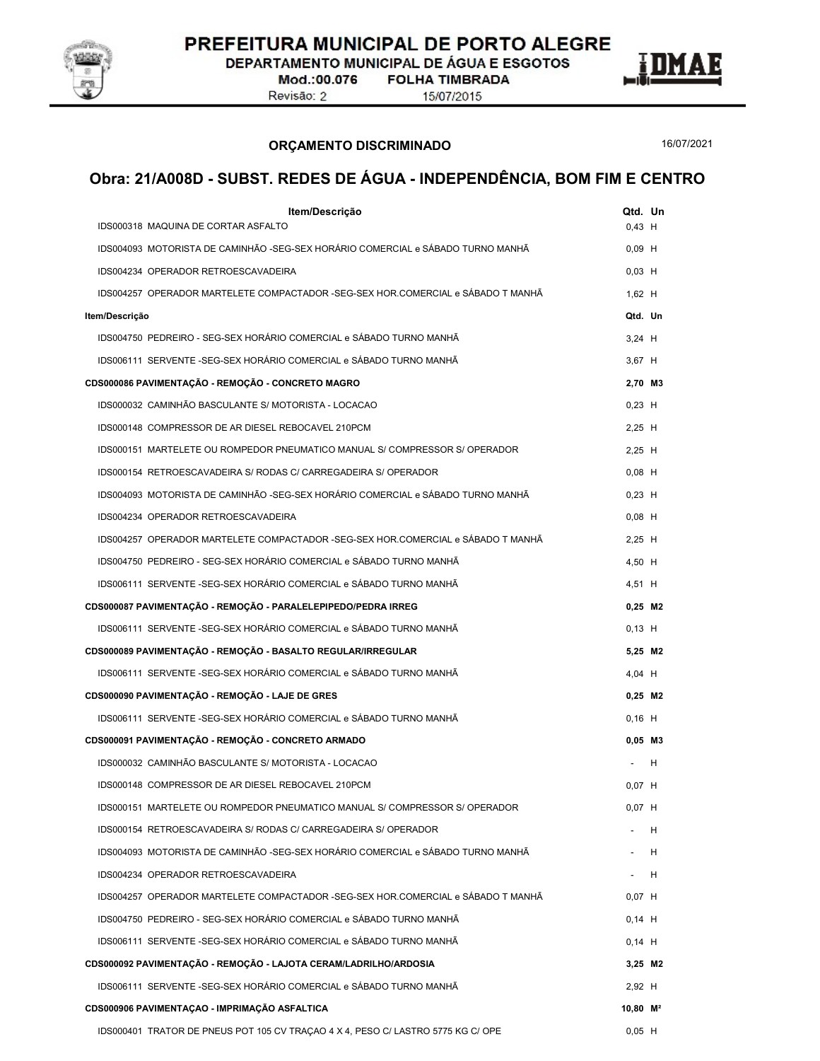

DEPARTAMENTO MUNICIPAL DE ÁGUA E ESGOTOS

Mod.:00.076 Revisão: 2

**FOLHA TIMBRADA** 15/07/2015

ORÇAMENTO DISCRIMINADO

16/07/2021

| Item/Descrição<br>IDS000318 MAQUINA DE CORTAR ASFALTO                            | Qtd. Un                |           |
|----------------------------------------------------------------------------------|------------------------|-----------|
|                                                                                  | $0,43$ H               |           |
| IDS004093 MOTORISTA DE CAMINHÃO -SEG-SEX HORÁRIO COMERCIAL e SÁBADO TURNO MANHÃ  | $0,09$ H               |           |
| IDS004234 OPERADOR RETROESCAVADEIRA                                              | $0,03$ H               |           |
| IDS004257 OPERADOR MARTELETE COMPACTADOR -SEG-SEX HOR.COMERCIAL e SÁBADO T MANHÃ | $1,62$ H               |           |
| Item/Descrição                                                                   |                        | Qtd. Un   |
| IDS004750 PEDREIRO - SEG-SEX HORÁRIO COMERCIAL e SÁBADO TURNO MANHÃ              | $3,24$ H               |           |
| IDS006111 SERVENTE -SEG-SEX HORÁRIO COMERCIAL e SÁBADO TURNO MANHÃ               | 3,67 H                 |           |
| CDS000086 PAVIMENTAÇÃO - REMOÇÃO - CONCRETO MAGRO                                |                        | 2,70 M3   |
| IDS000032 CAMINHÃO BASCULANTE S/ MOTORISTA - LOCACAO                             | $0,23$ H               |           |
| IDS000148 COMPRESSOR DE AR DIESEL REBOCAVEL 210PCM                               | $2,25$ H               |           |
| IDS000151 MARTELETE OU ROMPEDOR PNEUMATICO MANUAL S/ COMPRESSOR S/ OPERADOR      | $2,25$ H               |           |
| IDS000154 RETROESCAVADEIRA S/ RODAS C/ CARREGADEIRA S/ OPERADOR                  | $0,08$ H               |           |
| IDS004093 MOTORISTA DE CAMINHÃO -SEG-SEX HORÁRIO COMERCIAL e SÁBADO TURNO MANHÃ  | $0,23$ H               |           |
| IDS004234 OPERADOR RETROESCAVADEIRA                                              | $0,08$ H               |           |
| IDS004257 OPERADOR MARTELETE COMPACTADOR -SEG-SEX HOR.COMERCIAL e SÁBADO T MANHÃ | $2,25$ H               |           |
| IDS004750 PEDREIRO - SEG-SEX HORÁRIO COMERCIAL e SÁBADO TURNO MANHÃ              | 4,50 H                 |           |
| IDS006111 SERVENTE -SEG-SEX HORÁRIO COMERCIAL e SÁBADO TURNO MANHÃ               | 4,51 H                 |           |
| CDS000087 PAVIMENTAÇÃO - REMOÇÃO - PARALELEPIPEDO/PEDRA IRREG                    |                        | $0,25$ M2 |
| IDS006111 SERVENTE -SEG-SEX HORÁRIO COMERCIAL e SÁBADO TURNO MANHÃ               | $0,13$ H               |           |
| CDS000089 PAVIMENTAÇÃO - REMOÇÃO - BASALTO REGULAR/IRREGULAR                     |                        | 5,25 M2   |
| IDS006111 SERVENTE -SEG-SEX HORÁRIO COMERCIAL e SÁBADO TURNO MANHÃ               | $4,04$ H               |           |
| CDS000090 PAVIMENTAÇÃO - REMOÇÃO - LAJE DE GRES                                  |                        | $0,25$ M2 |
| IDS006111 SERVENTE -SEG-SEX HORÁRIO COMERCIAL e SÁBADO TURNO MANHÃ               | $0,16$ H               |           |
| CDS000091 PAVIMENTAÇÃO - REMOÇÃO - CONCRETO ARMADO                               |                        | $0,05$ M3 |
| IDS000032 CAMINHÃO BASCULANTE S/ MOTORISTA - LOCACAO                             |                        | Н         |
| IDS000148 COMPRESSOR DE AR DIESEL REBOCAVEL 210PCM                               | $0,07$ H               |           |
| IDS000151_MARTELETE OU ROMPEDOR PNEUMATICO MANUAL S/ COMPRESSOR S/ OPERADOR      | $0,07$ H               |           |
| IDS000154 RETROESCAVADEIRA S/ RODAS C/ CARREGADEIRA S/ OPERADOR                  |                        | H         |
| IDS004093 MOTORISTA DE CAMINHÃO -SEG-SEX HORÁRIO COMERCIAL e SÁBADO TURNO MANHÃ  |                        | н         |
| IDS004234 OPERADOR RETROESCAVADEIRA                                              |                        | H         |
| IDS004257 OPERADOR MARTELETE COMPACTADOR -SEG-SEX HOR.COMERCIAL e SÁBADO T MANHÃ | $0,07$ H               |           |
| IDS004750 PEDREIRO - SEG-SEX HORÁRIO COMERCIAL e SÁBADO TURNO MANHÃ              | $0,14$ H               |           |
| IDS006111 SERVENTE -SEG-SEX HORÁRIO COMERCIAL e SÁBADO TURNO MANHÃ               | $0,14$ H               |           |
| CDS000092 PAVIMENTAÇÃO - REMOÇÃO - LAJOTA CERAM/LADRILHO/ARDOSIA                 |                        | $3,25$ M2 |
| IDS006111 SERVENTE -SEG-SEX HORÁRIO COMERCIAL e SÁBADO TURNO MANHÃ               | 2,92 H                 |           |
| CDS000906 PAVIMENTAÇÃO - IMPRIMAÇÃO ASFALTICA                                    | $10,80$ M <sup>2</sup> |           |
| IDS000401 TRATOR DE PNEUS POT 105 CV TRAÇÃO 4 X 4, PESO C/ LASTRO 5775 KG C/ OPE | $0,05$ H               |           |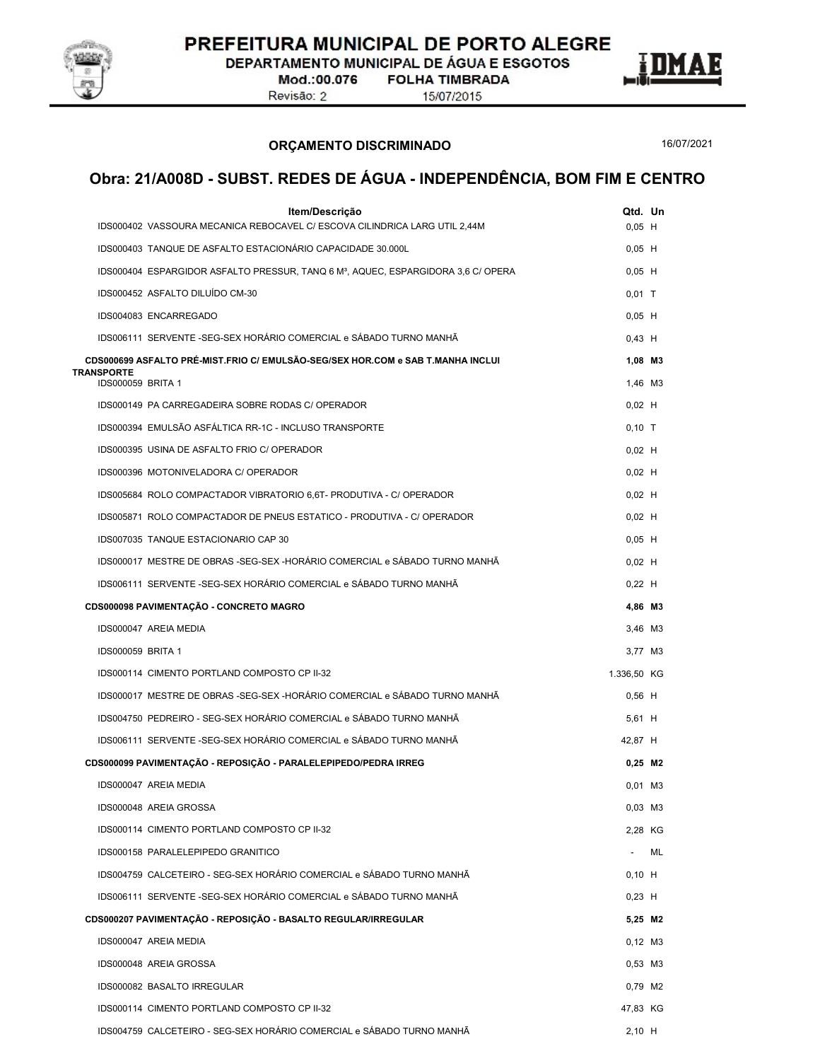

DEPARTAMENTO MUNICIPAL DE ÁGUA E ESGOTOS

Mod.:00.076 Revisão: 2

**FOLHA TIMBRADA** 15/07/2015





ORÇAMENTO DISCRIMINADO

16/07/2021

| Item/Descrição                                                                                | Qtd. Un     |      |  |
|-----------------------------------------------------------------------------------------------|-------------|------|--|
| IDS000402 VASSOURA MECANICA REBOCAVEL C/ ESCOVA CILINDRICA LARG UTIL 2,44M                    | $0,05$ H    |      |  |
| IDS000403 TANQUE DE ASFALTO ESTACIONÁRIO CAPACIDADE 30.000L                                   | $0,05$ H    |      |  |
| IDS000404 ESPARGIDOR ASFALTO PRESSUR, TANQ 6 M <sup>3</sup> , AQUEC, ESPARGIDORA 3,6 C/ OPERA | $0,05$ H    |      |  |
| IDS000452 ASFALTO DILUÍDO CM-30                                                               | $0,01$ T    |      |  |
| IDS004083 ENCARREGADO                                                                         | $0,05$ H    |      |  |
| IDS006111 SERVENTE -SEG-SEX HORÁRIO COMERCIAL e SÁBADO TURNO MANHÃ                            | $0,43$ H    |      |  |
| CDS000699 ASFALTO PRÉ-MIST.FRIO C/ EMULSÃO-SEG/SEX HOR.COM e SAB T.MANHA INCLUI<br>TRANSPORTE | 1.08 M3     |      |  |
| IDS000059 BRITA 1                                                                             | 1,46 M3     |      |  |
| IDS000149 PA CARREGADEIRA SOBRE RODAS C/ OPERADOR                                             | $0,02$ H    |      |  |
| IDS000394 EMULSÃO ASFÁLTICA RR-1C - INCLUSO TRANSPORTE                                        | $0,10$ T    |      |  |
| IDS000395 USINA DE ASFALTO FRIO C/ OPERADOR                                                   | $0,02$ H    |      |  |
| IDS000396 MOTONIVELADORA C/ OPERADOR                                                          | $0,02$ H    |      |  |
| IDS005684 ROLO COMPACTADOR VIBRATORIO 6,6T- PRODUTIVA - C/ OPERADOR                           | $0,02$ H    |      |  |
| IDS005871 ROLO COMPACTADOR DE PNEUS ESTATICO - PRODUTIVA - C/ OPERADOR                        | $0,02$ H    |      |  |
| IDS007035 TANQUE ESTACIONARIO CAP 30                                                          | $0,05$ H    |      |  |
| IDS000017 MESTRE DE OBRAS -SEG-SEX -HORÁRIO COMERCIAL e SÁBADO TURNO MANHÃ                    | $0,02$ H    |      |  |
| IDS006111 SERVENTE -SEG-SEX HORÁRIO COMERCIAL e SÁBADO TURNO MANHÃ                            | $0,22$ H    |      |  |
| CDS000098 PAVIMENTAÇÃO - CONCRETO MAGRO                                                       | 4,86 M3     |      |  |
| IDS000047 AREIA MEDIA                                                                         | 3,46 M3     |      |  |
| <b>IDS000059 BRITA 1</b>                                                                      | 3,77 M3     |      |  |
| IDS000114 CIMENTO PORTLAND COMPOSTO CP II-32                                                  | 1.336,50 KG |      |  |
| IDS000017 MESTRE DE OBRAS -SEG-SEX -HORÁRIO COMERCIAL e SÁBADO TURNO MANHÃ                    | $0,56$ H    |      |  |
| IDS004750 PEDREIRO - SEG-SEX HORÁRIO COMERCIAL e SÁBADO TURNO MANHÃ                           | $5,61$ H    |      |  |
| IDS006111 SERVENTE -SEG-SEX HORÁRIO COMERCIAL e SÁBADO TURNO MANHÃ                            | 42,87 H     |      |  |
| CDS000099 PAVIMENTAÇÃO - REPOSIÇÃO - PARALELEPIPEDO/PEDRA IRREG                               | $0,25$ M2   |      |  |
| IDS000047 AREIA MEDIA                                                                         | $0,01$ M3   |      |  |
| IDS000048 AREIA GROSSA                                                                        | $0,03$ M3   |      |  |
| IDS000114 CIMENTO PORTLAND COMPOSTO CP II-32                                                  | 2,28 KG     |      |  |
| IDS000158 PARALELEPIPEDO GRANITICO                                                            |             | - ML |  |
| IDS004759 CALCETEIRO - SEG-SEX HORÁRIO COMERCIAL e SÁBADO TURNO MANHÃ                         | $0,10$ H    |      |  |
| IDS006111 SERVENTE -SEG-SEX HORÁRIO COMERCIAL e SÁBADO TURNO MANHÃ                            | $0,23$ H    |      |  |
| CDS000207 PAVIMENTAÇÃO - REPOSIÇÃO - BASALTO REGULAR/IRREGULAR                                | 5,25 M2     |      |  |
| IDS000047 AREIA MEDIA                                                                         | $0.12$ M3   |      |  |
| IDS000048 AREIA GROSSA                                                                        | $0,53$ M3   |      |  |
| IDS000082 BASALTO IRREGULAR                                                                   | 0,79 M2     |      |  |
| IDS000114 CIMENTO PORTLAND COMPOSTO CP II-32                                                  | 47,83 KG    |      |  |
| IDS004759 CALCETEIRO - SEG-SEX HORÁRIO COMERCIAL e SÁBADO TURNO MANHÃ                         | $2,10$ H    |      |  |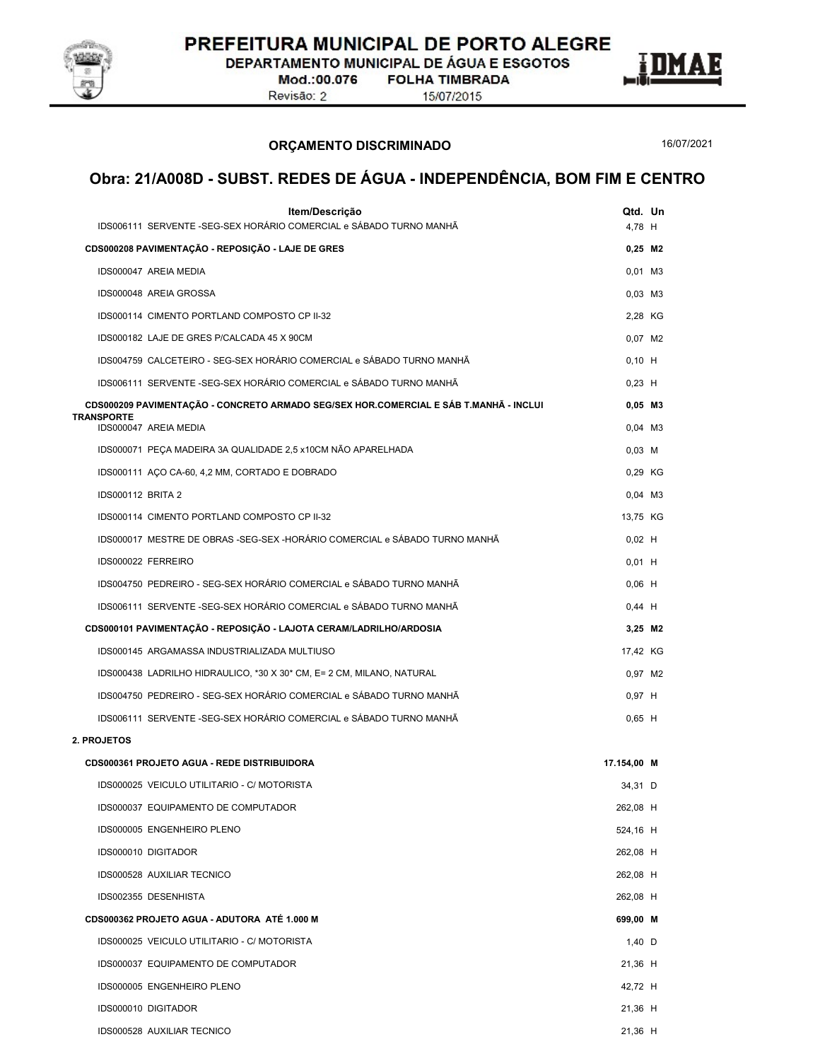

DEPARTAMENTO MUNICIPAL DE ÁGUA E ESGOTOS

Mod.:00.076 Revisão: 2

**FOLHA TIMBRADA** 15/07/2015



ORÇAMENTO DISCRIMINADO

16/07/2021

| Item/Descrição<br>IDS006111 SERVENTE - SEG-SEX HORÁRIO COMERCIAL e SÁBADO TURNO MANHÃ | Qtd. Un<br>4,78 H   |  |
|---------------------------------------------------------------------------------------|---------------------|--|
| CDS000208 PAVIMENTAÇÃO - REPOSIÇÃO - LAJE DE GRES                                     | $0,25$ M2           |  |
| IDS000047 AREIA MEDIA                                                                 | $0,01$ M3           |  |
| IDS000048 AREIA GROSSA                                                                | $0,03$ M3           |  |
| IDS000114 CIMENTO PORTLAND COMPOSTO CP II-32                                          | 2,28 KG             |  |
| IDS000182 LAJE DE GRES P/CALCADA 45 X 90CM                                            | 0,07 M2             |  |
| IDS004759 CALCETEIRO - SEG-SEX HORÁRIO COMERCIAL e SÁBADO TURNO MANHÃ                 | $0,10$ H            |  |
| IDS006111 SERVENTE -SEG-SEX HORÁRIO COMERCIAL e SÁBADO TURNO MANHÃ                    | $0,23$ H            |  |
| CDS000209 PAVIMENTAÇÃO - CONCRETO ARMADO SEG/SEX HOR.COMERCIAL E SÁB T.MANHÃ - INCLUI | $0,05$ M3           |  |
| <b>TRANSPORTE</b>                                                                     | $0,04$ M3           |  |
| IDS000047 AREIA MEDIA                                                                 |                     |  |
| IDS000071 PEÇA MADEIRA 3A QUALIDADE 2,5 x10CM NÃO APARELHADA                          | $0,03$ M            |  |
| IDS000111 ACO CA-60, 4,2 MM, CORTADO E DOBRADO                                        | 0,29 KG             |  |
| IDS000112 BRITA 2                                                                     | $0,04$ M3           |  |
| IDS000114 CIMENTO PORTLAND COMPOSTO CP II-32                                          | 13,75 KG            |  |
| IDS000017 MESTRE DE OBRAS -SEG-SEX -HORÁRIO COMERCIAL e SÁBADO TURNO MANHÃ            | $0,02$ H            |  |
| IDS000022 FERREIRO                                                                    | $0,01$ H            |  |
| IDS004750 PEDREIRO - SEG-SEX HORÁRIO COMERCIAL e SÁBADO TURNO MANHÃ                   | $0,06$ H            |  |
| IDS006111 SERVENTE -SEG-SEX HORÁRIO COMERCIAL e SÁBADO TURNO MANHÃ                    | $0,44$ H            |  |
| CDS000101 PAVIMENTAÇÃO - REPOSIÇÃO - LAJOTA CERAM/LADRILHO/ARDOSIA                    | 3,25 M2             |  |
| IDS000145 ARGAMASSA INDUSTRIALIZADA MULTIUSO                                          | 17,42 KG            |  |
| IDS000438 LADRILHO HIDRAULICO, *30 X 30* CM, E= 2 CM, MILANO, NATURAL                 | 0,97 M2             |  |
| IDS004750 PEDREIRO - SEG-SEX HORÁRIO COMERCIAL e SÁBADO TURNO MANHÃ                   | $0,97$ H            |  |
| IDS006111 SERVENTE -SEG-SEX HORÁRIO COMERCIAL e SÁBADO TURNO MANHÃ                    | $0,65$ H            |  |
| 2. PROJETOS                                                                           |                     |  |
| CDS000361 PROJETO AGUA - REDE DISTRIBUIDORA                                           | 17.154,00 M         |  |
| IDS000025 VEICULO UTILITARIO - C/ MOTORISTA                                           | 34,31 D             |  |
| IDS000037 EQUIPAMENTO DE COMPUTADOR                                                   | 262,08 H            |  |
| IDS000005 ENGENHEIRO PLENO                                                            | 524,16 H            |  |
| IDS000010 DIGITADOR                                                                   | 262,08 H            |  |
| IDS000528 AUXILIAR TECNICO                                                            | 262,08 H            |  |
| IDS002355 DESENHISTA                                                                  | 262,08 H            |  |
| CDS000362 PROJETO AGUA - ADUTORA ATÉ 1.000 M                                          | 699,00 M            |  |
| IDS000025 VEICULO UTILITARIO - C/ MOTORISTA                                           | 1,40 $\overline{D}$ |  |
| IDS000037 EQUIPAMENTO DE COMPUTADOR                                                   | 21,36 H             |  |
| IDS000005 ENGENHEIRO PLENO                                                            | 42,72 H             |  |
| IDS000010 DIGITADOR                                                                   | 21,36 H             |  |
| IDS000528 AUXILIAR TECNICO                                                            | 21,36 H             |  |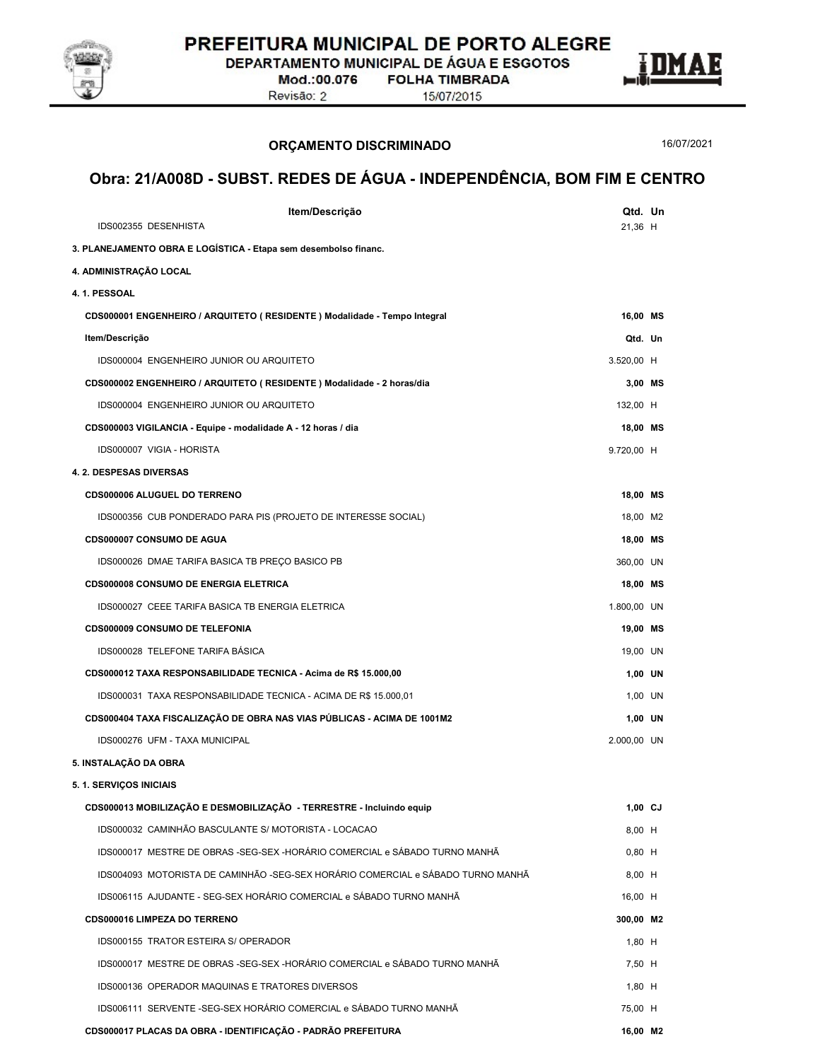

DEPARTAMENTO MUNICIPAL DE ÁGUA E ESGOTOS

Mod.:00.076 Revisão: 2

**FOLHA TIMBRADA** 15/07/2015



ORÇAMENTO DISCRIMINADO

Item/Descrição Qtd. Un Obra: 21/A008D - SUBST. REDES DE ÁGUA - INDEPENDÊNCIA, BOM FIM E CENTRO IDS002355 DESENHISTA 21,36 H 3. PLANEJAMENTO OBRA E LOGÍSTICA - Etapa sem desembolso financ.<br>4. ADMINISTRAÇÃO LOCAL<br>4. 1. PESSOAL CDS000001 ENGENHEIRO / ARQUITETO ( RESIDENTE ) Modalidade - Tempo Integral 16,00 MS Item/Descrição Qtd. Un IDS000004 ENGENHEIRO JUNIOR OU ARQUITETO 3.520,00 H CDS000002 ENGENHEIRO / ARQUITETO ( RESIDENTE ) Modalidade - 2 horas/dia 3,00 MS IDS000004 ENGENHEIRO JUNIOR OU ARQUITETO 132,00 H CDS000003 VIGILANCIA - Equipe - modalidade A - 12 horas / dia 18,00 MS IDS000007 VIGIA - HORISTA 9.720,00 H 4. 2. DESPESAS DIVERSAS CDS000006 ALUGUEL DO TERRENO 18,00 MS IDS000356 CUB PONDERADO PARA PIS (PROJETO DE INTERESSE SOCIAL) 18,00 M2 CDS000007 CONSUMO DE AGUA 18,00 MS IDS000026 DMAE TARIFA BASICA TB PREÇO BASICO PB 360,00 UN 360,00 UN CDS000008 CONSUMO DE ENERGIA ELETRICA 18,00 MS IDS000027 CEEE TARIFA BASICA TB ENERGIA ELETRICA 1.800,00 UN CDS000009 CONSUMO DE TELEFONIA 19,00 MS IDS000028 TELEFONE TARIFA BÁSICA 19,00 UN CDS000012 TAXA RESPONSABILIDADE TECNICA - Acima de R\$ 15.000,00 1,00 UN IDS000031 TAXA RESPONSABILIDADE TECNICA - ACIMA DE R\$ 15.000,01 1 and 1,00 UN 1,00 UN CDS000404 TAXA FISCALIZAÇÃO DE OBRA NAS VIAS PÚBLICAS - ACIMA DE 1001M2 1,00 UN IDS000276 UFM - TAXA MUNICIPAL 2.000,00 UN 5. INSTALAÇÃO DA OBRA<br>5. 1. SERVIÇOS INICIAIS CDS000013 MOBILIZAÇÃO E DESMOBILIZAÇÃO - TERRESTRE - Incluindo equip 1,00 CJ IDS000032 CAMINHÃO BASCULANTE S/ MOTORISTA - LOCACAO 8,00 H IDS000017 MESTRE DE OBRAS -SEG-SEX -HORÁRIO COMERCIAL e SÁBADO TURNO MANHÃ 0,80 H IDS004093 MOTORISTA DE CAMINHÃO -SEG-SEX HORÁRIO COMERCIAL e SÁBADO TURNO MANHÃ 8,00 H IDS006115 AJUDANTE - SEG-SEX HORÁRIO COMERCIAL e SÁBADO TURNO MANHÃ 16,00 H CDS000016 LIMPEZA DO TERRENO 300,00 M2 IDS000155 TRATOR ESTEIRA S/ OPERADOR 1,80 H IDS000017 MESTRE DE OBRAS -SEG-SEX -HORÁRIO COMERCIAL e SÁBADO TURNO MANHÃ  $7,50$  H IDS000136 OPERADOR MAQUINAS E TRATORES DIVERSOS 1,80 H IDS006111 SERVENTE -SEG-SEX HORÁRIO COMERCIAL e SÁBADO TURNO MANHÃ

#### CDS000017 PLACAS DA OBRA - IDENTIFICAÇÃO - PADRÃO PREFEITURA 16,00 M2

16/07/2021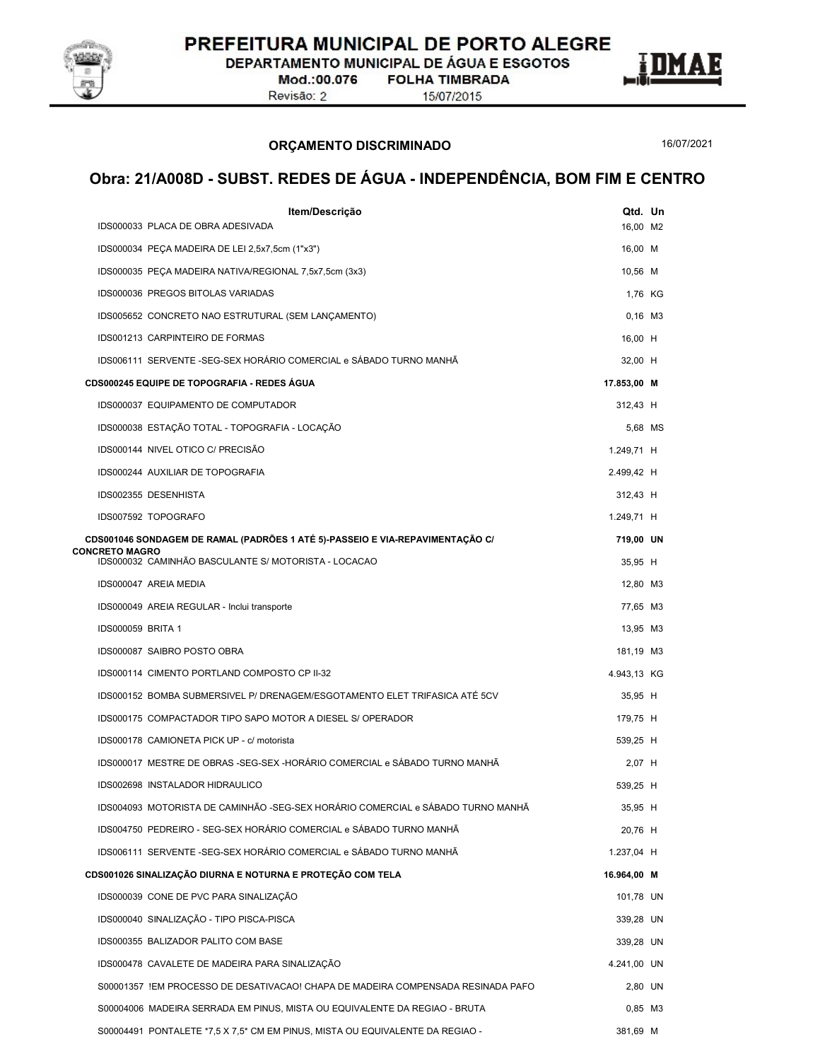

DEPARTAMENTO MUNICIPAL DE ÁGUA E ESGOTOS

Mod.:00.076 Revisão: 2

**FOLHA TIMBRADA** 15/07/2015

ORÇAMENTO DISCRIMINADO

16/07/2021

| Item/Descrição                                                                   | Qtd. Un     |         |
|----------------------------------------------------------------------------------|-------------|---------|
| IDS000033 PLACA DE OBRA ADESIVADA                                                | 16,00 M2    |         |
| IDS000034 PEÇA MADEIRA DE LEI 2,5x7,5cm (1"x3")                                  | 16,00 M     |         |
| IDS000035 PEÇA MADEIRA NATIVA/REGIONAL 7,5x7,5cm (3x3)                           | 10,56 M     |         |
| IDS000036 PREGOS BITOLAS VARIADAS                                                | 1,76 KG     |         |
| IDS005652 CONCRETO NAO ESTRUTURAL (SEM LANÇAMENTO)                               | $0,16$ M3   |         |
| IDS001213 CARPINTEIRO DE FORMAS                                                  | 16,00 H     |         |
| IDS006111 SERVENTE -SEG-SEX HORÁRIO COMERCIAL e SÁBADO TURNO MANHÃ               | 32,00 H     |         |
| CDS000245 EQUIPE DE TOPOGRAFIA - REDES AGUA                                      | 17.853,00 M |         |
| IDS000037 EQUIPAMENTO DE COMPUTADOR                                              | 312,43 H    |         |
| IDS000038 ESTAÇÃO TOTAL - TOPOGRAFIA - LOCAÇÃO                                   |             | 5,68 MS |
| IDS000144 NIVEL OTICO C/ PRECISÃO                                                | 1.249,71 H  |         |
| IDS000244 AUXILIAR DE TOPOGRAFIA                                                 | 2.499,42 H  |         |
| IDS002355 DESENHISTA                                                             | 312,43 H    |         |
| IDS007592 TOPOGRAFO                                                              | 1.249,71 H  |         |
| CDS001046 SONDAGEM DE RAMAL (PADRÕES 1 ATÉ 5)-PASSEIO E VIA-REPAVIMENTAÇÃO C/    | 719,00 UN   |         |
| <b>CONCRETO MAGRO</b><br>IDS000032 CAMINHÃO BASCULANTE S/ MOTORISTA - LOCACAO    | 35,95 H     |         |
| IDS000047 AREIA MEDIA                                                            | 12,80 M3    |         |
| IDS000049 AREIA REGULAR - Inclui transporte                                      | 77,65 M3    |         |
| IDS000059 BRITA 1                                                                | 13,95 M3    |         |
| IDS000087 SAIBRO POSTO OBRA                                                      | 181,19 M3   |         |
| IDS000114 CIMENTO PORTLAND COMPOSTO CP II-32                                     | 4.943,13 KG |         |
| IDS000152 BOMBA SUBMERSIVEL P/ DRENAGEM/ESGOTAMENTO ELET TRIFASICA ATÉ 5CV       | 35,95 H     |         |
| IDS000175 COMPACTADOR TIPO SAPO MOTOR A DIESEL S/ OPERADOR                       | 179,75 H    |         |
| IDS000178 CAMIONETA PICK UP - c/ motorista                                       | 539,25 H    |         |
| IDS000017 MESTRE DE OBRAS -SEG-SEX -HORÁRIO COMERCIAL e SÁBADO TURNO MANHÃ       | 2,07 H      |         |
| IDS002698 INSTALADOR HIDRAULICO                                                  | 539,25 H    |         |
| IDS004093 MOTORISTA DE CAMINHÃO -SEG-SEX HORÁRIO COMERCIAL e SÁBADO TURNO MANHÃ  | 35,95 H     |         |
| IDS004750 PEDREIRO - SEG-SEX HORÁRIO COMERCIAL e SÁBADO TURNO MANHÃ              | 20,76 H     |         |
| IDS006111 SERVENTE -SEG-SEX HORÁRIO COMERCIAL e SÁBADO TURNO MANHÃ               | 1.237,04 H  |         |
| CDS001026 SINALIZAÇÃO DIURNA E NOTURNA E PROTEÇÃO COM TELA                       | 16.964,00 M |         |
| IDS000039 CONE DE PVC PARA SINALIZAÇÃO                                           | 101,78 UN   |         |
| IDS000040 SINALIZAÇÃO - TIPO PISCA-PISCA                                         | 339,28 UN   |         |
| IDS000355 BALIZADOR PALITO COM BASE                                              | 339,28 UN   |         |
| IDS000478 CAVALETE DE MADEIRA PARA SINALIZAÇÃO                                   | 4.241,00 UN |         |
| S00001357 !EM PROCESSO DE DESATIVACAO! CHAPA DE MADEIRA COMPENSADA RESINADA PAFO | 2,80 UN     |         |
| S00004006 MADEIRA SERRADA EM PINUS, MISTA OU EQUIVALENTE DA REGIAO - BRUTA       | 0,85 M3     |         |
| S00004491 PONTALETE *7,5 X 7,5 * CM EM PINUS, MISTA OU EQUIVALENTE DA REGIAO -   | 381,69 M    |         |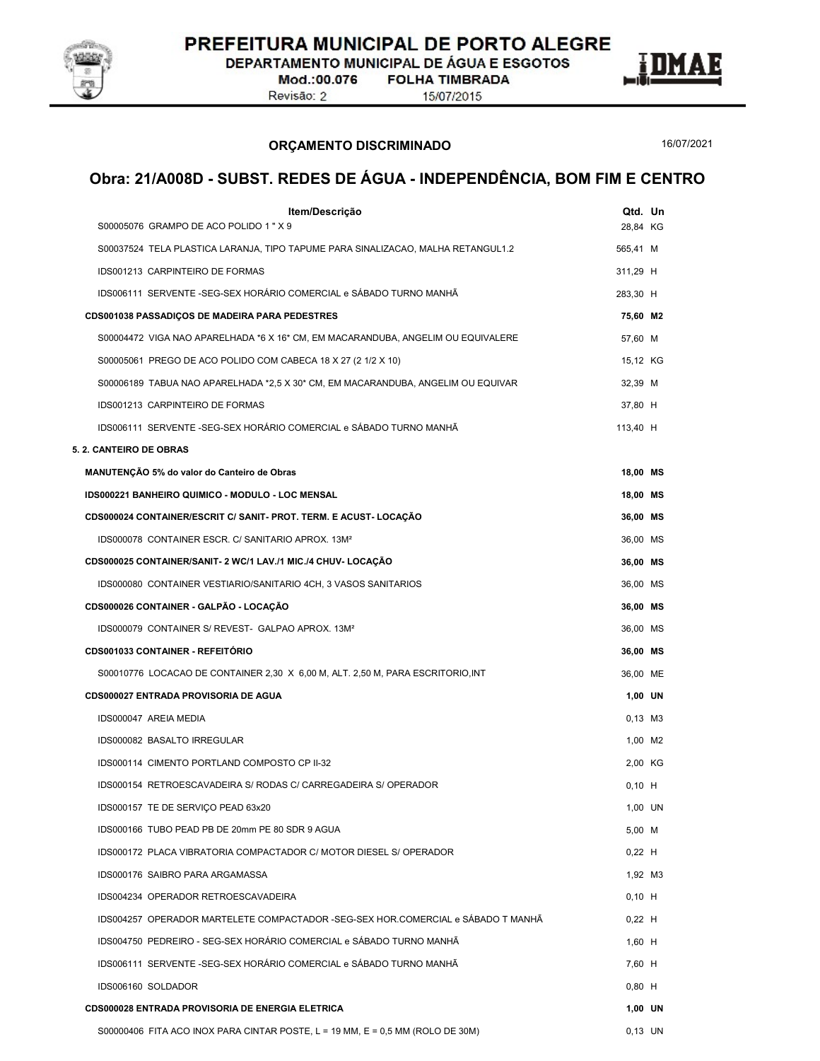

DEPARTAMENTO MUNICIPAL DE ÁGUA E ESGOTOS

Mod.:00.076 Revisão: 2

**FOLHA TIMBRADA** 

15/07/2015



16/07/2021

| Item/Descrição                                                                   | Qtd. Un   |  |
|----------------------------------------------------------------------------------|-----------|--|
| S00005076 GRAMPO DE ACO POLIDO 1 " X 9                                           | 28,84 KG  |  |
| S00037524 TELA PLASTICA LARANJA, TIPO TAPUME PARA SINALIZACAO, MALHA RETANGUL1.2 | 565,41 M  |  |
| IDS001213 CARPINTEIRO DE FORMAS                                                  | 311,29 H  |  |
| IDS006111 SERVENTE -SEG-SEX HORÁRIO COMERCIAL e SÁBADO TURNO MANHÃ               | 283,30 H  |  |
| <b>CDS001038 PASSADIÇOS DE MADEIRA PARA PEDESTRES</b>                            | 75,60 M2  |  |
| S00004472 VIGA NAO APARELHADA *6 X 16* CM, EM MACARANDUBA, ANGELIM OU EQUIVALERE | 57,60 M   |  |
| S00005061 PREGO DE ACO POLIDO COM CABECA 18 X 27 (2 1/2 X 10)                    | 15,12 KG  |  |
| S00006189 TABUA NAO APARELHADA *2,5 X 30* CM, EM MACARANDUBA, ANGELIM OU EQUIVAR | 32,39 M   |  |
| IDS001213 CARPINTEIRO DE FORMAS                                                  | 37,80 H   |  |
| IDS006111 SERVENTE - SEG-SEX HORÁRIO COMERCIAL e SÁBADO TURNO MANHÃ              | 113,40 H  |  |
| 5. 2. CANTEIRO DE OBRAS                                                          |           |  |
| MANUTENÇÃO 5% do valor do Canteiro de Obras                                      | 18,00 MS  |  |
| IDS000221 BANHEIRO QUIMICO - MODULO - LOC MENSAL                                 | 18,00 MS  |  |
| CDS000024 CONTAINER/ESCRIT C/ SANIT- PROT. TERM. E ACUST- LOCAÇAO                | 36,00 MS  |  |
| IDS000078 CONTAINER ESCR. C/ SANITARIO APROX. 13M <sup>2</sup>                   | 36,00 MS  |  |
| CDS000025 CONTAINER/SANIT- 2 WC/1 LAV./1 MIC./4 CHUV- LOCAÇÃO                    | 36,00 MS  |  |
| IDS000080 CONTAINER VESTIARIO/SANITARIO 4CH, 3 VASOS SANITARIOS                  | 36,00 MS  |  |
| CDS000026 CONTAINER - GALPÃO - LOCAÇÃO                                           | 36,00 MS  |  |
| IDS000079 CONTAINER S/ REVEST- GALPAO APROX. 13M <sup>2</sup>                    | 36,00 MS  |  |
| <b>CDS001033 CONTAINER - REFEITORIO</b>                                          | 36,00 MS  |  |
| S00010776 LOCACAO DE CONTAINER 2,30 X 6,00 M, ALT. 2,50 M, PARA ESCRITORIO, INT  | 36,00 ME  |  |
| CDS000027 ENTRADA PROVISORIA DE AGUA                                             | 1,00 UN   |  |
| IDS000047 AREIA MEDIA                                                            | $0,13$ M3 |  |
| IDS000082 BASALTO IRREGULAR                                                      | 1,00 M2   |  |
| IDS000114 CIMENTO PORTLAND COMPOSTO CP II-32                                     | 2,00 KG   |  |
| IDS000154 RETROESCAVADEIRA S/ RODAS C/ CARREGADEIRA S/ OPERADOR                  | $0,10$ H  |  |
| IDS000157 TE DE SERVIÇO PEAD 63x20                                               | 1,00 UN   |  |
| IDS000166 TUBO PEAD PB DE 20mm PE 80 SDR 9 AGUA                                  | 5,00 M    |  |
| IDS000172 PLACA VIBRATORIA COMPACTADOR C/ MOTOR DIESEL S/ OPERADOR               | $0,22$ H  |  |
| IDS000176 SAIBRO PARA ARGAMASSA                                                  | 1,92 M3   |  |
| IDS004234 OPERADOR RETROESCAVADEIRA                                              | $0,10$ H  |  |
| IDS004257 OPERADOR MARTELETE COMPACTADOR -SEG-SEX HOR.COMERCIAL e SÁBADO T MANHÃ | $0,22$ H  |  |
| IDS004750 PEDREIRO - SEG-SEX HORÁRIO COMERCIAL e SÁBADO TURNO MANHÃ              | $1,60$ H  |  |
| IDS006111 SERVENTE -SEG-SEX HORÁRIO COMERCIAL e SÁBADO TURNO MANHÃ               | 7,60 H    |  |
| IDS006160 SOLDADOR                                                               | $0,80$ H  |  |
| CDS000028 ENTRADA PROVISORIA DE ENERGIA ELETRICA                                 | 1,00 UN   |  |
| S00000406 FITA ACO INOX PARA CINTAR POSTE, L = 19 MM, E = 0,5 MM (ROLO DE 30M)   | 0,13 UN   |  |
|                                                                                  |           |  |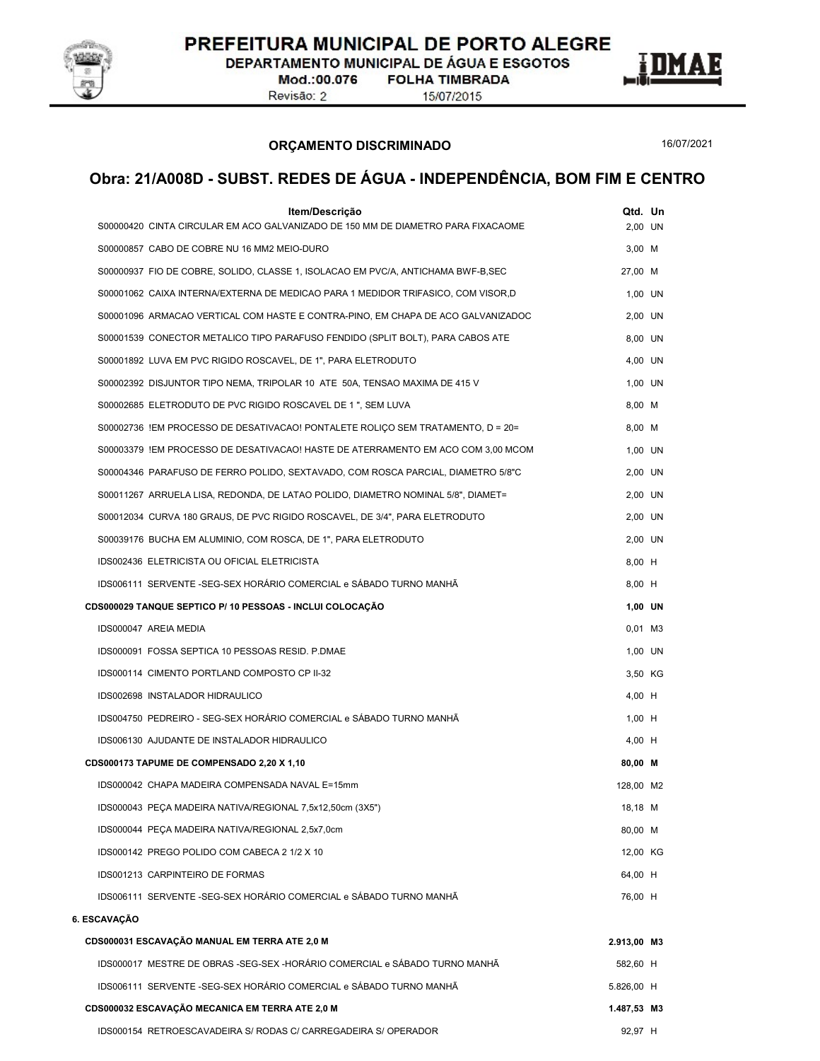

DEPARTAMENTO MUNICIPAL DE ÁGUA E ESGOTOS

Mod.:00.076 Revisão: 2

**FOLHA TIMBRADA** 15/07/2015



16/07/2021

| Item/Descrição<br>S00000420 CINTA CIRCULAR EM ACO GALVANIZADO DE 150 MM DE DIAMETRO PARA FIXACAOME | Qtd. Un     | 2.00 UN   |
|----------------------------------------------------------------------------------------------------|-------------|-----------|
| S00000857 CABO DE COBRE NU 16 MM2 MEIO-DURO                                                        | $3,00$ M    |           |
| S00000937 FIO DE COBRE, SOLIDO, CLASSE 1, ISOLACAO EM PVC/A, ANTICHAMA BWF-B, SEC                  | 27,00 M     |           |
| S00001062 CAIXA INTERNA/EXTERNA DE MEDICAO PARA 1 MEDIDOR TRIFASICO, COM VISOR,D                   |             | 1,00 UN   |
| S00001096 ARMACAO VERTICAL COM HASTE E CONTRA-PINO, EM CHAPA DE ACO GALVANIZADOC                   |             | 2,00 UN   |
| S00001539 CONECTOR METALICO TIPO PARAFUSO FENDIDO (SPLIT BOLT), PARA CABOS ATE                     |             | 8,00 UN   |
| S00001892 LUVA EM PVC RIGIDO ROSCAVEL, DE 1", PARA ELETRODUTO                                      |             | 4,00 UN   |
| S00002392 DISJUNTOR TIPO NEMA, TRIPOLAR 10 ATE 50A, TENSAO MAXIMA DE 415 V                         |             | 1,00 UN   |
| S00002685 ELETRODUTO DE PVC RIGIDO ROSCAVEL DE 1", SEM LUVA                                        | 8,00 M      |           |
| S00002736 !EM PROCESSO DE DESATIVACAO! PONTALETE ROLIÇO SEM TRATAMENTO, D = 20=                    | 8,00 M      |           |
| S00003379 IEM PROCESSO DE DESATIVACAO! HASTE DE ATERRAMENTO EM ACO COM 3,00 MCOM                   |             | 1,00 UN   |
| S00004346 PARAFUSO DE FERRO POLIDO, SEXTAVADO, COM ROSCA PARCIAL, DIAMETRO 5/8"C                   |             | 2,00 UN   |
| S00011267 ARRUELA LISA, REDONDA, DE LATAO POLIDO, DIAMETRO NOMINAL 5/8", DIAMET=                   |             | 2,00 UN   |
| S00012034 CURVA 180 GRAUS, DE PVC RIGIDO ROSCAVEL, DE 3/4", PARA ELETRODUTO                        |             | 2,00 UN   |
| S00039176 BUCHA EM ALUMINIO, COM ROSCA, DE 1", PARA ELETRODUTO                                     |             | 2,00 UN   |
| IDS002436 ELETRICISTA OU OFICIAL ELETRICISTA                                                       | 8,00 H      |           |
| IDS006111 SERVENTE -SEG-SEX HORÁRIO COMERCIAL e SÁBADO TURNO MANHÃ                                 | 8,00 H      |           |
| CDS000029 TANQUE SEPTICO P/ 10 PESSOAS - INCLUI COLOCAÇÃO                                          |             | 1,00 UN   |
| IDS000047 AREIA MEDIA                                                                              |             | $0,01$ M3 |
| IDS000091 FOSSA SEPTICA 10 PESSOAS RESID. P.DMAE                                                   |             | 1,00 UN   |
| IDS000114 CIMENTO PORTLAND COMPOSTO CP II-32                                                       |             | 3,50 KG   |
| IDS002698 INSTALADOR HIDRAULICO                                                                    | 4,00 H      |           |
| IDS004750 PEDREIRO - SEG-SEX HORÁRIO COMERCIAL e SÁBADO TURNO MANHÃ                                | $1,00$ H    |           |
| IDS006130 AJUDANTE DE INSTALADOR HIDRAULICO                                                        | 4,00 H      |           |
| CDS000173 TAPUME DE COMPENSADO 2,20 X 1,10                                                         | 80.00 M     |           |
| IDS000042 CHAPA MADEIRA COMPENSADA NAVAL E=15mm                                                    | 128.00 M2   |           |
| IDS000043 PEÇA MADEIRA NATIVA/REGIONAL 7,5x12,50cm (3X5")                                          | 18,18 M     |           |
| IDS000044 PEÇA MADEIRA NATIVA/REGIONAL 2,5x7,0cm                                                   | 80,00 M     |           |
| IDS000142 PREGO POLIDO COM CABECA 2 1/2 X 10                                                       | 12,00 KG    |           |
| IDS001213 CARPINTEIRO DE FORMAS                                                                    | 64,00 H     |           |
| IDS006111 SERVENTE -SEG-SEX HORÁRIO COMERCIAL e SÁBADO TURNO MANHÃ                                 | 76,00 H     |           |
| 6. ESCAVAÇÃO                                                                                       |             |           |
| CDS000031 ESCAVAÇÃO MANUAL EM TERRA ATE 2,0 M                                                      | 2.913,00 M3 |           |
| IDS000017 MESTRE DE OBRAS -SEG-SEX -HORÁRIO COMERCIAL e SÁBADO TURNO MANHÃ                         | 582,60 H    |           |
| IDS006111 SERVENTE -SEG-SEX HORÁRIO COMERCIAL e SÁBADO TURNO MANHÃ                                 | 5.826,00 H  |           |
| CDS000032 ESCAVAÇÃO MECANICA EM TERRA ATE 2,0 M                                                    | 1.487,53 M3 |           |
| IDS000154 RETROESCAVADEIRA S/ RODAS C/ CARREGADEIRA S/ OPERADOR                                    | 92,97 H     |           |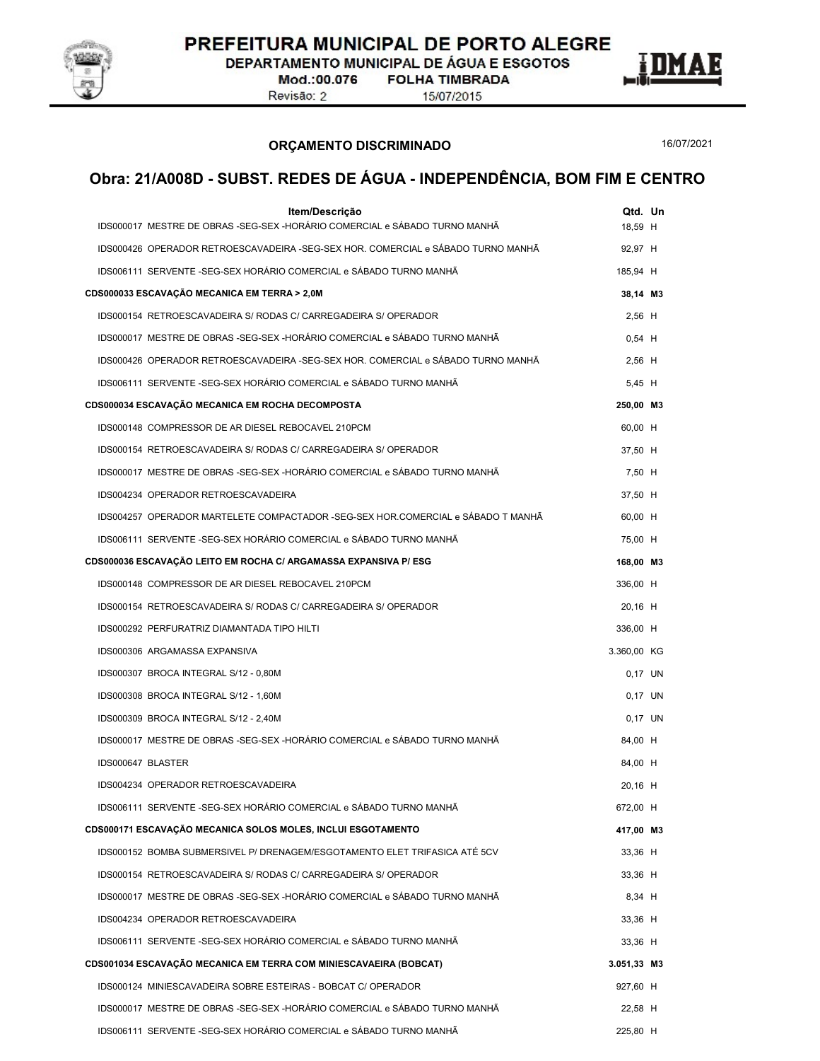

DEPARTAMENTO MUNICIPAL DE ÁGUA E ESGOTOS

Mod.:00.076 Revisão: 2

**FOLHA TIMBRADA** 15/07/2015



ORÇAMENTO DISCRIMINADO

16/07/2021

| Item/Descrição<br>IDS000017 MESTRE DE OBRAS -SEG-SEX -HORÁRIO COMERCIAL e SÁBADO TURNO MANHÃ | Qtd. Un<br>18,59 H |  |
|----------------------------------------------------------------------------------------------|--------------------|--|
| IDS000426 OPERADOR RETROESCAVADEIRA -SEG-SEX HOR. COMERCIAL e SÁBADO TURNO MANHÃ             | 92,97 H            |  |
| IDS006111 SERVENTE -SEG-SEX HORÁRIO COMERCIAL e SÁBADO TURNO MANHÃ                           | 185,94 H           |  |
| CDS000033 ESCAVAÇÃO MECANICA EM TERRA > 2,0M                                                 | 38,14 M3           |  |
| IDS000154 RETROESCAVADEIRA S/ RODAS C/ CARREGADEIRA S/ OPERADOR                              | $2,56$ H           |  |
| IDS000017 MESTRE DE OBRAS -SEG-SEX -HORÁRIO COMERCIAL e SÁBADO TURNO MANHÃ                   | $0,54$ H           |  |
| IDS000426 OPERADOR RETROESCAVADEIRA -SEG-SEX HOR. COMERCIAL e SÁBADO TURNO MANHÃ             | $2,56$ H           |  |
| IDS006111 SERVENTE -SEG-SEX HORÁRIO COMERCIAL e SÁBADO TURNO MANHÃ                           | 5,45 H             |  |
| CDS000034 ESCAVAÇÃO MECANICA EM ROCHA DECOMPOSTA                                             | 250,00 M3          |  |
| IDS000148 COMPRESSOR DE AR DIESEL REBOCAVEL 210PCM                                           | 60,00 H            |  |
| IDS000154 RETROESCAVADEIRA S/ RODAS C/ CARREGADEIRA S/ OPERADOR                              | 37,50 H            |  |
| IDS000017 MESTRE DE OBRAS -SEG-SEX -HORÁRIO COMERCIAL e SÁBADO TURNO MANHÃ                   | 7,50 H             |  |
| IDS004234 OPERADOR RETROESCAVADEIRA                                                          | 37,50 H            |  |
| IDS004257 OPERADOR MARTELETE COMPACTADOR -SEG-SEX HOR.COMERCIAL e SÁBADO T MANHÃ             | 60,00 H            |  |
| IDS006111 SERVENTE -SEG-SEX HORÁRIO COMERCIAL e SÁBADO TURNO MANHÃ                           | 75,00 H            |  |
| CDS000036 ESCAVAÇÃO LEITO EM ROCHA C/ ARGAMASSA EXPANSIVA P/ ESG                             | 168,00 M3          |  |
| IDS000148 COMPRESSOR DE AR DIESEL REBOCAVEL 210PCM                                           | 336,00 H           |  |
| IDS000154 RETROESCAVADEIRA S/ RODAS C/ CARREGADEIRA S/ OPERADOR                              | 20,16 H            |  |
| IDS000292 PERFURATRIZ DIAMANTADA TIPO HILTI                                                  | 336,00 H           |  |
| IDS000306 ARGAMASSA EXPANSIVA                                                                | 3.360,00 KG        |  |
| IDS000307 BROCA INTEGRAL S/12 - 0,80M                                                        | 0.17 UN            |  |
| IDS000308 BROCA INTEGRAL S/12 - 1,60M                                                        | 0.17 UN            |  |
| IDS000309 BROCA INTEGRAL S/12 - 2,40M                                                        | 0.17 UN            |  |
| IDS000017 MESTRE DE OBRAS -SEG-SEX -HORÁRIO COMERCIAL e SÁBADO TURNO MANHÃ                   | 84,00 H            |  |
| IDS000647 BLASTER                                                                            | 84,00 H            |  |
| IDS004234 OPERADOR RETROESCAVADEIRA                                                          | 20,16 H            |  |
| IDS006111 SERVENTE -SEG-SEX HORÁRIO COMERCIAL e SÁBADO TURNO MANHÃ                           | 672,00 H           |  |
| CDS000171 ESCAVAÇÃO MECANICA SOLOS MOLES, INCLUI ESGOTAMENTO                                 | 417,00 M3          |  |
| IDS000152 BOMBA SUBMERSIVEL P/ DRENAGEM/ESGOTAMENTO ELET TRIFASICA ATÉ 5CV                   | 33,36 H            |  |
| IDS000154 RETROESCAVADEIRA S/ RODAS C/ CARREGADEIRA S/ OPERADOR                              | 33,36 H            |  |
| IDS000017 MESTRE DE OBRAS -SEG-SEX -HORÁRIO COMERCIAL e SÁBADO TURNO MANHÃ                   | 8,34 H             |  |
| IDS004234 OPERADOR RETROESCAVADEIRA                                                          | 33,36 H            |  |
| IDS006111 SERVENTE -SEG-SEX HORÁRIO COMERCIAL e SÁBADO TURNO MANHÃ                           | 33,36 H            |  |
| CDS001034 ESCAVAÇÃO MECANICA EM TERRA COM MINIESCAVAEIRA (BOBCAT)                            | 3.051,33 M3        |  |
| IDS000124 MINIESCAVADEIRA SOBRE ESTEIRAS - BOBCAT C/ OPERADOR                                | 927,60 H           |  |
| IDS000017 MESTRE DE OBRAS -SEG-SEX -HORÁRIO COMERCIAL e SÁBADO TURNO MANHÃ                   | 22,58 H            |  |
| IDS006111 SERVENTE -SEG-SEX HORÁRIO COMERCIAL e SÁBADO TURNO MANHÃ                           | 225,80 H           |  |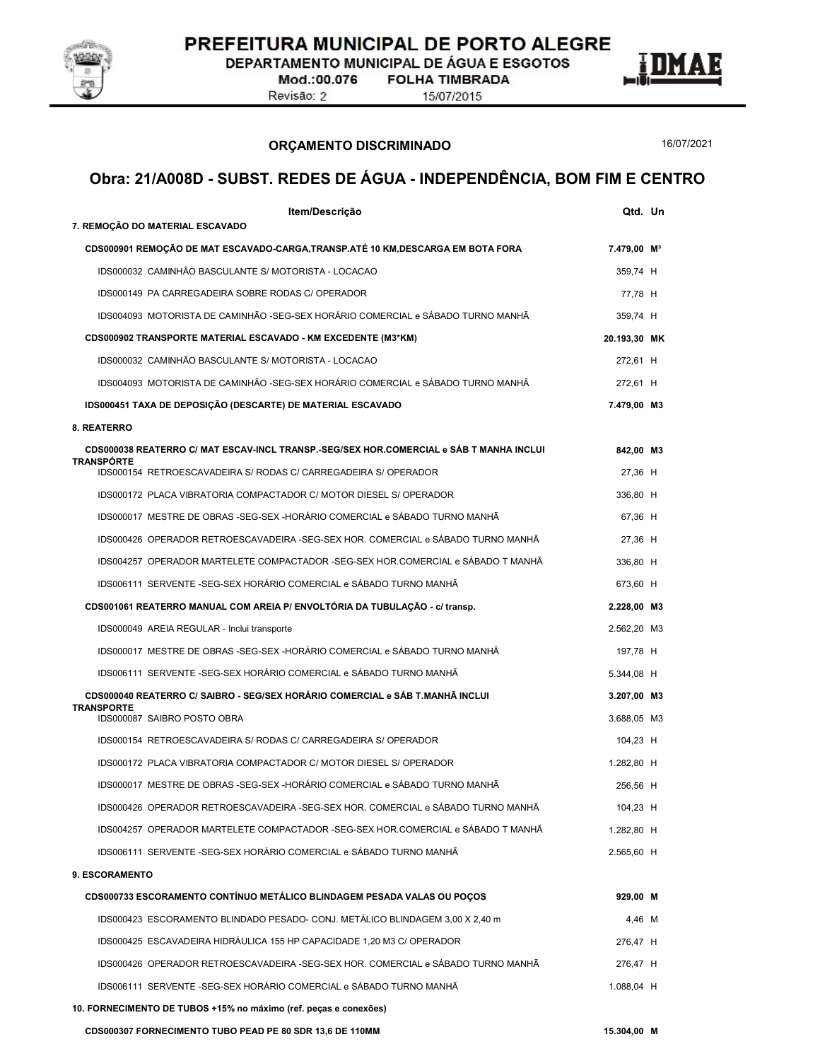

DEPARTAMENTO MUNICIPAL DE ÁGUA E ESGOTOS

Mod.:00.076 Revisão: 2

**FOLHA TIMBRADA** 15/07/2015



ORÇAMENTO DISCRIMINADO

16/07/2021

|                   | Item/Descrição                                                                          | Qtd. Un                 |  |
|-------------------|-----------------------------------------------------------------------------------------|-------------------------|--|
|                   | 7. REMOÇÃO DO MATERIAL ESCAVADO                                                         |                         |  |
|                   | CDS000901 REMOÇÃO DE MAT ESCAVADO-CARGA, TRANSP.ATÉ 10 KM, DESCARGA EM BOTA FORA        | 7.479,00 M <sup>3</sup> |  |
|                   | IDS000032 CAMINHÃO BASCULANTE S/ MOTORISTA - LOCACAO                                    | 359,74 H                |  |
|                   | IDS000149 PA CARREGADEIRA SOBRE RODAS C/ OPERADOR                                       | 77,78 H                 |  |
|                   | IDS004093 MOTORISTA DE CAMINHÃO -SEG-SEX HORÁRIO COMERCIAL e SÁBADO TURNO MANHÃ         | 359,74 H                |  |
|                   | CDS000902 TRANSPORTE MATERIAL ESCAVADO - KM EXCEDENTE (M3*KM)                           | 20.193,30 MK            |  |
|                   | IDS000032 CAMINHÃO BASCULANTE S/ MOTORISTA - LOCACAO                                    | 272,61 H                |  |
|                   | IDS004093 MOTORISTA DE CAMINHÃO -SEG-SEX HORÁRIO COMERCIAL e SÁBADO TURNO MANHÃ         | 272,61 H                |  |
|                   | IDS000451 TAXA DE DEPOSIÇÃO (DESCARTE) DE MATERIAL ESCAVADO                             | 7.479,00 M3             |  |
| 8. REATERRO       |                                                                                         |                         |  |
|                   | CDS000038 REATERRO C/ MAT ESCAV-INCL TRANSP.-SEG/SEX HOR.COMERCIAL e SÁB T MANHA INCLUI | 842,00 M3               |  |
| <b>TRANSPORTE</b> | IDS000154 RETROESCAVADEIRA S/ RODAS C/ CARREGADEIRA S/ OPERADOR                         | 27,36 H                 |  |
|                   | IDS000172 PLACA VIBRATORIA COMPACTADOR C/ MOTOR DIESEL S/ OPERADOR                      | 336,80 H                |  |
|                   | IDS000017 MESTRE DE OBRAS -SEG-SEX -HORÁRIO COMERCIAL e SÁBADO TURNO MANHÃ              | 67,36 H                 |  |
|                   | IDS000426 OPERADOR RETROESCAVADEIRA -SEG-SEX HOR. COMERCIAL e SÁBADO TURNO MANHÃ        | 27,36 H                 |  |
|                   | IDS004257 OPERADOR MARTELETE COMPACTADOR -SEG-SEX HOR.COMERCIAL e SÁBADO T MANHÃ        | 336,80 H                |  |
|                   | IDS006111 SERVENTE -SEG-SEX HORÁRIO COMERCIAL e SÁBADO TURNO MANHÃ                      | 673,60 H                |  |
|                   | CDS001061 REATERRO MANUAL COM AREIA P/ ENVOLTORIA DA TUBULAÇÃO - c/ transp.             | 2.228,00 M3             |  |
|                   | IDS000049 AREIA REGULAR - Inclui transporte                                             | 2.562,20 M3             |  |
|                   | IDS000017 MESTRE DE OBRAS -SEG-SEX -HORÁRIO COMERCIAL e SÁBADO TURNO MANHÃ              | 197,78 H                |  |
|                   | IDS006111 SERVENTE -SEG-SEX HORÁRIO COMERCIAL e SÁBADO TURNO MANHÃ                      | 5.344,08 H              |  |
|                   | CDS000040 REATERRO C/ SAIBRO - SEG/SEX HORARIO COMERCIAL e SAB T.MANHA INCLUI           | 3.207,00 M3             |  |
| <b>TRANSPORTE</b> | IDS000087 SAIBRO POSTO OBRA                                                             | 3.688,05 M3             |  |
|                   | IDS000154 RETROESCAVADEIRA S/ RODAS C/ CARREGADEIRA S/ OPERADOR                         | 104,23 H                |  |
|                   | IDS000172 PLACA VIBRATORIA COMPACTADOR C/ MOTOR DIESEL S/ OPERADOR                      | 1.282,80 H              |  |
|                   | IDS000017 MESTRE DE OBRAS -SEG-SEX -HORÁRIO COMERCIAL e SÁBADO TURNO MANHÃ              | 256,56 H                |  |
|                   | IDS000426 OPERADOR RETROESCAVADEIRA -SEG-SEX HOR. COMERCIAL e SÁBADO TURNO MANHÃ        | 104,23 H                |  |
|                   | IDS004257 OPERADOR MARTELETE COMPACTADOR -SEG-SEX HOR.COMERCIAL e SÁBADO T MANHÃ        | 1.282,80 H              |  |
|                   | IDS006111 SERVENTE -SEG-SEX HORÁRIO COMERCIAL e SÁBADO TURNO MANHÃ                      | 2.565,60 H              |  |
| 9. ESCORAMENTO    |                                                                                         |                         |  |
|                   | CDS000733 ESCORAMENTO CONTÍNUO METÁLICO BLINDAGEM PESADA VALAS OU POÇOS                 | 929,00 M                |  |
|                   | IDS000423 ESCORAMENTO BLINDADO PESADO- CONJ. METÁLICO BLINDAGEM 3,00 X 2,40 m           | 4,46 M                  |  |
|                   | IDS000425 ESCAVADEIRA HIDRÁULICA 155 HP CAPACIDADE 1,20 M3 C/ OPERADOR                  | 276,47 H                |  |
|                   | IDS000426 OPERADOR RETROESCAVADEIRA -SEG-SEX HOR. COMERCIAL e SÁBADO TURNO MANHÃ        | 276.47 H                |  |
|                   | IDS006111 SERVENTE -SEG-SEX HORÁRIO COMERCIAL e SÁBADO TURNO MANHÃ                      | 1.088,04 H              |  |
|                   | 10. FORNECIMENTO DE TUBOS +15% no máximo (ref. peças e conexões)                        |                         |  |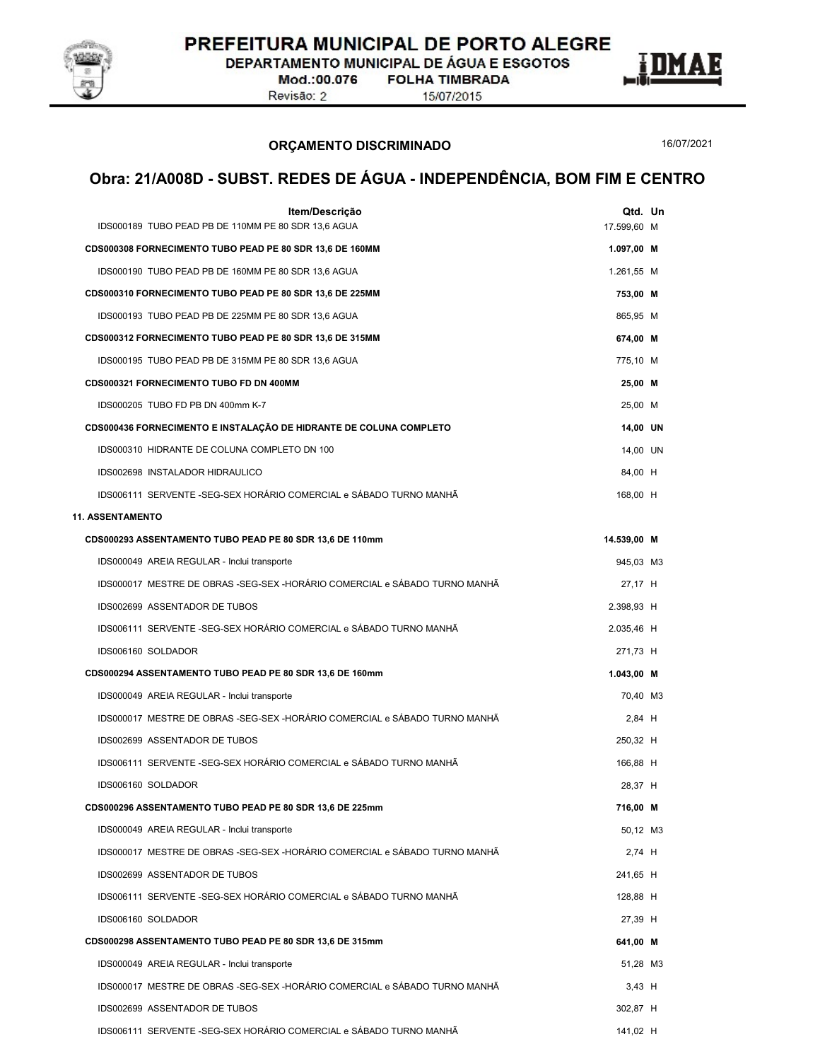

DEPARTAMENTO MUNICIPAL DE ÁGUA E ESGOTOS

Mod.:00.076 Revisão: 2

**FOLHA TIMBRADA** 15/07/2015

ORÇAMENTO DISCRIMINADO

16/07/2021

| Item/Descrição<br>IDS000189 TUBO PEAD PB DE 110MM PE 80 SDR 13,6 AGUA      | Qtd. Un<br>17.599,60 M |
|----------------------------------------------------------------------------|------------------------|
| CDS000308 FORNECIMENTO TUBO PEAD PE 80 SDR 13,6 DE 160MM                   | 1.097,00 M             |
| IDS000190 TUBO PEAD PB DE 160MM PE 80 SDR 13,6 AGUA                        | 1.261,55 M             |
| CDS000310 FORNECIMENTO TUBO PEAD PE 80 SDR 13,6 DE 225MM                   | 753,00 M               |
| IDS000193 TUBO PEAD PB DE 225MM PE 80 SDR 13,6 AGUA                        | 865,95 M               |
| CDS000312 FORNECIMENTO TUBO PEAD PE 80 SDR 13,6 DE 315MM                   | 674,00 M               |
| IDS000195 TUBO PEAD PB DE 315MM PE 80 SDR 13,6 AGUA                        | 775,10 M               |
| CDS000321 FORNECIMENTO TUBO FD DN 400MM                                    | 25,00 M                |
| IDS000205 TUBO FD PB DN 400mm K-7                                          | 25,00 M                |
| CDS000436 FORNECIMENTO E INSTALAÇÃO DE HIDRANTE DE COLUNA COMPLETO         | 14,00 UN               |
| IDS000310 HIDRANTE DE COLUNA COMPLETO DN 100                               | 14,00 UN               |
| IDS002698 INSTALADOR HIDRAULICO                                            | 84,00 H                |
| IDS006111 SERVENTE -SEG-SEX HORÁRIO COMERCIAL e SÁBADO TURNO MANHÃ         | 168,00 H               |
| <b>11. ASSENTAMENTO</b>                                                    |                        |
| CDS000293 ASSENTAMENTO TUBO PEAD PE 80 SDR 13,6 DE 110mm                   | 14.539,00 M            |
| IDS000049 AREIA REGULAR - Inclui transporte                                | 945,03 M3              |
| IDS000017 MESTRE DE OBRAS -SEG-SEX -HORÁRIO COMERCIAL e SÁBADO TURNO MANHÃ | 27,17 H                |
| IDS002699 ASSENTADOR DE TUBOS                                              | 2.398,93 H             |
| IDS006111 SERVENTE - SEG-SEX HORÁRIO COMERCIAL e SÁBADO TURNO MANHÃ        | 2.035,46 H             |
| IDS006160 SOLDADOR                                                         | 271,73 H               |
| CDS000294 ASSENTAMENTO TUBO PEAD PE 80 SDR 13,6 DE 160mm                   | 1.043,00 M             |
| IDS000049 AREIA REGULAR - Inclui transporte                                | 70,40 M3               |
| IDS000017 MESTRE DE OBRAS -SEG-SEX -HORÁRIO COMERCIAL e SÁBADO TURNO MANHÃ | 2,84 H                 |
| IDS002699 ASSENTADOR DE TUBOS                                              | 250,32 H               |
| IDS006111 SERVENTE -SEG-SEX HORÁRIO COMERCIAL e SÁBADO TURNO MANHÃ         | 166,88 H               |
| IDS006160 SOLDADOR                                                         | 28,37 H                |
| CDS000296 ASSENTAMENTO TUBO PEAD PE 80 SDR 13.6 DE 225mm                   | 716,00 M               |
| IDS000049 AREIA REGULAR - Inclui transporte                                | 50,12 M3               |
| IDS000017 MESTRE DE OBRAS -SEG-SEX -HORÁRIO COMERCIAL e SÁBADO TURNO MANHÃ | 2,74 H                 |
| IDS002699 ASSENTADOR DE TUBOS                                              | 241,65 H               |
| IDS006111 SERVENTE -SEG-SEX HORÁRIO COMERCIAL e SÁBADO TURNO MANHÃ         | 128.88 H               |
| IDS006160 SOLDADOR                                                         | 27,39 H                |
| CDS000298 ASSENTAMENTO TUBO PEAD PE 80 SDR 13,6 DE 315mm                   | 641,00 M               |
| IDS000049 AREIA REGULAR - Inclui transporte                                | 51,28 M3               |
| IDS000017 MESTRE DE OBRAS -SEG-SEX -HORÁRIO COMERCIAL e SÁBADO TURNO MANHÃ | $3,43$ H               |
| IDS002699 ASSENTADOR DE TUBOS                                              | 302,87 H               |
| IDS006111 SERVENTE -SEG-SEX HORÁRIO COMERCIAL e SÁBADO TURNO MANHÃ         | 141,02 H               |
|                                                                            |                        |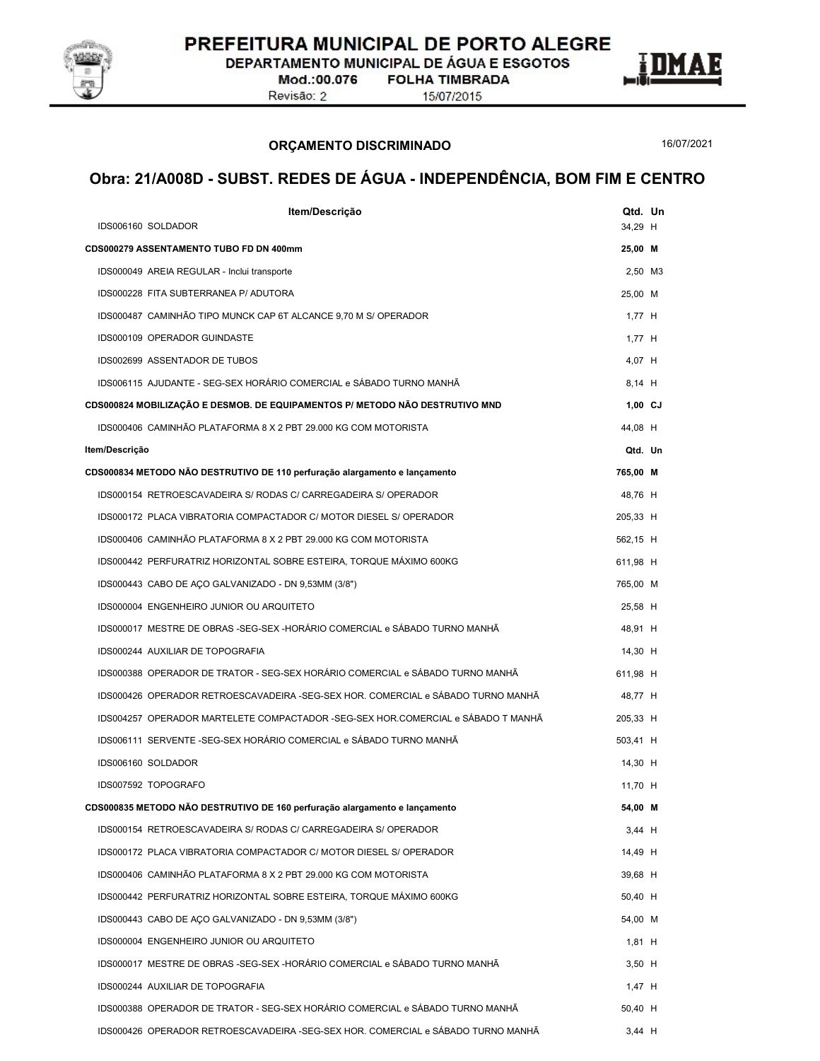

DEPARTAMENTO MUNICIPAL DE ÁGUA E ESGOTOS

Mod.:00.076 Revisão: 2

**FOLHA TIMBRADA** 



15/07/2015

#### ORÇAMENTO DISCRIMINADO

16/07/2021

| Item/Descrição<br>IDS006160 SOLDADOR                                             | Qtd. Un<br>34,29 H |  |
|----------------------------------------------------------------------------------|--------------------|--|
| CDS000279 ASSENTAMENTO TUBO FD DN 400mm                                          | 25,00 M            |  |
| IDS000049 AREIA REGULAR - Inclui transporte                                      | 2,50 M3            |  |
| IDS000228 FITA SUBTERRANEA P/ ADUTORA                                            | 25,00 M            |  |
| IDS000487 CAMINHÃO TIPO MUNCK CAP 6T ALCANCE 9,70 M S/ OPERADOR                  | $1,77$ H           |  |
| IDS000109 OPERADOR GUINDASTE                                                     | $1,77$ H           |  |
| IDS002699 ASSENTADOR DE TUBOS                                                    | 4,07 H             |  |
| IDS006115 AJUDANTE - SEG-SEX HORÁRIO COMERCIAL e SÁBADO TURNO MANHÃ              | 8,14 H             |  |
| CDS000824 MOBILIZAÇÃO E DESMOB. DE EQUIPAMENTOS P/ METODO NÃO DESTRUTIVO MND     | $1,00$ CJ          |  |
| IDS000406 CAMINHÃO PLATAFORMA 8 X 2 PBT 29.000 KG COM MOTORISTA                  | 44,08 H            |  |
| Item/Descrição                                                                   | Qtd. Un            |  |
| CDS000834 METODO NÃO DESTRUTIVO DE 110 perfuração alargamento e lançamento       | 765,00 M           |  |
| IDS000154 RETROESCAVADEIRA S/ RODAS C/ CARREGADEIRA S/ OPERADOR                  | 48,76 H            |  |
| IDS000172 PLACA VIBRATORIA COMPACTADOR C/ MOTOR DIESEL S/ OPERADOR               | 205,33 H           |  |
| IDS000406 CAMINHÃO PLATAFORMA 8 X 2 PBT 29.000 KG COM MOTORISTA                  | 562,15 H           |  |
| IDS000442 PERFURATRIZ HORIZONTAL SOBRE ESTEIRA, TORQUE MÁXIMO 600KG              | 611,98 H           |  |
| IDS000443 CABO DE AÇO GALVANIZADO - DN 9,53MM (3/8")                             | 765,00 M           |  |
| IDS000004 ENGENHEIRO JUNIOR OU ARQUITETO                                         | 25,58 H            |  |
| IDS000017 MESTRE DE OBRAS -SEG-SEX -HORÁRIO COMERCIAL e SÁBADO TURNO MANHÃ       | 48,91 H            |  |
| IDS000244 AUXILIAR DE TOPOGRAFIA                                                 | 14,30 H            |  |
| IDS000388 OPERADOR DE TRATOR - SEG-SEX HORÁRIO COMERCIAL e SÁBADO TURNO MANHÃ    | 611,98 H           |  |
| IDS000426 OPERADOR RETROESCAVADEIRA -SEG-SEX HOR. COMERCIAL e SÁBADO TURNO MANHÃ | 48,77 H            |  |
| IDS004257 OPERADOR MARTELETE COMPACTADOR -SEG-SEX HOR.COMERCIAL e SÁBADO T MANHÃ | 205,33 H           |  |
| IDS006111 SERVENTE -SEG-SEX HORÁRIO COMERCIAL e SÁBADO TURNO MANHÃ               | 503,41 H           |  |
| IDS006160 SOLDADOR                                                               | 14,30 H            |  |
| IDS007592 TOPOGRAFO                                                              | 11,70 H            |  |
| CDS000835 METODO NAO DESTRUTIVO DE 160 perfuração alargamento e lançamento       | 54,00 M            |  |
| IDS000154 RETROESCAVADEIRA S/ RODAS C/ CARREGADEIRA S/ OPERADOR                  | $3,44$ H           |  |
| IDS000172 PLACA VIBRATORIA COMPACTADOR C/ MOTOR DIESEL S/ OPERADOR               | 14,49 H            |  |
| IDS000406 CAMINHÃO PLATAFORMA 8 X 2 PBT 29.000 KG COM MOTORISTA                  | 39,68 H            |  |
| IDS000442 PERFURATRIZ HORIZONTAL SOBRE ESTEIRA, TORQUE MÁXIMO 600KG              | 50,40 H            |  |
| IDS000443 CABO DE AÇO GALVANIZADO - DN 9,53MM (3/8")                             | 54,00 M            |  |
| IDS000004 ENGENHEIRO JUNIOR OU ARQUITETO                                         | $1,81$ H           |  |
| IDS000017 MESTRE DE OBRAS -SEG-SEX -HORÁRIO COMERCIAL e SÁBADO TURNO MANHÃ       | $3,50$ H           |  |
| IDS000244 AUXILIAR DE TOPOGRAFIA                                                 | 1.47 H             |  |
| IDS000388 OPERADOR DE TRATOR - SEG-SEX HORÁRIO COMERCIAL e SÁBADO TURNO MANHÃ    | 50,40 H            |  |
| IDS000426 OPERADOR RETROESCAVADEIRA -SEG-SEX HOR. COMERCIAL e SÁBADO TURNO MANHÃ | $3,44$ H           |  |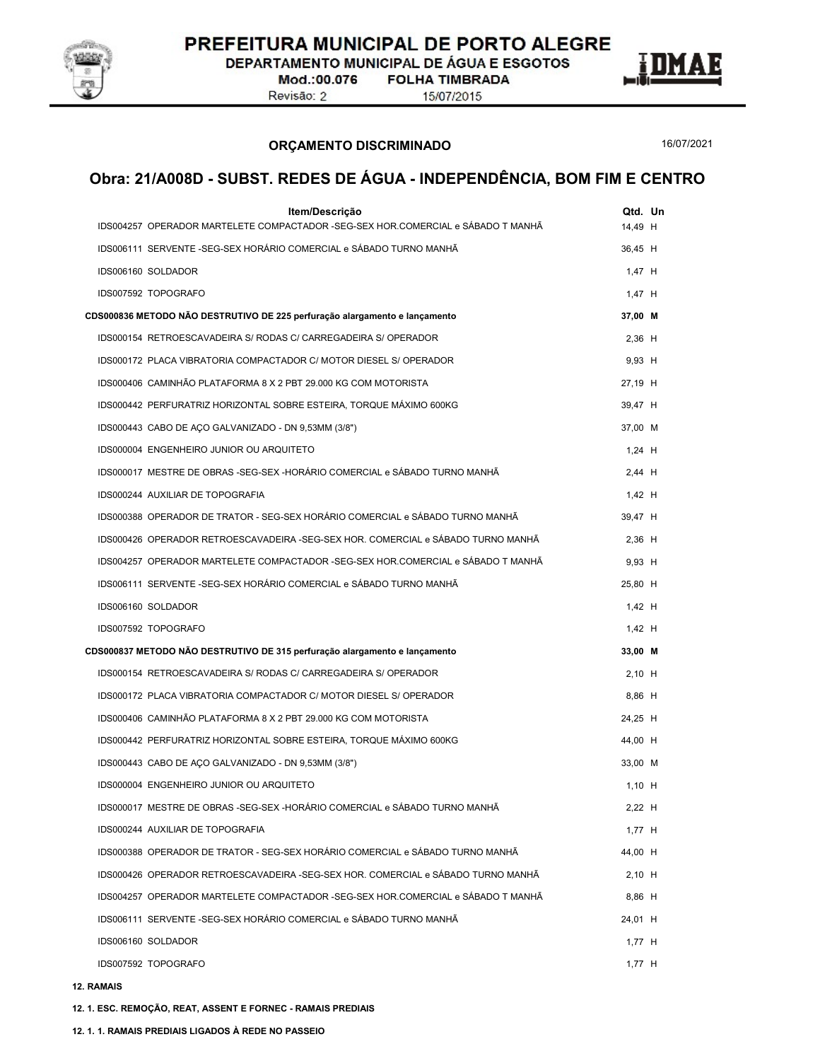

DEPARTAMENTO MUNICIPAL DE ÁGUA E ESGOTOS

Mod.:00.076 Revisão: 2

**FOLHA TIMBRADA** 15/07/2015



16/07/2021

Ľ

### Obra: 21/A008D - SUBST. REDES DE ÁGUA - INDEPENDÊNCIA, BOM FIM E CENTRO

| Item/Descrição<br>IDS004257 OPERADOR MARTELETE COMPACTADOR -SEG-SEX HOR.COMERCIAL e SÁBADO T MANHÃ | Qtd. Un<br>14,49 H |  |
|----------------------------------------------------------------------------------------------------|--------------------|--|
| IDS006111 SERVENTE -SEG-SEX HORÁRIO COMERCIAL e SÁBADO TURNO MANHÃ                                 |                    |  |
|                                                                                                    | 36,45 H            |  |
| IDS006160 SOLDADOR                                                                                 | $1,47$ H           |  |
| IDS007592 TOPOGRAFO                                                                                | $1,47$ H           |  |
| CDS000836 METODO NÃO DESTRUTIVO DE 225 perfuração alargamento e lançamento                         | 37,00 M            |  |
| IDS000154 RETROESCAVADEIRA S/ RODAS C/ CARREGADEIRA S/ OPERADOR                                    | $2,36$ H           |  |
| IDS000172 PLACA VIBRATORIA COMPACTADOR C/ MOTOR DIESEL S/ OPERADOR                                 | $9,93$ H           |  |
| IDS000406 CAMINHÃO PLATAFORMA 8 X 2 PBT 29.000 KG COM MOTORISTA                                    | 27,19 H            |  |
| IDS000442 PERFURATRIZ HORIZONTAL SOBRE ESTEIRA, TORQUE MÁXIMO 600KG                                | 39,47 H            |  |
| IDS000443 CABO DE AÇO GALVANIZADO - DN 9,53MM (3/8")                                               | 37,00 M            |  |
| IDS000004 ENGENHEIRO JUNIOR OU ARQUITETO                                                           | $1,24$ H           |  |
| IDS000017 MESTRE DE OBRAS -SEG-SEX -HORÁRIO COMERCIAL e SÁBADO TURNO MANHÃ                         | $2,44$ H           |  |
| IDS000244 AUXILIAR DE TOPOGRAFIA                                                                   | $1,42$ H           |  |
| IDS000388 OPERADOR DE TRATOR - SEG-SEX HORÁRIO COMERCIAL e SÁBADO TURNO MANHÃ                      | 39,47 H            |  |
| IDS000426 OPERADOR RETROESCAVADEIRA -SEG-SEX HOR. COMERCIAL e SÁBADO TURNO MANHÃ                   | $2,36$ H           |  |
| IDS004257 OPERADOR MARTELETE COMPACTADOR -SEG-SEX HOR.COMERCIAL e SÁBADO T MANHÃ                   | $9,93$ H           |  |
| IDS006111 SERVENTE - SEG-SEX HORÁRIO COMERCIAL e SÁBADO TURNO MANHÃ                                | 25,80 H            |  |
| IDS006160 SOLDADOR                                                                                 | $1,42$ H           |  |
| IDS007592 TOPOGRAFO                                                                                | $1,42$ H           |  |
| CDS000837 METODO NÃO DESTRUTIVO DE 315 perfuração alargamento e lançamento                         | 33,00 M            |  |
| IDS000154 RETROESCAVADEIRA S/ RODAS C/ CARREGADEIRA S/ OPERADOR                                    | $2,10$ H           |  |
| IDS000172 PLACA VIBRATORIA COMPACTADOR C/ MOTOR DIESEL S/ OPERADOR                                 | 8,86 H             |  |
| IDS000406 CAMINHÃO PLATAFORMA 8 X 2 PBT 29.000 KG COM MOTORISTA                                    | 24,25 H            |  |
| IDS000442 PERFURATRIZ HORIZONTAL SOBRE ESTEIRA, TORQUE MÁXIMO 600KG                                | 44,00 H            |  |
| IDS000443 CABO DE AÇO GALVANIZADO - DN 9,53MM (3/8")                                               | 33,00 M            |  |
| IDS000004 ENGENHEIRO JUNIOR OU ARQUITETO                                                           | $1,10$ H           |  |
| IDS000017 MESTRE DE OBRAS -SEG-SEX -HORÁRIO COMERCIAL e SÁBADO TURNO MANHÃ                         | $2,22$ H           |  |
| IDS000244 AUXILIAR DE TOPOGRAFIA                                                                   | $1,77$ H           |  |
| IDS000388 OPERADOR DE TRATOR - SEG-SEX HORÁRIO COMERCIAL e SÁBADO TURNO MANHÃ                      | 44,00 H            |  |
| IDS000426 OPERADOR RETROESCAVADEIRA -SEG-SEX HOR. COMERCIAL e SÁBADO TURNO MANHÃ                   | $2,10$ H           |  |
| IDS004257 OPERADOR MARTELETE COMPACTADOR -SEG-SEX HOR.COMERCIAL e SÁBADO T MANHÃ                   | 8,86 H             |  |
| IDS006111 SERVENTE -SEG-SEX HORÁRIO COMERCIAL e SÁBADO TURNO MANHÃ                                 | 24,01 H            |  |
| IDS006160 SOLDADOR                                                                                 | $1,77$ H           |  |
| IDS007592 TOPOGRAFO                                                                                | 1,77 H             |  |
|                                                                                                    |                    |  |

12. RAMAIS<br>12. 1. ESC. REMOÇÃO, REAT, ASSENT E FORNEC - RAMAIS PREDIAIS<br>12. 1. 1. RAMAIS PREDIAIS LIGADOS À REDE NO PASSEIO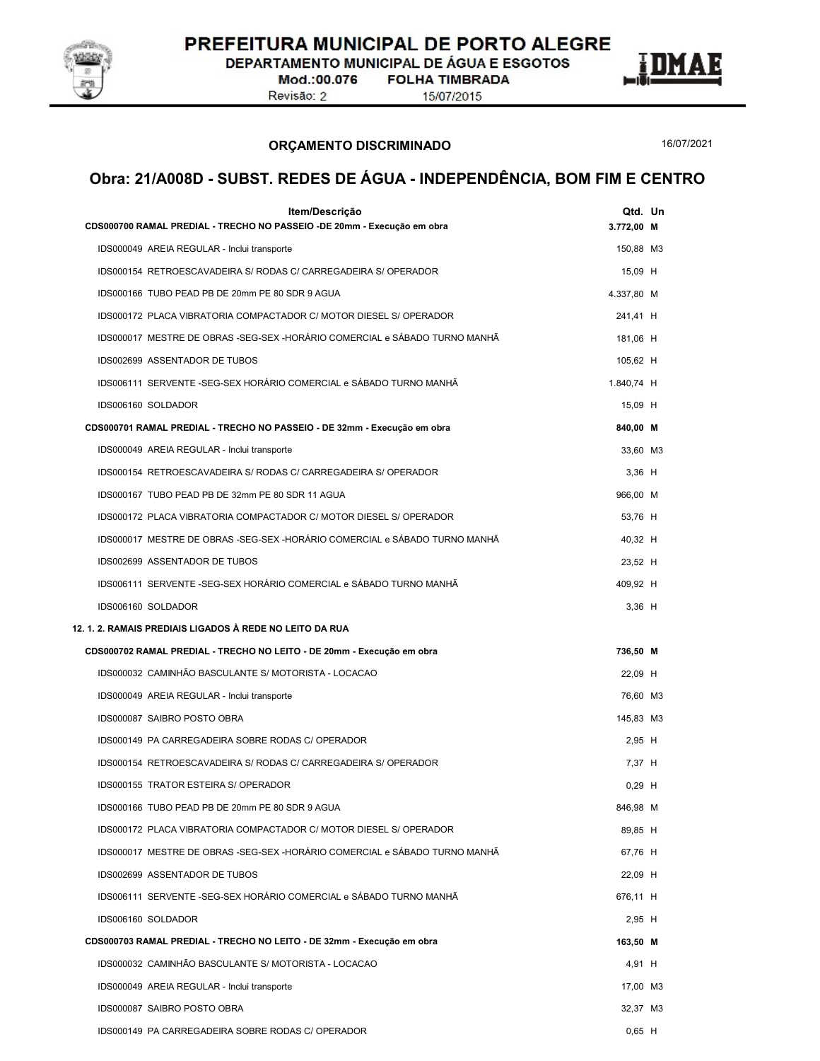

DEPARTAMENTO MUNICIPAL DE ÁGUA E ESGOTOS

Mod.:00.076 Revisão: 2

**FOLHA TIMBRADA** 15/07/2015

ORÇAMENTO DISCRIMINADO



16/07/2021

| Item/Descrição<br>CDS000700 RAMAL PREDIAL - TRECHO NO PASSEIO -DE 20mm - Execução em obra | Qtd. Un<br>3.772,00 M |  |
|-------------------------------------------------------------------------------------------|-----------------------|--|
| IDS000049 AREIA REGULAR - Inclui transporte                                               | 150,88 M3             |  |
| IDS000154 RETROESCAVADEIRA S/ RODAS C/ CARREGADEIRA S/ OPERADOR                           | 15,09 H               |  |
| IDS000166 TUBO PEAD PB DE 20mm PE 80 SDR 9 AGUA                                           | 4.337,80 M            |  |
| IDS000172 PLACA VIBRATORIA COMPACTADOR C/ MOTOR DIESEL S/ OPERADOR                        | 241,41 H              |  |
| IDS000017 MESTRE DE OBRAS -SEG-SEX -HORÁRIO COMERCIAL e SÁBADO TURNO MANHÃ                | 181,06 H              |  |
| IDS002699 ASSENTADOR DE TUBOS                                                             | 105,62 H              |  |
| IDS006111 SERVENTE -SEG-SEX HORÁRIO COMERCIAL e SÁBADO TURNO MANHÃ                        | 1.840,74 H            |  |
| IDS006160 SOLDADOR                                                                        | 15,09 H               |  |
| CDS000701 RAMAL PREDIAL - TRECHO NO PASSEIO - DE 32mm - Execução em obra                  | 840,00 M              |  |
| IDS000049 AREIA REGULAR - Inclui transporte                                               | 33,60 M3              |  |
| IDS000154 RETROESCAVADEIRA S/ RODAS C/ CARREGADEIRA S/ OPERADOR                           | $3,36$ H              |  |
| IDS000167 TUBO PEAD PB DE 32mm PE 80 SDR 11 AGUA                                          | 966,00 M              |  |
| IDS000172 PLACA VIBRATORIA COMPACTADOR C/ MOTOR DIESEL S/ OPERADOR                        | 53,76 H               |  |
| IDS000017 MESTRE DE OBRAS -SEG-SEX -HORÁRIO COMERCIAL e SÁBADO TURNO MANHÃ                | 40,32 H               |  |
| IDS002699 ASSENTADOR DE TUBOS                                                             | 23,52 H               |  |
| IDS006111 SERVENTE -SEG-SEX HORÁRIO COMERCIAL e SÁBADO TURNO MANHÃ                        | 409.92 H              |  |
| IDS006160 SOLDADOR                                                                        | $3,36$ H              |  |
| 12. 1. 2. RAMAIS PREDIAIS LIGADOS À REDE NO LEITO DA RUA                                  |                       |  |
| CDS000702 RAMAL PREDIAL - TRECHO NO LEITO - DE 20mm - Execução em obra                    | 736,50 M              |  |
| IDS000032 CAMINHÃO BASCULANTE S/ MOTORISTA - LOCACAO                                      | 22,09 H               |  |
| IDS000049 AREIA REGULAR - Inclui transporte                                               | 76,60 M3              |  |
| IDS000087 SAIBRO POSTO OBRA                                                               | 145,83 M3             |  |
| IDS000149 PA CARREGADEIRA SOBRE RODAS C/ OPERADOR                                         | 2,95 H                |  |
| IDS000154 RETROESCAVADEIRA S/ RODAS C/ CARREGADEIRA S/ OPERADOR                           | 7,37 H                |  |
| IDS000155 TRATOR ESTEIRA S/ OPERADOR                                                      | $0,29$ H              |  |
| IDS000166 TUBO PEAD PB DE 20mm PE 80 SDR 9 AGUA                                           | 846,98 M              |  |
| IDS000172 PLACA VIBRATORIA COMPACTADOR C/ MOTOR DIESEL S/ OPERADOR                        | 89,85 H               |  |
| IDS000017 MESTRE DE OBRAS -SEG-SEX -HORÁRIO COMERCIAL e SÁBADO TURNO MANHÃ                | 67,76 H               |  |
| IDS002699 ASSENTADOR DE TUBOS                                                             | 22,09 H               |  |
| IDS006111 SERVENTE -SEG-SEX HORÁRIO COMERCIAL e SÁBADO TURNO MANHÃ                        | 676,11 H              |  |
| IDS006160 SOLDADOR                                                                        | 2,95 H                |  |
| CDS000703 RAMAL PREDIAL - TRECHO NO LEITO - DE 32mm - Execução em obra                    | 163,50 M              |  |
| IDS000032 CAMINHÃO BASCULANTE S/ MOTORISTA - LOCACAO                                      |                       |  |
|                                                                                           | 4,91 H                |  |
| IDS000049 AREIA REGULAR - Inclui transporte                                               | 17,00 M3              |  |
| IDS000087 SAIBRO POSTO OBRA<br>IDS000149 PA CARREGADEIRA SOBRE RODAS C/ OPERADOR          | 32,37 M3              |  |
|                                                                                           | $0,65$ H              |  |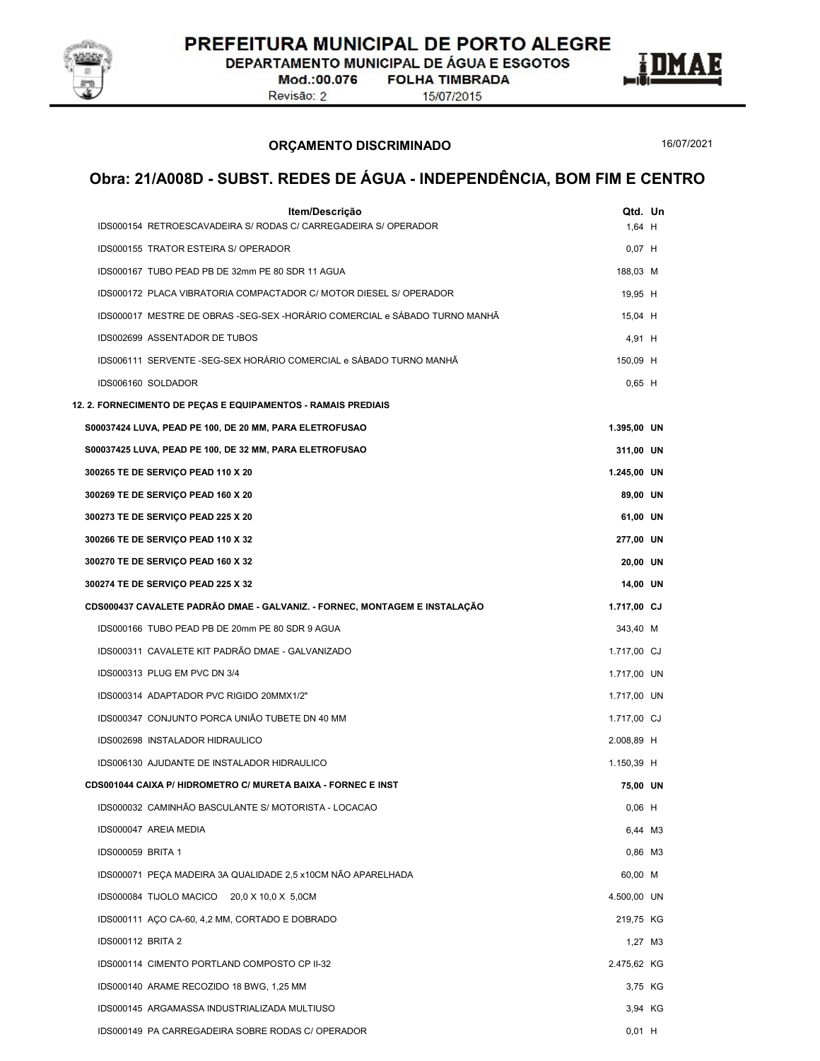

DEPARTAMENTO MUNICIPAL DE ÁGUA E ESGOTOS

Mod.:00.076 Revisão: 2

**FOLHA TIMBRADA** 15/07/2015

ORÇAMENTO DISCRIMINADO

16/07/2021

E

| Item/Descrição<br>IDS000154 RETROESCAVADEIRA S/ RODAS C/ CARREGADEIRA S/ OPERADOR | Qtd. Un<br>$1,64$ H |  |
|-----------------------------------------------------------------------------------|---------------------|--|
| IDS000155 TRATOR ESTEIRA S/ OPERADOR                                              | $0,07$ H            |  |
| IDS000167 TUBO PEAD PB DE 32mm PE 80 SDR 11 AGUA                                  | 188,03 M            |  |
| IDS000172 PLACA VIBRATORIA COMPACTADOR C/ MOTOR DIESEL S/ OPERADOR                | 19,95 H             |  |
| IDS000017 MESTRE DE OBRAS -SEG-SEX -HORÁRIO COMERCIAL e SÁBADO TURNO MANHÃ        | 15,04 H             |  |
| IDS002699 ASSENTADOR DE TUBOS                                                     | 4,91 H              |  |
| IDS006111 SERVENTE -SEG-SEX HORÁRIO COMERCIAL e SÁBADO TURNO MANHÃ                | 150,09 H            |  |
| IDS006160 SOLDADOR                                                                | $0,65$ H            |  |
| 12. 2. FORNECIMENTO DE PEÇAS E EQUIPAMENTOS - RAMAIS PREDIAIS                     |                     |  |
| S00037424 LUVA, PEAD PE 100, DE 20 MM, PARA ELETROFUSAO                           | 1.395,00 UN         |  |
| S00037425 LUVA, PEAD PE 100, DE 32 MM, PARA ELETROFUSAO                           | 311,00 UN           |  |
| 300265 TE DE SERVIÇO PEAD 110 X 20                                                | 1.245,00 UN         |  |
| 300269 TE DE SERVIÇO PEAD 160 X 20                                                | 89,00 UN            |  |
| 300273 TE DE SERVIÇO PEAD 225 X 20                                                | 61,00 UN            |  |
| 300266 TE DE SERVIÇO PEAD 110 X 32                                                | 277,00 UN           |  |
| 300270 TE DE SERVIÇO PEAD 160 X 32                                                | 20,00 UN            |  |
| 300274 TE DE SERVIÇO PEAD 225 X 32                                                | 14,00 UN            |  |
| CDS000437 CAVALETE PADRÃO DMAE - GALVANIZ. - FORNEC, MONTAGEM E INSTALAÇÃO        | 1.717,00 CJ         |  |
| IDS000166 TUBO PEAD PB DE 20mm PE 80 SDR 9 AGUA                                   | 343,40 M            |  |
| IDS000311 CAVALETE KIT PADRÃO DMAE - GALVANIZADO                                  | 1.717,00 CJ         |  |
| IDS000313 PLUG EM PVC DN 3/4                                                      |                     |  |
|                                                                                   | 1.717,00 UN         |  |
| IDS000314 ADAPTADOR PVC RIGIDO 20MMX1/2"                                          | 1.717,00 UN         |  |
| IDS000347 CONJUNTO PORCA UNIÃO TUBETE DN 40 MM                                    | 1.717,00 CJ         |  |
| IDS002698 INSTALADOR HIDRAULICO                                                   | 2.008,89 H          |  |
| IDS006130 AJUDANTE DE INSTALADOR HIDRAULICO                                       | 1.150,39 H          |  |
| CDS001044 CAIXA P/ HIDROMETRO C/ MURETA BAIXA - FORNEC E INST                     | 75,00 UN            |  |
| IDS000032 CAMINHÃO BASCULANTE S/ MOTORISTA - LOCACAO                              | $0,06$ H            |  |
| IDS000047 AREIA MEDIA                                                             | 6,44 M3             |  |
| IDS000059 BRITA 1                                                                 | 0,86 M3             |  |
| IDS000071 PEÇA MADEIRA 3A QUALIDADE 2,5 x10CM NÃO APARELHADA                      | 60,00 M             |  |
| IDS000084 TIJOLO MACICO 20,0 X 10,0 X 5,0CM                                       | 4.500,00 UN         |  |
| IDS000111 ACO CA-60, 4,2 MM, CORTADO E DOBRADO                                    | 219,75 KG           |  |
| <b>IDS000112 BRITA 2</b>                                                          | 1,27 M3             |  |
| IDS000114 CIMENTO PORTLAND COMPOSTO CP II-32                                      | 2.475,62 KG         |  |
| IDS000140 ARAME RECOZIDO 18 BWG, 1,25 MM                                          | 3,75 KG             |  |
| IDS000145 ARGAMASSA INDUSTRIALIZADA MULTIUSO                                      | 3,94 KG             |  |
| IDS000149 PA CARREGADEIRA SOBRE RODAS C/ OPERADOR                                 | $0,01$ H            |  |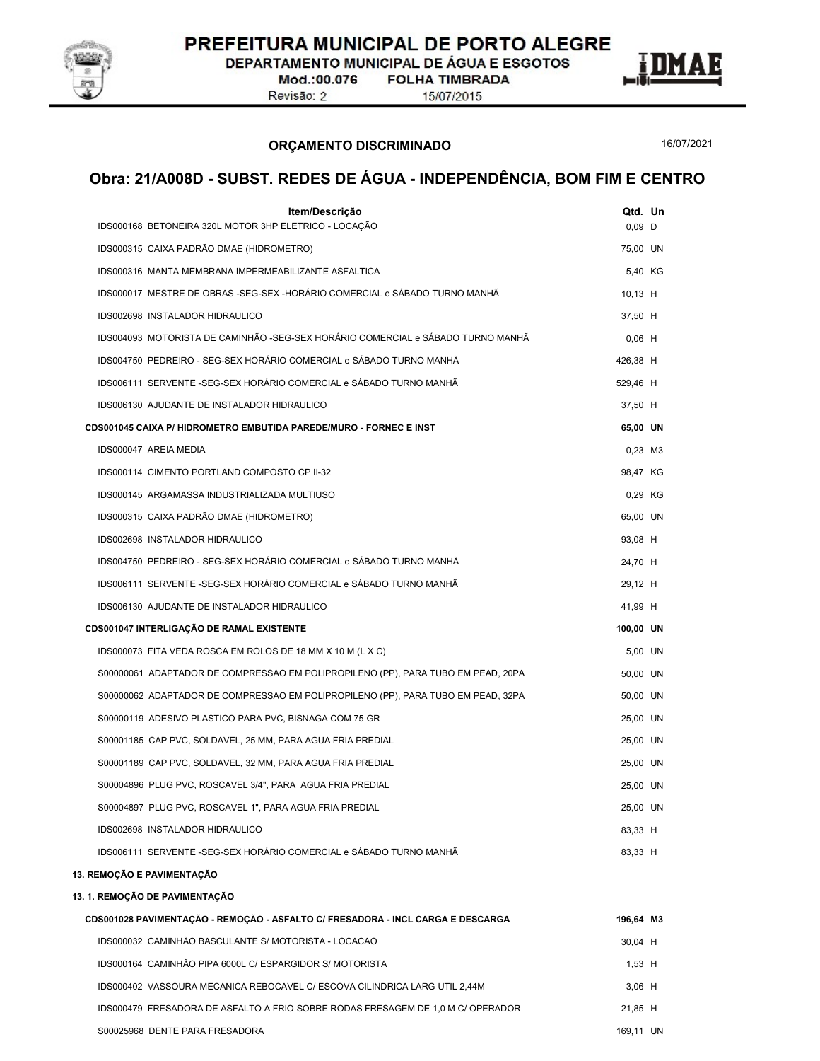

DEPARTAMENTO MUNICIPAL DE ÁGUA E ESGOTOS

Mod.:00.076 Revisão: 2

**FOLHA TIMBRADA** 

15/07/2015

ORÇAMENTO DISCRIMINADO

16/07/2021

| Item/Descrição<br>IDS000168 BETONEIRA 320L MOTOR 3HP ELETRICO - LOCAÇÃO          | Qtd. Un<br>$0,09$ D |           |  |
|----------------------------------------------------------------------------------|---------------------|-----------|--|
| IDS000315 CAIXA PADRÃO DMAE (HIDROMETRO)                                         | 75,00 UN            |           |  |
| IDS000316 MANTA MEMBRANA IMPERMEABILIZANTE ASFALTICA                             |                     | 5.40 KG   |  |
| IDS000017 MESTRE DE OBRAS -SEG-SEX -HORÁRIO COMERCIAL e SÁBADO TURNO MANHÃ       | 10.13 H             |           |  |
| IDS002698 INSTALADOR HIDRAULICO                                                  | 37,50 H             |           |  |
| IDS004093 MOTORISTA DE CAMINHÃO -SEG-SEX HORÁRIO COMERCIAL e SÁBADO TURNO MANHÃ  | $0,06$ H            |           |  |
| IDS004750 PEDREIRO - SEG-SEX HORÁRIO COMERCIAL e SÁBADO TURNO MANHÃ              | 426,38 H            |           |  |
| IDS006111 SERVENTE -SEG-SEX HORÁRIO COMERCIAL e SÁBADO TURNO MANHÃ               | 529,46 H            |           |  |
| IDS006130 AJUDANTE DE INSTALADOR HIDRAULICO                                      | 37,50 H             |           |  |
| CDS001045 CAIXA P/ HIDROMETRO EMBUTIDA PAREDE/MURO - FORNEC E INST               | 65,00 UN            |           |  |
| IDS000047 AREIA MEDIA                                                            |                     | $0,23$ M3 |  |
| IDS000114 CIMENTO PORTLAND COMPOSTO CP II-32                                     | 98,47 KG            |           |  |
| IDS000145 ARGAMASSA INDUSTRIALIZADA MULTIUSO                                     |                     | 0,29 KG   |  |
| IDS000315 CAIXA PADRÃO DMAE (HIDROMETRO)                                         | 65,00 UN            |           |  |
| IDS002698 INSTALADOR HIDRAULICO                                                  | 93,08 H             |           |  |
| IDS004750 PEDREIRO - SEG-SEX HORÁRIO COMERCIAL e SÁBADO TURNO MANHÃ              | 24,70 H             |           |  |
| IDS006111 SERVENTE -SEG-SEX HORÁRIO COMERCIAL e SÁBADO TURNO MANHÃ               | 29,12 H             |           |  |
| IDS006130 AJUDANTE DE INSTALADOR HIDRAULICO                                      | 41,99 H             |           |  |
| CDS001047 INTERLIGAÇÃO DE RAMAL EXISTENTE                                        | 100,00 UN           |           |  |
| IDS000073 FITA VEDA ROSCA EM ROLOS DE 18 MM X 10 M (L X C)                       |                     | 5,00 UN   |  |
| S00000061 ADAPTADOR DE COMPRESSAO EM POLIPROPILENO (PP), PARA TUBO EM PEAD, 20PA | 50,00 UN            |           |  |
| S00000062 ADAPTADOR DE COMPRESSAO EM POLIPROPILENO (PP), PARA TUBO EM PEAD, 32PA | 50,00 UN            |           |  |
| S00000119 ADESIVO PLASTICO PARA PVC, BISNAGA COM 75 GR                           | 25,00 UN            |           |  |
| S00001185 CAP PVC, SOLDAVEL, 25 MM, PARA AGUA FRIA PREDIAL                       | 25,00 UN            |           |  |
| S00001189 CAP PVC, SOLDAVEL, 32 MM, PARA AGUA FRIA PREDIAL                       | 25,00 UN            |           |  |
| S00004896 PLUG PVC, ROSCAVEL 3/4", PARA AGUA FRIA PREDIAL                        | 25,00 UN            |           |  |
| S00004897 PLUG PVC, ROSCAVEL 1", PARA AGUA FRIA PREDIAL                          | 25,00 UN            |           |  |
| IDS002698 INSTALADOR HIDRAULICO                                                  | 83,33 H             |           |  |
| IDS006111 SERVENTE -SEG-SEX HORÁRIO COMERCIAL e SÁBADO TURNO MANHÃ               | 83,33 H             |           |  |
| 13. REMOÇÃO E PAVIMENTAÇÃO                                                       |                     |           |  |
| 13. 1. REMOÇÃO DE PAVIMENTAÇÃO                                                   |                     |           |  |
| CDS001028 PAVIMENTAÇÃO - REMOÇÃO - ASFALTO C/ FRESADORA - INCL CARGA E DESCARGA  | 196,64 M3           |           |  |
| IDS000032 CAMINHÃO BASCULANTE S/ MOTORISTA - LOCACAO                             | 30,04 H             |           |  |
| IDS000164 CAMINHÃO PIPA 6000L C/ ESPARGIDOR S/ MOTORISTA                         | $1,53$ H            |           |  |
| IDS000402 VASSOURA MECANICA REBOCAVEL C/ ESCOVA CILINDRICA LARG UTIL 2,44M       | $3,06$ H            |           |  |
| IDS000479 FRESADORA DE ASFALTO A FRIO SOBRE RODAS FRESAGEM DE 1,0 M C/ OPERADOR  | 21,85 H             |           |  |
| S00025968 DENTE PARA FRESADORA                                                   | 169,11 UN           |           |  |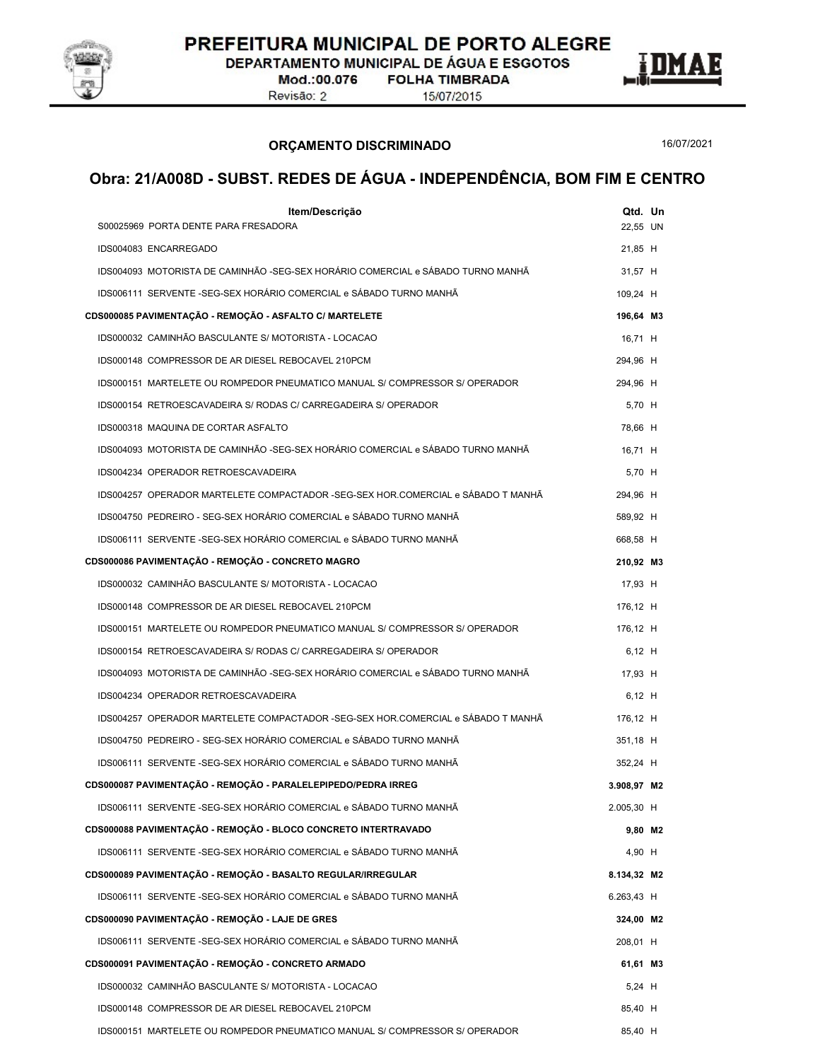

DEPARTAMENTO MUNICIPAL DE ÁGUA E ESGOTOS

Mod.:00.076 Revisão: 2

**FOLHA TIMBRADA** 15/07/2015

ORÇAMENTO DISCRIMINADO

16/07/2021

E

| Item/Descrição                                                                   | Qtd. Un     |         |
|----------------------------------------------------------------------------------|-------------|---------|
| S00025969 PORTA DENTE PARA FRESADORA                                             | 22,55 UN    |         |
| IDS004083 ENCARREGADO                                                            | 21,85 H     |         |
| IDS004093 MOTORISTA DE CAMINHÃO -SEG-SEX HORÁRIO COMERCIAL e SÁBADO TURNO MANHÃ  | 31,57 H     |         |
| IDS006111 SERVENTE -SEG-SEX HORÁRIO COMERCIAL e SÁBADO TURNO MANHÃ               | 109,24 H    |         |
| CDS000085 PAVIMENTAÇÃO - REMOÇÃO - ASFALTO C/ MARTELETE                          | 196,64 M3   |         |
| IDS000032 CAMINHÃO BASCULANTE S/ MOTORISTA - LOCACAO                             | 16.71 H     |         |
| IDS000148 COMPRESSOR DE AR DIESEL REBOCAVEL 210PCM                               | 294,96 H    |         |
| IDS000151 MARTELETE OU ROMPEDOR PNEUMATICO MANUAL S/ COMPRESSOR S/ OPERADOR      | 294,96 H    |         |
| IDS000154 RETROESCAVADEIRA S/ RODAS C/ CARREGADEIRA S/ OPERADOR                  | 5,70 H      |         |
| IDS000318 MAQUINA DE CORTAR ASFALTO                                              | 78,66 H     |         |
| IDS004093 MOTORISTA DE CAMINHÃO -SEG-SEX HORÁRIO COMERCIAL e SÁBADO TURNO MANHÃ  | 16,71 H     |         |
| IDS004234 OPERADOR RETROESCAVADEIRA                                              | 5,70 H      |         |
| IDS004257 OPERADOR MARTELETE COMPACTADOR -SEG-SEX HOR.COMERCIAL e SÁBADO T MANHÃ | 294,96 H    |         |
| IDS004750 PEDREIRO - SEG-SEX HORÁRIO COMERCIAL e SÁBADO TURNO MANHÃ              | 589,92 H    |         |
| IDS006111 SERVENTE -SEG-SEX HORÁRIO COMERCIAL e SÁBADO TURNO MANHÃ               | 668,58 H    |         |
| CDS000086 PAVIMENTAÇÃO - REMOÇÃO - CONCRETO MAGRO                                | 210,92 M3   |         |
| IDS000032 CAMINHÃO BASCULANTE S/ MOTORISTA - LOCACAO                             | 17,93 H     |         |
| IDS000148 COMPRESSOR DE AR DIESEL REBOCAVEL 210PCM                               | 176,12 H    |         |
| IDS000151 MARTELETE OU ROMPEDOR PNEUMATICO MANUAL S/ COMPRESSOR S/ OPERADOR      | 176,12 H    |         |
| IDS000154 RETROESCAVADEIRA S/ RODAS C/ CARREGADEIRA S/ OPERADOR                  | 6,12 H      |         |
| IDS004093 MOTORISTA DE CAMINHÃO -SEG-SEX HORÁRIO COMERCIAL e SÁBADO TURNO MANHÃ  | 17,93 H     |         |
| IDS004234 OPERADOR RETROESCAVADEIRA                                              | $6,12$ H    |         |
| IDS004257 OPERADOR MARTELETE COMPACTADOR -SEG-SEX HOR.COMERCIAL e SÁBADO T MANHÃ | 176.12 H    |         |
| IDS004750 PEDREIRO - SEG-SEX HORÁRIO COMERCIAL e SÁBADO TURNO MANHÃ              | 351,18 H    |         |
| IDS006111 SERVENTE -SEG-SEX HORÁRIO COMERCIAL e SÁBADO TURNO MANHÃ               | 352,24 H    |         |
| CDS000087 PAVIMENTAÇÃO - REMOÇÃO - PARALELEPIPEDO/PEDRA IRREG                    | 3.908,97 M2 |         |
| IDS006111 SERVENTE -SEG-SEX HORÁRIO COMERCIAL e SÁBADO TURNO MANHÃ               | 2.005,30 H  |         |
| CDS000088 PAVIMENTAÇÃO - REMOÇÃO - BLOCO CONCRETO INTERTRAVADO                   |             | 9,80 M2 |
| IDS006111 SERVENTE -SEG-SEX HORÁRIO COMERCIAL e SÁBADO TURNO MANHÃ               | 4,90 H      |         |
| CDS000089 PAVIMENTAÇÃO - REMOÇÃO - BASALTO REGULAR/IRREGULAR                     | 8.134,32 M2 |         |
| IDS006111 SERVENTE -SEG-SEX HORÁRIO COMERCIAL e SÁBADO TURNO MANHÃ               | 6.263,43 H  |         |
| CDS000090 PAVIMENTAÇÃO - REMOÇÃO - LAJE DE GRES                                  | 324,00 M2   |         |
| IDS006111 SERVENTE -SEG-SEX HORÁRIO COMERCIAL e SÁBADO TURNO MANHÃ               | 208,01 H    |         |
| CDS000091 PAVIMENTAÇÃO - REMOÇÃO - CONCRETO ARMADO                               | 61,61 M3    |         |
| IDS000032 CAMINHÃO BASCULANTE S/ MOTORISTA - LOCACAO                             | $5,24$ H    |         |
| IDS000148 COMPRESSOR DE AR DIESEL REBOCAVEL 210PCM                               | 85,40 H     |         |
| IDS000151 MARTELETE OU ROMPEDOR PNEUMATICO MANUAL S/ COMPRESSOR S/ OPERADOR      | 85,40 H     |         |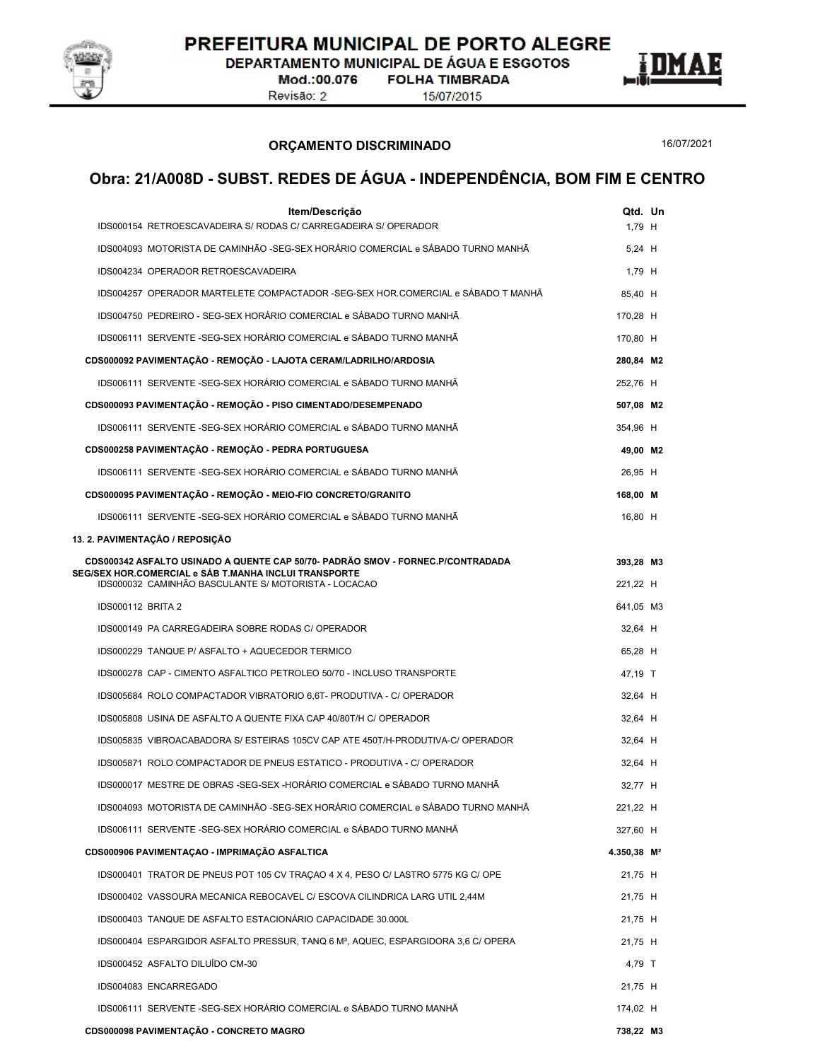

DEPARTAMENTO MUNICIPAL DE ÁGUA E ESGOTOS

Mod.:00.076 Revisão: 2

**FOLHA TIMBRADA** 15/07/2015



ORÇAMENTO DISCRIMINADO

16/07/2021

| Item/Descrição<br>IDS000154 RETROESCAVADEIRA S/ RODAS C/ CARREGADEIRA S/ OPERADOR                                                         | 1,79 H                  | Qtd. Un |
|-------------------------------------------------------------------------------------------------------------------------------------------|-------------------------|---------|
| IDS004093 MOTORISTA DE CAMINHÃO -SEG-SEX HORÁRIO COMERCIAL e SÁBADO TURNO MANHÃ                                                           | 5,24 H                  |         |
| IDS004234 OPERADOR RETROESCAVADEIRA                                                                                                       | 1,79 H                  |         |
| IDS004257 OPERADOR MARTELETE COMPACTADOR -SEG-SEX HOR.COMERCIAL e SÁBADO T MANHÃ                                                          | 85,40 H                 |         |
| IDS004750 PEDREIRO - SEG-SEX HORÁRIO COMERCIAL e SÁBADO TURNO MANHÃ                                                                       | 170,28 H                |         |
| IDS006111 SERVENTE -SEG-SEX HORÁRIO COMERCIAL e SÁBADO TURNO MANHÃ                                                                        | 170,80 H                |         |
| CDS000092 PAVIMENTAÇÃO - REMOÇÃO - LAJOTA CERAM/LADRILHO/ARDOSIA                                                                          | 280,84 M2               |         |
| IDS006111 SERVENTE -SEG-SEX HORÁRIO COMERCIAL e SÁBADO TURNO MANHÃ                                                                        | 252,76 H                |         |
| CDS000093 PAVIMENTAÇÃO - REMOÇÃO - PISO CIMENTADO/DESEMPENADO                                                                             | 507,08 M2               |         |
| IDS006111 SERVENTE -SEG-SEX HORÁRIO COMERCIAL e SÁBADO TURNO MANHÃ                                                                        | 354,96 H                |         |
| CDS000258 PAVIMENTAÇÃO - REMOÇÃO - PEDRA PORTUGUESA                                                                                       | 49,00 M2                |         |
| IDS006111 SERVENTE -SEG-SEX HORÁRIO COMERCIAL e SÁBADO TURNO MANHÃ                                                                        | 26,95 H                 |         |
| CDS000095 PAVIMENTAÇÃO - REMOÇÃO - MEIO-FIO CONCRETO/GRANITO                                                                              | 168,00 M                |         |
| IDS006111 SERVENTE -SEG-SEX HORÁRIO COMERCIAL e SÁBADO TURNO MANHÃ                                                                        | 16,80 H                 |         |
| 13. 2. PAVIMENTAÇÃO / REPOSIÇÃO                                                                                                           |                         |         |
| CDS000342 ASFALTO USINADO A QUENTE CAP 50/70- PADRÃO SMOV - FORNEC.P/CONTRADADA                                                           | 393,28 M3               |         |
| SEG/SEX HOR.COMERCIAL e SÁB T.MANHA INCLUI TRANSPORTE<br>IDS000032 CAMINHÃO BASCULANTE S/ MOTORISTA - LOCACAO                             | 221,22 H                |         |
| <b>IDS000112 BRITA 2</b>                                                                                                                  | 641,05 M3               |         |
| IDS000149 PA CARREGADEIRA SOBRE RODAS C/ OPERADOR                                                                                         | 32,64 H                 |         |
| IDS000229 TANQUE P/ ASFALTO + AQUECEDOR TERMICO                                                                                           | 65,28 H                 |         |
| IDS000278 CAP - CIMENTO ASFALTICO PETROLEO 50/70 - INCLUSO TRANSPORTE                                                                     | 47,19 T                 |         |
| IDS005684 ROLO COMPACTADOR VIBRATORIO 6,6T- PRODUTIVA - C/ OPERADOR                                                                       | 32,64 H                 |         |
| IDS005808 USINA DE ASFALTO A QUENTE FIXA CAP 40/80T/H C/ OPERADOR                                                                         | 32,64 H                 |         |
| IDS005835 VIBROACABADORA S/ ESTEIRAS 105CV CAP ATE 450T/H-PRODUTIVA-C/ OPERADOR                                                           | 32,64 H                 |         |
| IDS005871 ROLO COMPACTADOR DE PNEUS ESTATICO - PRODUTIVA - C/ OPERADOR                                                                    | 32,64 H                 |         |
| IDS000017 MESTRE DE OBRAS -SEG-SEX -HORÁRIO COMERCIAL e SÁBADO TURNO MANHÃ                                                                | 32,77 H                 |         |
| IDS004093 MOTORISTA DE CAMINHÃO -SEG-SEX HORÁRIO COMERCIAL e SÁBADO TURNO MANHÃ                                                           | 221,22 H                |         |
| IDS006111 SERVENTE -SEG-SEX HORÁRIO COMERCIAL e SÁBADO TURNO MANHÃ                                                                        | 327,60 H                |         |
| CDS000906 PAVIMENTAÇAO - IMPRIMAÇÃO ASFALTICA                                                                                             | 4.350,38 M <sup>2</sup> |         |
| IDS000401 TRATOR DE PNEUS POT 105 CV TRACAO 4 X 4, PESO C/ LASTRO 5775 KG C/ OPE                                                          | 21,75 H                 |         |
|                                                                                                                                           |                         |         |
| IDS000402 VASSOURA MECANICA REBOCAVEL C/ ESCOVA CILINDRICA LARG UTIL 2,44M<br>IDS000403 TANQUE DE ASFALTO ESTACIONÁRIO CAPACIDADE 30.000L | 21,75 H                 |         |
|                                                                                                                                           | 21,75 H                 |         |
| IDS000404 ESPARGIDOR ASFALTO PRESSUR, TANQ 6 M <sup>3</sup> , AQUEC, ESPARGIDORA 3,6 C/ OPERA<br>IDS000452 ASFALTO DILUÍDO CM-30          | 21,75 H                 |         |
|                                                                                                                                           | 4,79 T                  |         |
| IDS004083 ENCARREGADO                                                                                                                     | 21,75 H                 |         |
| IDS006111 SERVENTE -SEG-SEX HORÁRIO COMERCIAL e SÁBADO TURNO MANHÃ                                                                        | 174,02 H                |         |
| CDS000098 PAVIMENTAÇÃO - CONCRETO MAGRO                                                                                                   | 738,22 M3               |         |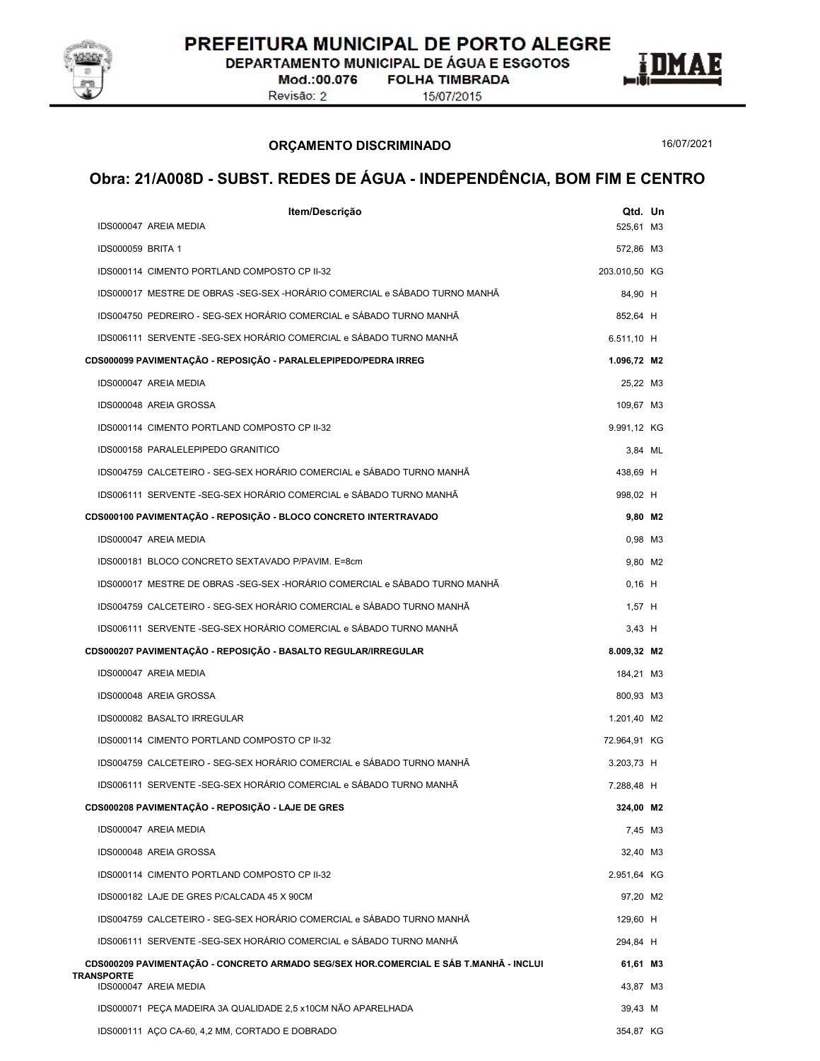

DEPARTAMENTO MUNICIPAL DE ÁGUA E ESGOTOS

Mod.:00.076 **FOLHA TIMBRADA** Revisão: 2

ORÇAMENTO DISCRIMINADO

15/07/2015



16/07/2021

| Item/Descrição                                                                                      |               | Qtd. Un |
|-----------------------------------------------------------------------------------------------------|---------------|---------|
| IDS000047 AREIA MEDIA                                                                               | 525,61 M3     |         |
| IDS000059 BRITA 1                                                                                   | 572,86 M3     |         |
| IDS000114 CIMENTO PORTLAND COMPOSTO CP II-32                                                        | 203.010,50 KG |         |
| IDS000017 MESTRE DE OBRAS -SEG-SEX -HORÁRIO COMERCIAL e SÁBADO TURNO MANHÃ                          | 84,90 H       |         |
| IDS004750 PEDREIRO - SEG-SEX HORÁRIO COMERCIAL e SÁBADO TURNO MANHÃ                                 | 852,64 H      |         |
| IDS006111 SERVENTE -SEG-SEX HORÁRIO COMERCIAL e SÁBADO TURNO MANHÃ                                  | 6.511,10 H    |         |
| CDS000099 PAVIMENTAÇÃO - REPOSIÇÃO - PARALELEPIPEDO/PEDRA IRREG                                     | 1.096,72 M2   |         |
| IDS000047 AREIA MEDIA                                                                               | 25,22 M3      |         |
| IDS000048 AREIA GROSSA                                                                              | 109,67 M3     |         |
| IDS000114 CIMENTO PORTLAND COMPOSTO CP II-32                                                        | 9.991,12 KG   |         |
| IDS000158 PARALELEPIPEDO GRANITICO                                                                  |               | 3,84 ML |
| IDS004759 CALCETEIRO - SEG-SEX HORÁRIO COMERCIAL e SÁBADO TURNO MANHÃ                               | 438,69 H      |         |
| IDS006111 SERVENTE -SEG-SEX HORÁRIO COMERCIAL e SÁBADO TURNO MANHÃ                                  | 998,02 H      |         |
| CDS000100 PAVIMENTAÇÃO - REPOSIÇÃO - BLOCO CONCRETO INTERTRAVADO                                    |               | 9,80 M2 |
| IDS000047 AREIA MEDIA                                                                               |               | 0,98 M3 |
| IDS000181 BLOCO CONCRETO SEXTAVADO P/PAVIM. E=8cm                                                   |               | 9,80 M2 |
| IDS000017 MESTRE DE OBRAS -SEG-SEX -HORÁRIO COMERCIAL e SÁBADO TURNO MANHÃ                          | $0,16$ H      |         |
| IDS004759 CALCETEIRO - SEG-SEX HORÁRIO COMERCIAL e SÁBADO TURNO MANHÃ                               | $1,57$ H      |         |
| IDS006111 SERVENTE -SEG-SEX HORÁRIO COMERCIAL e SÁBADO TURNO MANHÃ                                  | $3,43$ H      |         |
| CDS000207 PAVIMENTAÇÃO - REPOSIÇÃO - BASALTO REGULAR/IRREGULAR                                      | 8.009,32 M2   |         |
| IDS000047 AREIA MEDIA                                                                               | 184,21 M3     |         |
| IDS000048 AREIA GROSSA                                                                              | 800,93 M3     |         |
| IDS000082 BASALTO IRREGULAR                                                                         | 1.201,40 M2   |         |
| IDS000114 CIMENTO PORTLAND COMPOSTO CP II-32                                                        | 72.964,91 KG  |         |
| IDS004759 CALCETEIRO - SEG-SEX HORÁRIO COMERCIAL e SÁBADO TURNO MANHÃ                               | $3.203,73$ H  |         |
| IDS006111 SERVENTE -SEG-SEX HORÁRIO COMERCIAL e SÁBADO TURNO MANHÃ                                  | 7.288,48 H    |         |
| CDS000208 PAVIMENTAÇÃO - REPOSIÇÃO - LAJE DE GRES                                                   | 324,00 M2     |         |
| IDS000047 AREIA MEDIA                                                                               |               | 7,45 M3 |
| IDS000048 AREIA GROSSA                                                                              | 32,40 M3      |         |
| IDS000114 CIMENTO PORTLAND COMPOSTO CP II-32                                                        | 2.951,64 KG   |         |
| IDS000182 LAJE DE GRES P/CALCADA 45 X 90CM                                                          | 97,20 M2      |         |
| IDS004759 CALCETEIRO - SEG-SEX HORÁRIO COMERCIAL e SÁBADO TURNO MANHÃ                               |               |         |
|                                                                                                     | 129,60 H      |         |
| IDS006111 SERVENTE - SEG-SEX HORÁRIO COMERCIAL e SÁBADO TURNO MANHÃ                                 | 294,84 H      |         |
| CDS000209 PAVIMENTAÇÃO - CONCRETO ARMADO SEG/SEX HOR.COMERCIAL E SÁB T.MANHÃ - INCLUI<br>TRANSPORTE | 61,61 M3      |         |
| IDS000047 AREIA MEDIA                                                                               | 43,87 M3      |         |
| IDS000071 PEÇA MADEIRA 3A QUALIDADE 2,5 x10CM NÃO APARELHADA                                        | 39,43 M       |         |
| IDS000111 AÇO CA-60, 4,2 MM, CORTADO E DOBRADO                                                      | 354,87 KG     |         |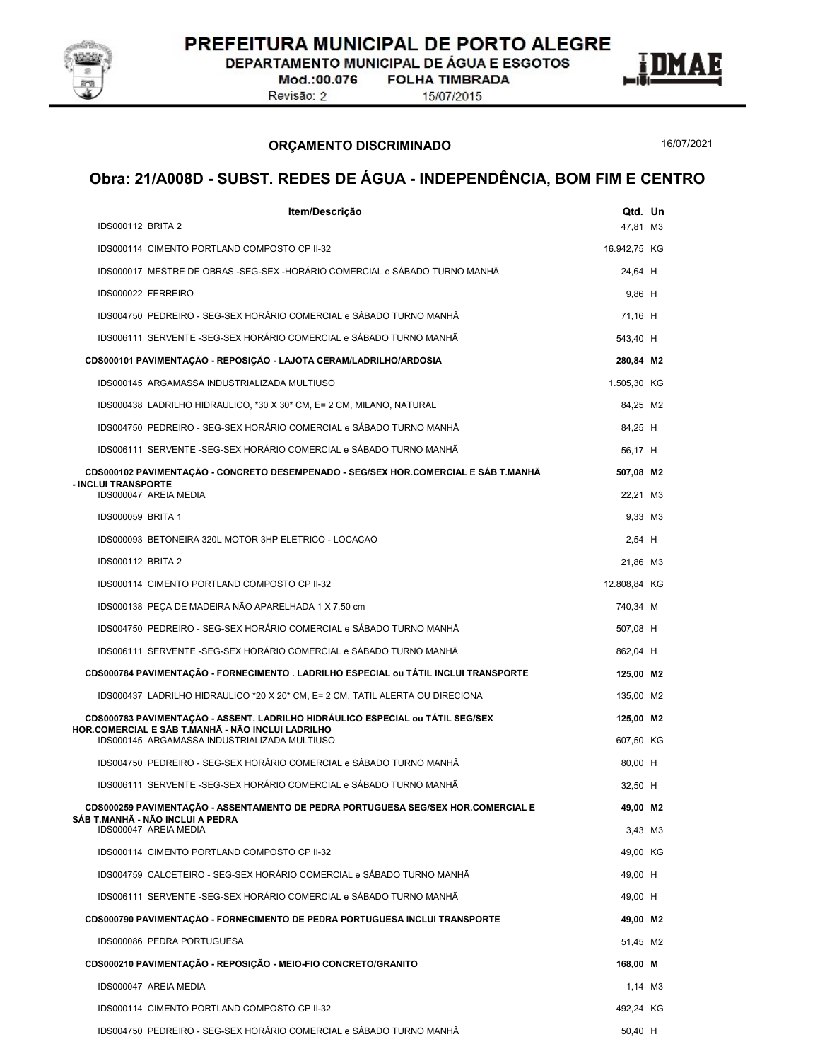

DEPARTAMENTO MUNICIPAL DE ÁGUA E ESGOTOS

Mod.:00.076 **FOLHA TIMBRADA** Revisão: 2

15/07/2015

ORÇAMENTO DISCRIMINADO

16/07/2021

| Item/Descrição                                                                                    | Qtd. Un      |  |
|---------------------------------------------------------------------------------------------------|--------------|--|
| <b>IDS000112 BRITA 2</b>                                                                          | 47,81 M3     |  |
| IDS000114 CIMENTO PORTLAND COMPOSTO CP II-32                                                      | 16.942,75 KG |  |
| IDS000017 MESTRE DE OBRAS -SEG-SEX -HORÁRIO COMERCIAL e SÁBADO TURNO MANHÃ                        | 24.64 H      |  |
| IDS000022 FERREIRO                                                                                | $9,86$ H     |  |
| IDS004750 PEDREIRO - SEG-SEX HORÁRIO COMERCIAL e SÁBADO TURNO MANHÃ                               | 71,16 H      |  |
| IDS006111 SERVENTE -SEG-SEX HORÁRIO COMERCIAL e SÁBADO TURNO MANHÃ                                | 543,40 H     |  |
| CDS000101 PAVIMENTAÇÃO - REPOSIÇÃO - LAJOTA CERAM/LADRILHO/ARDOSIA                                | 280,84 M2    |  |
| IDS000145 ARGAMASSA INDUSTRIALIZADA MULTIUSO                                                      | 1.505,30 KG  |  |
| IDS000438 LADRILHO HIDRAULICO, *30 X 30* CM, E= 2 CM, MILANO, NATURAL                             | 84,25 M2     |  |
| IDS004750 PEDREIRO - SEG-SEX HORÁRIO COMERCIAL e SÁBADO TURNO MANHÃ                               | 84,25 H      |  |
| IDS006111 SERVENTE -SEG-SEX HORÁRIO COMERCIAL e SÁBADO TURNO MANHÃ                                | 56,17 H      |  |
| CDS000102 PAVIMENTAÇÃO - CONCRETO DESEMPENADO - SEG/SEX HOR.COMERCIAL E SÁB T.MANHÃ               | 507,08 M2    |  |
| <b>INCLUI TRANSPORTE</b><br>IDS000047 AREIA MEDIA                                                 | 22.21 M3     |  |
| IDS000059 BRITA 1                                                                                 | 9,33 M3      |  |
| IDS000093 BETONEIRA 320L MOTOR 3HP ELETRICO - LOCACAO                                             | $2,54$ H     |  |
| <b>IDS000112 BRITA 2</b>                                                                          | 21,86 M3     |  |
| IDS000114 CIMENTO PORTLAND COMPOSTO CP II-32                                                      | 12.808,84 KG |  |
| IDS000138 PEÇA DE MADEIRA NÃO APARELHADA 1 X 7,50 cm                                              | 740,34 M     |  |
| IDS004750 PEDREIRO - SEG-SEX HORÁRIO COMERCIAL e SÁBADO TURNO MANHÃ                               | 507,08 H     |  |
| IDS006111 SERVENTE -SEG-SEX HORÁRIO COMERCIAL e SÁBADO TURNO MANHÃ                                | 862,04 H     |  |
| CDS000784 PAVIMENTAÇÃO - FORNECIMENTO . LADRILHO ESPECIAL ou TÁTIL INCLUI TRANSPORTE              | 125,00 M2    |  |
| IDS000437 LADRILHO HIDRAULICO *20 X 20* CM, E= 2 CM, TATIL ALERTA OU DIRECIONA                    | 135,00 M2    |  |
| CDS000783 PAVIMENTAÇÃO - ASSENT. LADRILHO HIDRÁULICO ESPECIAL ou TÁTIL SEG/SEX                    | 125,00 M2    |  |
| HOR.COMERCIAL E SÁB T.MANHÃ - NÃO INCLUI LADRILHO<br>IDS000145 ARGAMASSA INDUSTRIALIZADA MULTIUSO | 607,50 KG    |  |
| IDS004750 PEDREIRO - SEG-SEX HORÁRIO COMERCIAL e SÁBADO TURNO MANHÃ                               | 80,00 H      |  |
| IDS006111 SERVENTE -SEG-SEX HORÁRIO COMERCIAL e SÁBADO TURNO MANHÃ                                | 32,50 H      |  |
| CDS000259 PAVIMENTAÇÃO - ASSENTAMENTO DE PEDRA PORTUGUESA SEG/SEX HOR.COMERCIAL E                 | 49,00 M2     |  |
| SÁB T.MANHÃ - NÃO INCLUI A PEDRA<br>IDS000047 AREIA MEDIA                                         | 3,43 M3      |  |
| IDS000114 CIMENTO PORTLAND COMPOSTO CP II-32                                                      | 49,00 KG     |  |
| IDS004759 CALCETEIRO - SEG-SEX HORÁRIO COMERCIAL e SÁBADO TURNO MANHÃ                             | 49,00 H      |  |
| IDS006111 SERVENTE -SEG-SEX HORÁRIO COMERCIAL e SÁBADO TURNO MANHÃ                                | 49.00 H      |  |
| CDS000790 PAVIMENTAÇÃO - FORNECIMENTO DE PEDRA PORTUGUESA INCLUI TRANSPORTE                       | 49,00 M2     |  |
| IDS000086 PEDRA PORTUGUESA                                                                        | 51,45 M2     |  |
| CDS000210 PAVIMENTAÇÃO - REPOSIÇÃO - MEIO-FIO CONCRETO/GRANITO                                    | 168,00 M     |  |
|                                                                                                   |              |  |
| IDS000047 AREIA MEDIA                                                                             | 1,14 M3      |  |
| IDS000114 CIMENTO PORTLAND COMPOSTO CP II-32                                                      | 492,24 KG    |  |
| IDS004750 PEDREIRO - SEG-SEX HORÁRIO COMERCIAL e SÁBADO TURNO MANHÃ                               | 50,40 H      |  |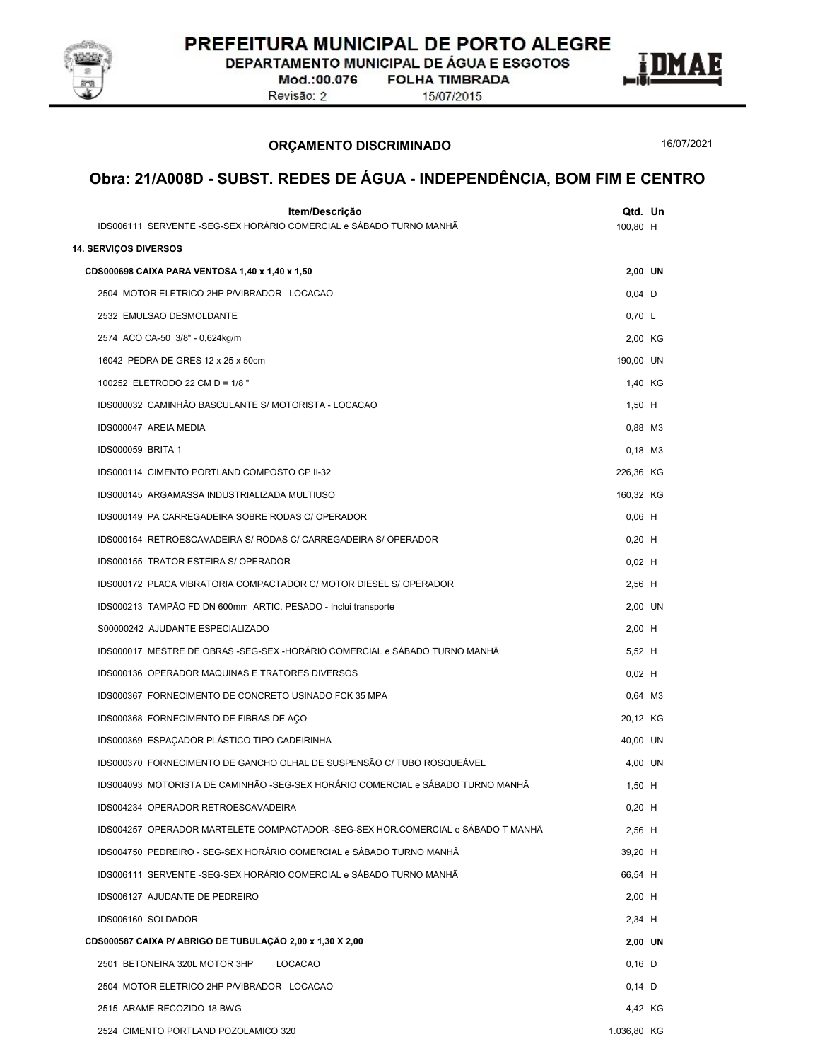

DEPARTAMENTO MUNICIPAL DE ÁGUA E ESGOTOS

Mod.:00.076 Revisão: 2

**FOLHA TIMBRADA** 15/07/2015



ORÇAMENTO DISCRIMINADO

16/07/2021

| 100,80 H<br><b>14. SERVIÇOS DIVERSOS</b><br>2,00 UN<br>CDS000698 CAIXA PARA VENTOSA 1,40 x 1,40 x 1,50<br>$0,04$ D<br>2504 MOTOR ELETRICO 2HP P/VIBRADOR LOCACAO<br>2532 EMULSAO DESMOLDANTE<br>0,70 L<br>2,00 KG<br>2574 ACO CA-50 3/8" - 0,624kg/m<br>16042 PEDRA DE GRES 12 x 25 x 50cm<br>190,00 UN<br>100252 ELETRODO 22 CM D = 1/8 "<br>1,40 KG<br>IDS000032 CAMINHÃO BASCULANTE S/ MOTORISTA - LOCACAO<br>$1,50$ H<br>IDS000047 AREIA MEDIA<br>0,88 M3<br><b>IDS000059 BRITA 1</b><br>$0,18$ M3<br>IDS000114 CIMENTO PORTLAND COMPOSTO CP II-32<br>226,36 KG<br>IDS000145 ARGAMASSA INDUSTRIALIZADA MULTIUSO<br>160,32 KG<br>$0,06$ H<br>IDS000149 PA CARREGADEIRA SOBRE RODAS C/ OPERADOR<br>IDS000154 RETROESCAVADEIRA S/ RODAS C/ CARREGADEIRA S/ OPERADOR<br>$0,20$ H<br>IDS000155 TRATOR ESTEIRA S/ OPERADOR<br>$0,02$ H<br>$2,56$ H<br>IDS000172 PLACA VIBRATORIA COMPACTADOR C/ MOTOR DIESEL S/ OPERADOR<br>IDS000213 TAMPÃO FD DN 600mm ARTIC. PESADO - Inclui transporte<br>2,00 UN<br>S00000242 AJUDANTE ESPECIALIZADO<br>$2,00$ H<br>IDS000017 MESTRE DE OBRAS -SEG-SEX -HORÁRIO COMERCIAL e SÁBADO TURNO MANHÃ<br>5,52 H<br>IDS000136 OPERADOR MAQUINAS E TRATORES DIVERSOS<br>$0,02$ H<br>IDS000367 FORNECIMENTO DE CONCRETO USINADO FCK 35 MPA<br>0,64 M3<br>20,12 KG<br>IDS000368 FORNECIMENTO DE FIBRAS DE AÇO<br>IDS000369 ESPAÇADOR PLÁSTICO TIPO CADEIRINHA<br>40,00 UN<br>IDS000370 FORNECIMENTO DE GANCHO OLHAL DE SUSPENSÃO C/ TUBO ROSQUEÁVEL<br>4,00 UN<br>IDS004093 MOTORISTA DE CAMINHÃO -SEG-SEX HORÁRIO COMERCIAL e SÁBADO TURNO MANHÃ<br>$1,50$ H<br>IDS004234 OPERADOR RETROESCAVADEIRA<br>$0,20$ H<br>IDS004257 OPERADOR MARTELETE COMPACTADOR -SEG-SEX HOR.COMERCIAL e SÁBADO T MANHÃ<br>$2,56$ H<br>IDS004750 PEDREIRO - SEG-SEX HORÁRIO COMERCIAL e SÁBADO TURNO MANHÃ<br>39,20 H<br>IDS006111 SERVENTE -SEG-SEX HORÁRIO COMERCIAL e SÁBADO TURNO MANHÃ<br>66,54 H<br>IDS006127 AJUDANTE DE PEDREIRO<br>$2,00$ H<br>IDS006160 SOLDADOR<br>$2,34$ H<br>CDS000587 CAIXA P/ ABRIGO DE TUBULAÇÃO 2,00 x 1,30 X 2,00<br>2,00 UN<br>2501 BETONEIRA 320L MOTOR 3HP<br>LOCACAO<br>$0,16$ D<br>2504 MOTOR ELETRICO 2HP P/VIBRADOR LOCACAO<br>$0,14$ D<br>2515 ARAME RECOZIDO 18 BWG<br>4,42 KG<br>1.036,80 KG | Item/Descrição<br>IDS006111 SERVENTE -SEG-SEX HORÁRIO COMERCIAL e SÁBADO TURNO MANHÃ | Qtd. Un |  |
|-----------------------------------------------------------------------------------------------------------------------------------------------------------------------------------------------------------------------------------------------------------------------------------------------------------------------------------------------------------------------------------------------------------------------------------------------------------------------------------------------------------------------------------------------------------------------------------------------------------------------------------------------------------------------------------------------------------------------------------------------------------------------------------------------------------------------------------------------------------------------------------------------------------------------------------------------------------------------------------------------------------------------------------------------------------------------------------------------------------------------------------------------------------------------------------------------------------------------------------------------------------------------------------------------------------------------------------------------------------------------------------------------------------------------------------------------------------------------------------------------------------------------------------------------------------------------------------------------------------------------------------------------------------------------------------------------------------------------------------------------------------------------------------------------------------------------------------------------------------------------------------------------------------------------------------------------------------------------------------------------------------------------------------------------------------------------------------------------------------------------------------------------------------------------------------------------------------------------------------------------|--------------------------------------------------------------------------------------|---------|--|
|                                                                                                                                                                                                                                                                                                                                                                                                                                                                                                                                                                                                                                                                                                                                                                                                                                                                                                                                                                                                                                                                                                                                                                                                                                                                                                                                                                                                                                                                                                                                                                                                                                                                                                                                                                                                                                                                                                                                                                                                                                                                                                                                                                                                                                               |                                                                                      |         |  |
|                                                                                                                                                                                                                                                                                                                                                                                                                                                                                                                                                                                                                                                                                                                                                                                                                                                                                                                                                                                                                                                                                                                                                                                                                                                                                                                                                                                                                                                                                                                                                                                                                                                                                                                                                                                                                                                                                                                                                                                                                                                                                                                                                                                                                                               |                                                                                      |         |  |
|                                                                                                                                                                                                                                                                                                                                                                                                                                                                                                                                                                                                                                                                                                                                                                                                                                                                                                                                                                                                                                                                                                                                                                                                                                                                                                                                                                                                                                                                                                                                                                                                                                                                                                                                                                                                                                                                                                                                                                                                                                                                                                                                                                                                                                               |                                                                                      |         |  |
|                                                                                                                                                                                                                                                                                                                                                                                                                                                                                                                                                                                                                                                                                                                                                                                                                                                                                                                                                                                                                                                                                                                                                                                                                                                                                                                                                                                                                                                                                                                                                                                                                                                                                                                                                                                                                                                                                                                                                                                                                                                                                                                                                                                                                                               |                                                                                      |         |  |
|                                                                                                                                                                                                                                                                                                                                                                                                                                                                                                                                                                                                                                                                                                                                                                                                                                                                                                                                                                                                                                                                                                                                                                                                                                                                                                                                                                                                                                                                                                                                                                                                                                                                                                                                                                                                                                                                                                                                                                                                                                                                                                                                                                                                                                               |                                                                                      |         |  |
|                                                                                                                                                                                                                                                                                                                                                                                                                                                                                                                                                                                                                                                                                                                                                                                                                                                                                                                                                                                                                                                                                                                                                                                                                                                                                                                                                                                                                                                                                                                                                                                                                                                                                                                                                                                                                                                                                                                                                                                                                                                                                                                                                                                                                                               |                                                                                      |         |  |
|                                                                                                                                                                                                                                                                                                                                                                                                                                                                                                                                                                                                                                                                                                                                                                                                                                                                                                                                                                                                                                                                                                                                                                                                                                                                                                                                                                                                                                                                                                                                                                                                                                                                                                                                                                                                                                                                                                                                                                                                                                                                                                                                                                                                                                               |                                                                                      |         |  |
|                                                                                                                                                                                                                                                                                                                                                                                                                                                                                                                                                                                                                                                                                                                                                                                                                                                                                                                                                                                                                                                                                                                                                                                                                                                                                                                                                                                                                                                                                                                                                                                                                                                                                                                                                                                                                                                                                                                                                                                                                                                                                                                                                                                                                                               |                                                                                      |         |  |
|                                                                                                                                                                                                                                                                                                                                                                                                                                                                                                                                                                                                                                                                                                                                                                                                                                                                                                                                                                                                                                                                                                                                                                                                                                                                                                                                                                                                                                                                                                                                                                                                                                                                                                                                                                                                                                                                                                                                                                                                                                                                                                                                                                                                                                               |                                                                                      |         |  |
|                                                                                                                                                                                                                                                                                                                                                                                                                                                                                                                                                                                                                                                                                                                                                                                                                                                                                                                                                                                                                                                                                                                                                                                                                                                                                                                                                                                                                                                                                                                                                                                                                                                                                                                                                                                                                                                                                                                                                                                                                                                                                                                                                                                                                                               |                                                                                      |         |  |
|                                                                                                                                                                                                                                                                                                                                                                                                                                                                                                                                                                                                                                                                                                                                                                                                                                                                                                                                                                                                                                                                                                                                                                                                                                                                                                                                                                                                                                                                                                                                                                                                                                                                                                                                                                                                                                                                                                                                                                                                                                                                                                                                                                                                                                               |                                                                                      |         |  |
|                                                                                                                                                                                                                                                                                                                                                                                                                                                                                                                                                                                                                                                                                                                                                                                                                                                                                                                                                                                                                                                                                                                                                                                                                                                                                                                                                                                                                                                                                                                                                                                                                                                                                                                                                                                                                                                                                                                                                                                                                                                                                                                                                                                                                                               |                                                                                      |         |  |
|                                                                                                                                                                                                                                                                                                                                                                                                                                                                                                                                                                                                                                                                                                                                                                                                                                                                                                                                                                                                                                                                                                                                                                                                                                                                                                                                                                                                                                                                                                                                                                                                                                                                                                                                                                                                                                                                                                                                                                                                                                                                                                                                                                                                                                               |                                                                                      |         |  |
|                                                                                                                                                                                                                                                                                                                                                                                                                                                                                                                                                                                                                                                                                                                                                                                                                                                                                                                                                                                                                                                                                                                                                                                                                                                                                                                                                                                                                                                                                                                                                                                                                                                                                                                                                                                                                                                                                                                                                                                                                                                                                                                                                                                                                                               |                                                                                      |         |  |
|                                                                                                                                                                                                                                                                                                                                                                                                                                                                                                                                                                                                                                                                                                                                                                                                                                                                                                                                                                                                                                                                                                                                                                                                                                                                                                                                                                                                                                                                                                                                                                                                                                                                                                                                                                                                                                                                                                                                                                                                                                                                                                                                                                                                                                               |                                                                                      |         |  |
|                                                                                                                                                                                                                                                                                                                                                                                                                                                                                                                                                                                                                                                                                                                                                                                                                                                                                                                                                                                                                                                                                                                                                                                                                                                                                                                                                                                                                                                                                                                                                                                                                                                                                                                                                                                                                                                                                                                                                                                                                                                                                                                                                                                                                                               |                                                                                      |         |  |
|                                                                                                                                                                                                                                                                                                                                                                                                                                                                                                                                                                                                                                                                                                                                                                                                                                                                                                                                                                                                                                                                                                                                                                                                                                                                                                                                                                                                                                                                                                                                                                                                                                                                                                                                                                                                                                                                                                                                                                                                                                                                                                                                                                                                                                               |                                                                                      |         |  |
|                                                                                                                                                                                                                                                                                                                                                                                                                                                                                                                                                                                                                                                                                                                                                                                                                                                                                                                                                                                                                                                                                                                                                                                                                                                                                                                                                                                                                                                                                                                                                                                                                                                                                                                                                                                                                                                                                                                                                                                                                                                                                                                                                                                                                                               |                                                                                      |         |  |
|                                                                                                                                                                                                                                                                                                                                                                                                                                                                                                                                                                                                                                                                                                                                                                                                                                                                                                                                                                                                                                                                                                                                                                                                                                                                                                                                                                                                                                                                                                                                                                                                                                                                                                                                                                                                                                                                                                                                                                                                                                                                                                                                                                                                                                               |                                                                                      |         |  |
|                                                                                                                                                                                                                                                                                                                                                                                                                                                                                                                                                                                                                                                                                                                                                                                                                                                                                                                                                                                                                                                                                                                                                                                                                                                                                                                                                                                                                                                                                                                                                                                                                                                                                                                                                                                                                                                                                                                                                                                                                                                                                                                                                                                                                                               |                                                                                      |         |  |
|                                                                                                                                                                                                                                                                                                                                                                                                                                                                                                                                                                                                                                                                                                                                                                                                                                                                                                                                                                                                                                                                                                                                                                                                                                                                                                                                                                                                                                                                                                                                                                                                                                                                                                                                                                                                                                                                                                                                                                                                                                                                                                                                                                                                                                               |                                                                                      |         |  |
|                                                                                                                                                                                                                                                                                                                                                                                                                                                                                                                                                                                                                                                                                                                                                                                                                                                                                                                                                                                                                                                                                                                                                                                                                                                                                                                                                                                                                                                                                                                                                                                                                                                                                                                                                                                                                                                                                                                                                                                                                                                                                                                                                                                                                                               |                                                                                      |         |  |
|                                                                                                                                                                                                                                                                                                                                                                                                                                                                                                                                                                                                                                                                                                                                                                                                                                                                                                                                                                                                                                                                                                                                                                                                                                                                                                                                                                                                                                                                                                                                                                                                                                                                                                                                                                                                                                                                                                                                                                                                                                                                                                                                                                                                                                               |                                                                                      |         |  |
|                                                                                                                                                                                                                                                                                                                                                                                                                                                                                                                                                                                                                                                                                                                                                                                                                                                                                                                                                                                                                                                                                                                                                                                                                                                                                                                                                                                                                                                                                                                                                                                                                                                                                                                                                                                                                                                                                                                                                                                                                                                                                                                                                                                                                                               |                                                                                      |         |  |
|                                                                                                                                                                                                                                                                                                                                                                                                                                                                                                                                                                                                                                                                                                                                                                                                                                                                                                                                                                                                                                                                                                                                                                                                                                                                                                                                                                                                                                                                                                                                                                                                                                                                                                                                                                                                                                                                                                                                                                                                                                                                                                                                                                                                                                               |                                                                                      |         |  |
|                                                                                                                                                                                                                                                                                                                                                                                                                                                                                                                                                                                                                                                                                                                                                                                                                                                                                                                                                                                                                                                                                                                                                                                                                                                                                                                                                                                                                                                                                                                                                                                                                                                                                                                                                                                                                                                                                                                                                                                                                                                                                                                                                                                                                                               |                                                                                      |         |  |
|                                                                                                                                                                                                                                                                                                                                                                                                                                                                                                                                                                                                                                                                                                                                                                                                                                                                                                                                                                                                                                                                                                                                                                                                                                                                                                                                                                                                                                                                                                                                                                                                                                                                                                                                                                                                                                                                                                                                                                                                                                                                                                                                                                                                                                               |                                                                                      |         |  |
|                                                                                                                                                                                                                                                                                                                                                                                                                                                                                                                                                                                                                                                                                                                                                                                                                                                                                                                                                                                                                                                                                                                                                                                                                                                                                                                                                                                                                                                                                                                                                                                                                                                                                                                                                                                                                                                                                                                                                                                                                                                                                                                                                                                                                                               |                                                                                      |         |  |
|                                                                                                                                                                                                                                                                                                                                                                                                                                                                                                                                                                                                                                                                                                                                                                                                                                                                                                                                                                                                                                                                                                                                                                                                                                                                                                                                                                                                                                                                                                                                                                                                                                                                                                                                                                                                                                                                                                                                                                                                                                                                                                                                                                                                                                               |                                                                                      |         |  |
|                                                                                                                                                                                                                                                                                                                                                                                                                                                                                                                                                                                                                                                                                                                                                                                                                                                                                                                                                                                                                                                                                                                                                                                                                                                                                                                                                                                                                                                                                                                                                                                                                                                                                                                                                                                                                                                                                                                                                                                                                                                                                                                                                                                                                                               |                                                                                      |         |  |
|                                                                                                                                                                                                                                                                                                                                                                                                                                                                                                                                                                                                                                                                                                                                                                                                                                                                                                                                                                                                                                                                                                                                                                                                                                                                                                                                                                                                                                                                                                                                                                                                                                                                                                                                                                                                                                                                                                                                                                                                                                                                                                                                                                                                                                               |                                                                                      |         |  |
|                                                                                                                                                                                                                                                                                                                                                                                                                                                                                                                                                                                                                                                                                                                                                                                                                                                                                                                                                                                                                                                                                                                                                                                                                                                                                                                                                                                                                                                                                                                                                                                                                                                                                                                                                                                                                                                                                                                                                                                                                                                                                                                                                                                                                                               |                                                                                      |         |  |
|                                                                                                                                                                                                                                                                                                                                                                                                                                                                                                                                                                                                                                                                                                                                                                                                                                                                                                                                                                                                                                                                                                                                                                                                                                                                                                                                                                                                                                                                                                                                                                                                                                                                                                                                                                                                                                                                                                                                                                                                                                                                                                                                                                                                                                               |                                                                                      |         |  |
|                                                                                                                                                                                                                                                                                                                                                                                                                                                                                                                                                                                                                                                                                                                                                                                                                                                                                                                                                                                                                                                                                                                                                                                                                                                                                                                                                                                                                                                                                                                                                                                                                                                                                                                                                                                                                                                                                                                                                                                                                                                                                                                                                                                                                                               |                                                                                      |         |  |
|                                                                                                                                                                                                                                                                                                                                                                                                                                                                                                                                                                                                                                                                                                                                                                                                                                                                                                                                                                                                                                                                                                                                                                                                                                                                                                                                                                                                                                                                                                                                                                                                                                                                                                                                                                                                                                                                                                                                                                                                                                                                                                                                                                                                                                               |                                                                                      |         |  |
|                                                                                                                                                                                                                                                                                                                                                                                                                                                                                                                                                                                                                                                                                                                                                                                                                                                                                                                                                                                                                                                                                                                                                                                                                                                                                                                                                                                                                                                                                                                                                                                                                                                                                                                                                                                                                                                                                                                                                                                                                                                                                                                                                                                                                                               |                                                                                      |         |  |
|                                                                                                                                                                                                                                                                                                                                                                                                                                                                                                                                                                                                                                                                                                                                                                                                                                                                                                                                                                                                                                                                                                                                                                                                                                                                                                                                                                                                                                                                                                                                                                                                                                                                                                                                                                                                                                                                                                                                                                                                                                                                                                                                                                                                                                               | 2524 CIMENTO PORTLAND POZOLAMICO 320                                                 |         |  |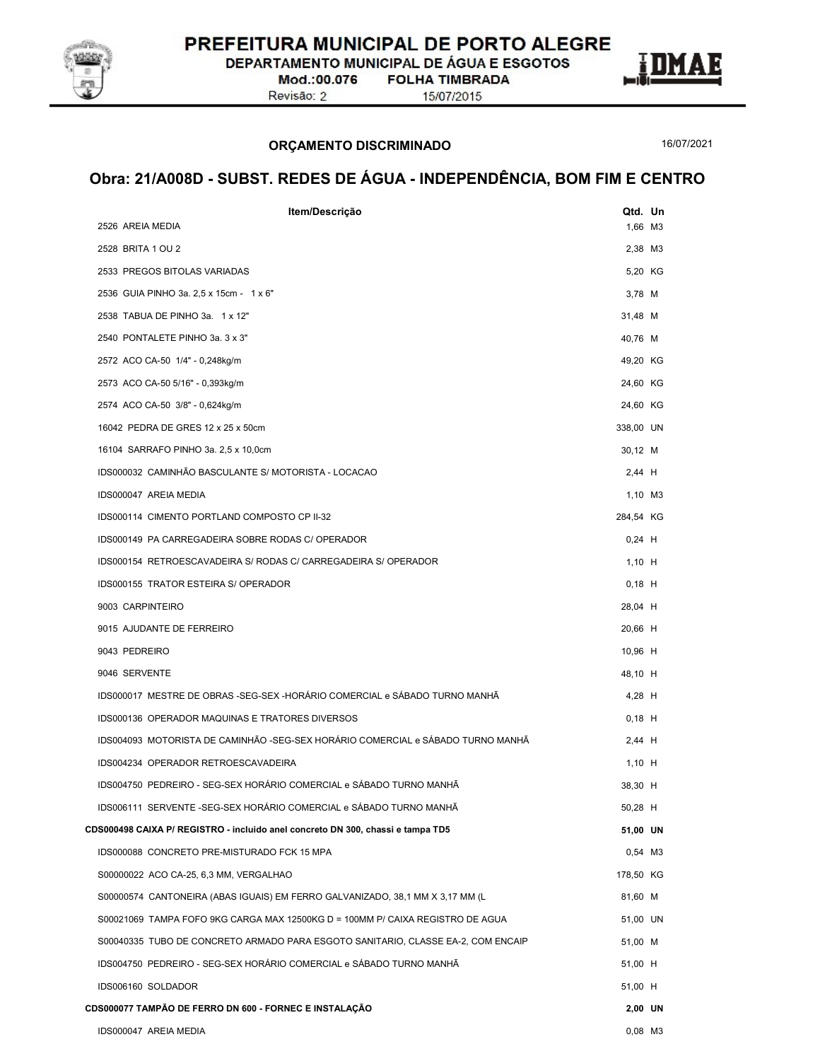

DEPARTAMENTO MUNICIPAL DE ÁGUA E ESGOTOS

Mod.:00.076 Revisão: 2

**FOLHA TIMBRADA** 



#### ORÇAMENTO DISCRIMINADO

16/07/2021

| Item/Descrição                                                                   | Qtd. Un   |  |
|----------------------------------------------------------------------------------|-----------|--|
| 2526 AREIA MEDIA                                                                 | 1,66 M3   |  |
| 2528 BRITA 1 OU 2                                                                | 2,38 M3   |  |
| 2533 PREGOS BITOLAS VARIADAS                                                     | 5,20 KG   |  |
| 2536 GUIA PINHO 3a. 2,5 x 15cm - 1 x 6"                                          | 3,78 M    |  |
| 2538 TABUA DE PINHO 3a. 1 x 12"                                                  | 31,48 M   |  |
| 2540 PONTALETE PINHO 3a. 3 x 3"                                                  | 40,76 M   |  |
| 2572 ACO CA-50 1/4" - 0,248kg/m                                                  | 49,20 KG  |  |
| 2573 ACO CA-50 5/16" - 0,393kg/m                                                 | 24,60 KG  |  |
| 2574 ACO CA-50 3/8" - 0,624kg/m                                                  | 24,60 KG  |  |
| 16042 PEDRA DE GRES 12 x 25 x 50cm                                               | 338,00 UN |  |
| 16104 SARRAFO PINHO 3a. 2,5 x 10,0cm                                             | 30,12 M   |  |
| IDS000032 CAMINHÃO BASCULANTE S/ MOTORISTA - LOCACAO                             | $2,44$ H  |  |
| IDS000047 AREIA MEDIA                                                            | 1,10 M3   |  |
| IDS000114 CIMENTO PORTLAND COMPOSTO CP II-32                                     | 284,54 KG |  |
| IDS000149 PA CARREGADEIRA SOBRE RODAS C/ OPERADOR                                | $0,24$ H  |  |
| IDS000154 RETROESCAVADEIRA S/ RODAS C/ CARREGADEIRA S/ OPERADOR                  | $1,10$ H  |  |
| IDS000155 TRATOR ESTEIRA S/ OPERADOR                                             | $0,18$ H  |  |
| 9003 CARPINTEIRO                                                                 | 28,04 H   |  |
| 9015 AJUDANTE DE FERREIRO                                                        | 20,66 H   |  |
| 9043 PEDREIRO                                                                    | 10,96 H   |  |
| 9046 SERVENTE                                                                    | 48,10 H   |  |
| IDS000017 MESTRE DE OBRAS -SEG-SEX -HORÁRIO COMERCIAL e SÁBADO TURNO MANHÃ       | 4,28 H    |  |
| IDS000136 OPERADOR MAQUINAS E TRATORES DIVERSOS                                  | $0,18$ H  |  |
| IDS004093 MOTORISTA DE CAMINHÃO -SEG-SEX HORÁRIO COMERCIAL e SÁBADO TURNO MANHÃ  | $2,44$ H  |  |
| IDS004234 OPERADOR RETROESCAVADEIRA                                              | $1,10$ H  |  |
| IDS004750 PEDREIRO - SEG-SEX HORÁRIO COMERCIAL e SÁBADO TURNO MANHÃ              | 38,30 H   |  |
| IDS006111 SERVENTE -SEG-SEX HORÁRIO COMERCIAL e SÁBADO TURNO MANHÃ               | 50,28 H   |  |
| CDS000498 CAIXA P/ REGISTRO - incluido anel concreto DN 300, chassi e tampa TD5  | 51,00 UN  |  |
| IDS000088 CONCRETO PRE-MISTURADO FCK 15 MPA                                      | 0,54 M3   |  |
| S00000022 ACO CA-25, 6,3 MM, VERGALHAO                                           | 178,50 KG |  |
| S00000574 CANTONEIRA (ABAS IGUAIS) EM FERRO GALVANIZADO, 38,1 MM X 3,17 MM (L    | 81,60 M   |  |
| S00021069 TAMPA FOFO 9KG CARGA MAX 12500KG D = 100MM P/ CAIXA REGISTRO DE AGUA   | 51,00 UN  |  |
| S00040335 TUBO DE CONCRETO ARMADO PARA ESGOTO SANITARIO, CLASSE EA-2, COM ENCAIP | 51,00 M   |  |
| IDS004750 PEDREIRO - SEG-SEX HORÁRIO COMERCIAL e SÁBADO TURNO MANHÃ              | 51,00 H   |  |
| IDS006160 SOLDADOR                                                               | 51,00 H   |  |
| CDS000077 TAMPÃO DE FERRO DN 600 - FORNEC E INSTALAÇÃO                           | 2,00 UN   |  |
| IDS000047 AREIA MEDIA                                                            | 0,08 M3   |  |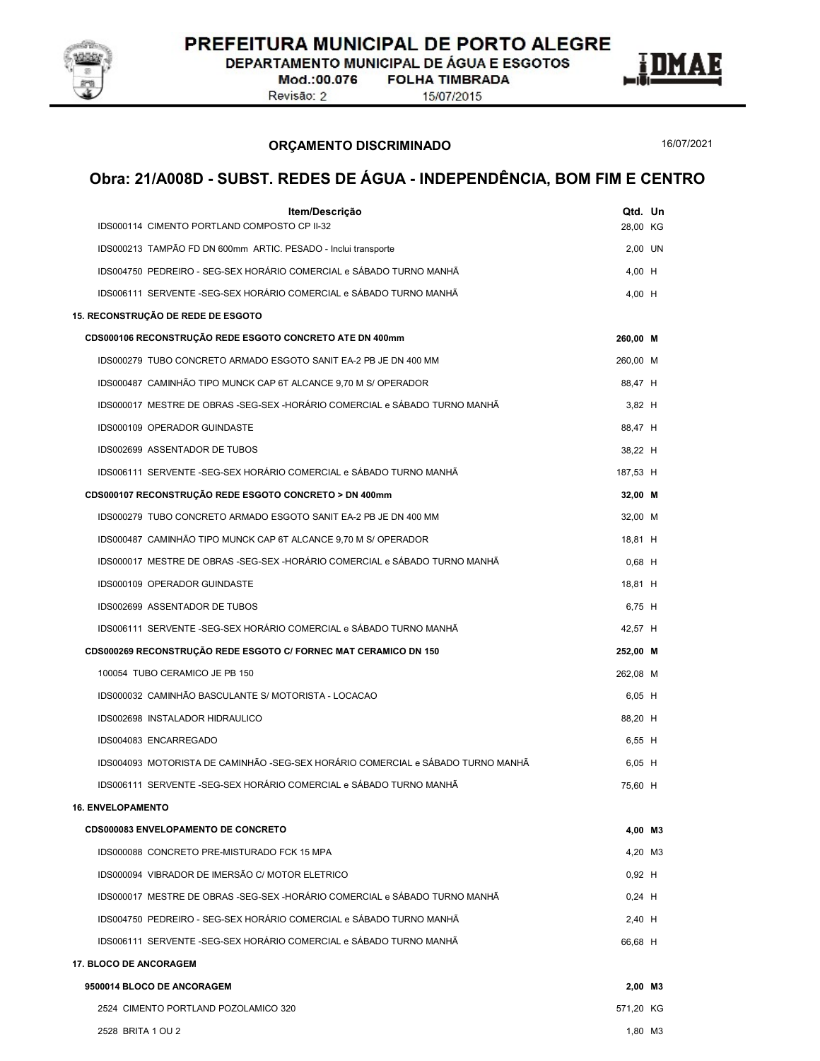

DEPARTAMENTO MUNICIPAL DE ÁGUA E ESGOTOS

Mod.:00.076 Revisão: 2

**FOLHA TIMBRADA** 15/07/2015

ORÇAMENTO DISCRIMINADO

16/07/2021

E

| Item/Descrição                                                                  | Qtd. Un   |  |
|---------------------------------------------------------------------------------|-----------|--|
| IDS000114 CIMENTO PORTLAND COMPOSTO CP II-32                                    | 28,00 KG  |  |
| IDS000213 TAMPÃO FD DN 600mm ARTIC. PESADO - Inclui transporte                  | 2,00 UN   |  |
| IDS004750 PEDREIRO - SEG-SEX HORÁRIO COMERCIAL e SÁBADO TURNO MANHÃ             | 4,00 H    |  |
| IDS006111 SERVENTE -SEG-SEX HORÁRIO COMERCIAL e SÁBADO TURNO MANHÃ              | 4,00 H    |  |
| 15. RECONSTRUÇÃO DE REDE DE ESGOTO                                              |           |  |
| CDS000106 RECONSTRUÇÃO REDE ESGOTO CONCRETO ATE DN 400mm                        | 260,00 M  |  |
| IDS000279 TUBO CONCRETO ARMADO ESGOTO SANIT EA-2 PB JE DN 400 MM                | 260,00 M  |  |
| IDS000487 CAMINHÃO TIPO MUNCK CAP 6T ALCANCE 9,70 M S/ OPERADOR                 | 88,47 H   |  |
| IDS000017 MESTRE DE OBRAS -SEG-SEX -HORÁRIO COMERCIAL e SÁBADO TURNO MANHÃ      | $3,82$ H  |  |
| IDS000109 OPERADOR GUINDASTE                                                    | 88,47 H   |  |
| IDS002699 ASSENTADOR DE TUBOS                                                   | 38,22 H   |  |
| IDS006111 SERVENTE -SEG-SEX HORÁRIO COMERCIAL e SÁBADO TURNO MANHÃ              | 187,53 H  |  |
| CDS000107 RECONSTRUÇÃO REDE ESGOTO CONCRETO > DN 400mm                          | 32,00 M   |  |
| IDS000279 TUBO CONCRETO ARMADO ESGOTO SANIT EA-2 PB JE DN 400 MM                | 32,00 M   |  |
| IDS000487 CAMINHÃO TIPO MUNCK CAP 6T ALCANCE 9,70 M S/ OPERADOR                 | 18,81 H   |  |
| IDS000017 MESTRE DE OBRAS -SEG-SEX -HORÁRIO COMERCIAL e SÁBADO TURNO MANHÃ      | $0,68$ H  |  |
| IDS000109 OPERADOR GUINDASTE                                                    | 18.81 H   |  |
| IDS002699 ASSENTADOR DE TUBOS                                                   | 6,75 H    |  |
| IDS006111 SERVENTE -SEG-SEX HORÁRIO COMERCIAL e SÁBADO TURNO MANHÃ              | 42,57 H   |  |
| CDS000269 RECONSTRUÇÃO REDE ESGOTO C/ FORNEC MAT CERAMICO DN 150                | 252,00 M  |  |
| 100054 TUBO CERAMICO JE PB 150                                                  | 262,08 M  |  |
| IDS000032 CAMINHÃO BASCULANTE S/ MOTORISTA - LOCACAO                            | 6,05 H    |  |
| IDS002698 INSTALADOR HIDRAULICO                                                 | 88,20 H   |  |
| IDS004083 ENCARREGADO                                                           | 6,55 H    |  |
| IDS004093 MOTORISTA DE CAMINHÃO -SEG-SEX HORÁRIO COMERCIAL e SÁBADO TURNO MANHÃ | $6,05$ H  |  |
| IDS006111 SERVENTE -SEG-SEX HORÁRIO COMERCIAL e SÁBADO TURNO MANHÃ              | 75,60 H   |  |
| <b>16. ENVELOPAMENTO</b>                                                        |           |  |
| <b>CDS000083 ENVELOPAMENTO DE CONCRETO</b>                                      | 4,00 M3   |  |
| IDS000088 CONCRETO PRE-MISTURADO FCK 15 MPA                                     | 4,20 M3   |  |
| IDS000094 VIBRADOR DE IMERSÃO C/ MOTOR ELETRICO                                 | $0,92$ H  |  |
| IDS000017 MESTRE DE OBRAS -SEG-SEX -HORÁRIO COMERCIAL e SÁBADO TURNO MANHÃ      | $0,24$ H  |  |
| IDS004750 PEDREIRO - SEG-SEX HORÁRIO COMERCIAL e SÁBADO TURNO MANHÃ             | $2,40$ H  |  |
| IDS006111 SERVENTE -SEG-SEX HORÁRIO COMERCIAL e SÁBADO TURNO MANHÃ              | 66,68 H   |  |
| <b>17. BLOCO DE ANCORAGEM</b>                                                   |           |  |
| 9500014 BLOCO DE ANCORAGEM                                                      | 2,00 M3   |  |
| 2524 CIMENTO PORTLAND POZOLAMICO 320                                            | 571,20 KG |  |
| 2528 BRITA 1 OU 2                                                               | 1,80 M3   |  |
|                                                                                 |           |  |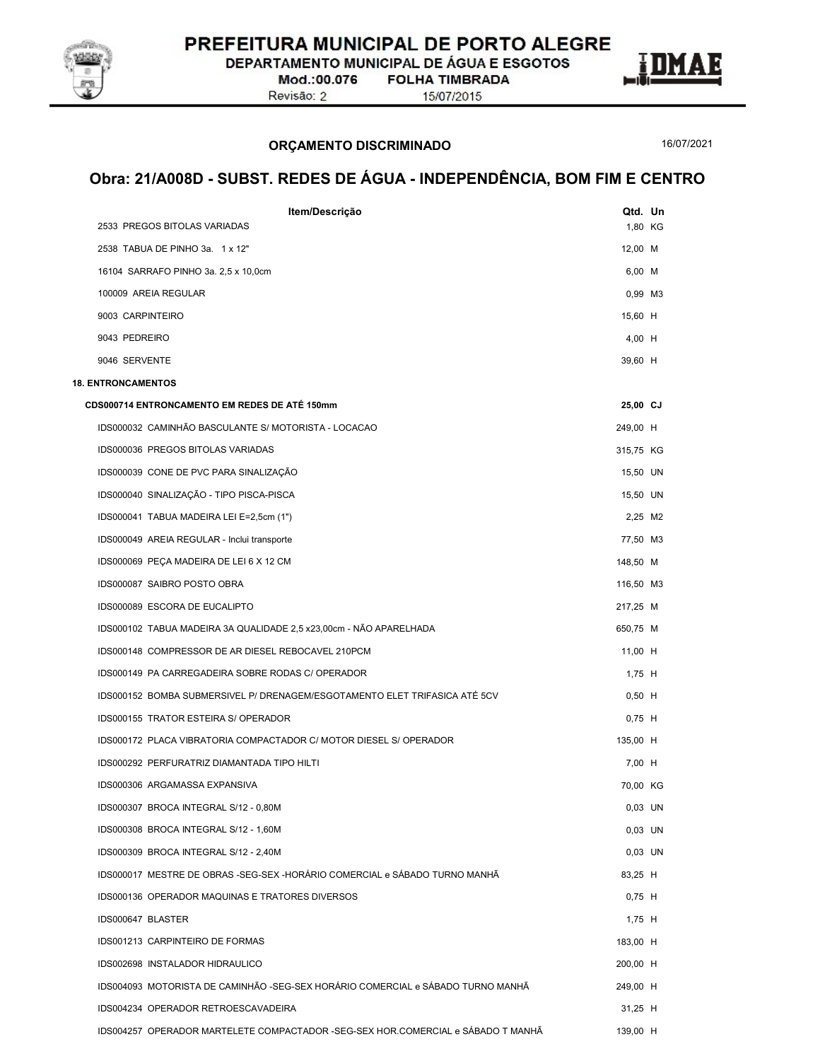

DEPARTAMENTO MUNICIPAL DE ÁGUA E ESGOTOS

Mod.:00.076 Revisão: 2

**FOLHA TIMBRADA** 

15/07/2015

#### ORÇAMENTO DISCRIMINADO

16/07/2021

E

| Item/Descrição                                                                    | Qtd. Un   |  |
|-----------------------------------------------------------------------------------|-----------|--|
| 2533 PREGOS BITOLAS VARIADAS                                                      | 1,80 KG   |  |
| 2538 TABUA DE PINHO 3a. 1 x 12"                                                   | 12,00 M   |  |
| 16104 SARRAFO PINHO 3a. 2,5 x 10,0cm                                              | 6,00 M    |  |
| 100009 AREIA REGULAR                                                              | 0,99 M3   |  |
| 9003 CARPINTEIRO                                                                  | 15,60 H   |  |
| 9043 PEDREIRO                                                                     | 4,00 H    |  |
| 9046 SERVENTE                                                                     | 39,60 H   |  |
| <b>18. ENTRONCAMENTOS</b>                                                         |           |  |
| CDS000714 ENTRONCAMENTO EM REDES DE ATÉ 150mm                                     | 25,00 CJ  |  |
| IDS000032 CAMINHÃO BASCULANTE S/ MOTORISTA - LOCACAO                              | 249,00 H  |  |
| IDS000036 PREGOS BITOLAS VARIADAS                                                 | 315,75 KG |  |
| IDS000039 CONE DE PVC PARA SINALIZAÇÃO                                            | 15,50 UN  |  |
| IDS000040 SINALIZAÇÃO - TIPO PISCA-PISCA                                          | 15,50 UN  |  |
| IDS000041 TABUA MADEIRA LEI E=2,5cm (1")                                          | 2,25 M2   |  |
| IDS000049 AREIA REGULAR - Inclui transporte                                       | 77,50 M3  |  |
| IDS000069 PEÇA MADEIRA DE LEI 6 X 12 CM                                           | 148,50 M  |  |
| IDS000087 SAIBRO POSTO OBRA                                                       | 116,50 M3 |  |
| IDS000089 ESCORA DE EUCALIPTO                                                     | 217,25 M  |  |
| IDS000102 TABUA MADEIRA 3A QUALIDADE 2,5 x23,00cm - NÃO APARELHADA                | 650,75 M  |  |
| IDS000148 COMPRESSOR DE AR DIESEL REBOCAVEL 210PCM                                | 11,00 H   |  |
| IDS000149 PA CARREGADEIRA SOBRE RODAS C/ OPERADOR                                 | 1,75 H    |  |
| IDS000152 BOMBA SUBMERSIVEL P/ DRENAGEM/ESGOTAMENTO ELET TRIFASICA ATÉ 5CV        | $0,50$ H  |  |
| IDS000155 TRATOR ESTEIRA S/ OPERADOR                                              | $0,75$ H  |  |
| IDS000172 PLACA VIBRATORIA COMPACTADOR C/ MOTOR DIESEL S/ OPERADOR                | 135,00 H  |  |
| IDS000292 PERFURATRIZ DIAMANTADA TIPO HILTI                                       | 7,00 H    |  |
| IDS000306 ARGAMASSA EXPANSIVA                                                     | 70,00 KG  |  |
| IDS000307 BROCA INTEGRAL S/12 - 0,80M                                             | $0,03$ UN |  |
| IDS000308 BROCA INTEGRAL S/12 - 1,60M                                             | 0.03 UN   |  |
| IDS000309 BROCA INTEGRAL S/12 - 2,40M                                             | $0,03$ UN |  |
| IDS000017 MESTRE DE OBRAS -SEG-SEX -HORÁRIO COMERCIAL e SÁBADO TURNO MANHÃ        | 83,25 H   |  |
| IDS000136 OPERADOR MAQUINAS E TRATORES DIVERSOS                                   | $0,75$ H  |  |
| IDS000647 BLASTER                                                                 | 1,75 H    |  |
| IDS001213 CARPINTEIRO DE FORMAS                                                   | 183.00 H  |  |
| IDS002698 INSTALADOR HIDRAULICO                                                   | 200,00 H  |  |
| IDS004093 MOTORISTA DE CAMINHÃO -SEG-SEX HORÁRIO COMERCIAL e SÁBADO TURNO MANHÃ   | 249,00 H  |  |
| IDS004234 OPERADOR RETROESCAVADEIRA                                               | $31,25$ H |  |
| IDS004257 OPERADOR MARTELETE COMPACTADOR - SEG-SEX HOR.COMERCIAL e SÁBADO T MANHÃ | 139,00 H  |  |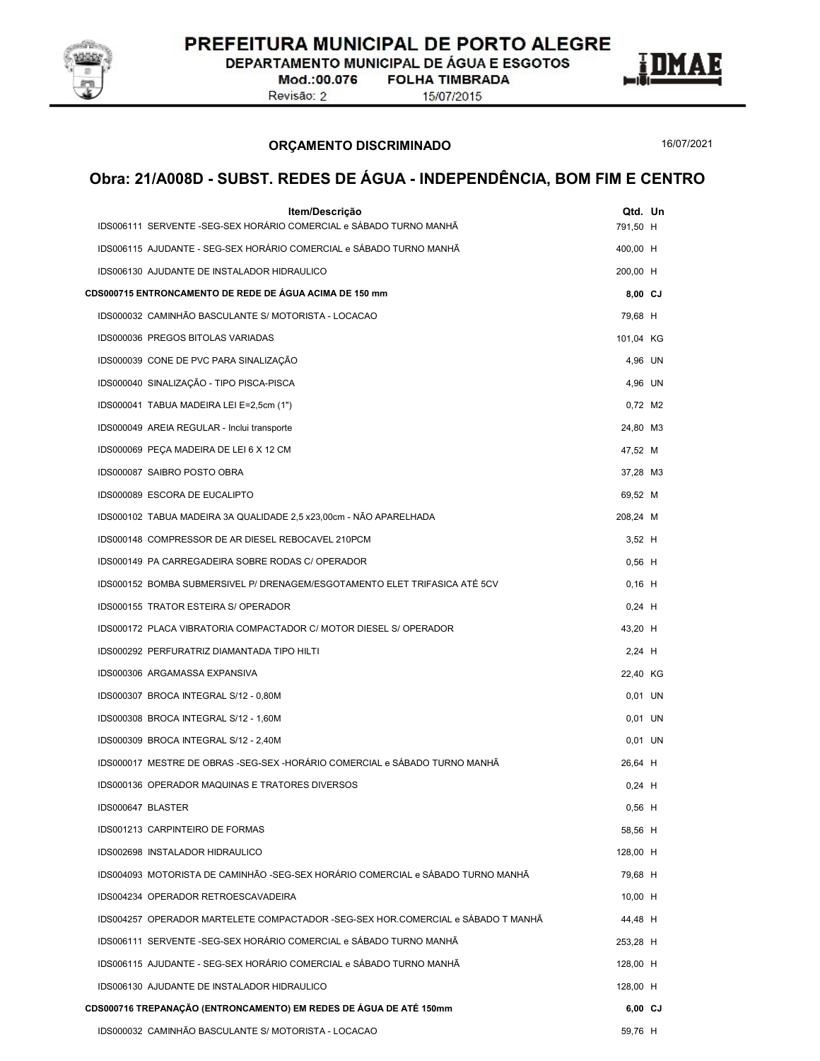

DEPARTAMENTO MUNICIPAL DE ÁGUA E ESGOTOS

Mod.:00.076 Revisão: 2

**FOLHA TIMBRADA** 15/07/2015



ORÇAMENTO DISCRIMINADO

16/07/2021

| Item/Descrição<br>IDS006111 SERVENTE -SEG-SEX HORÁRIO COMERCIAL e SÁBADO TURNO MANHÃ | Qtd. Un<br>791,50 H |  |
|--------------------------------------------------------------------------------------|---------------------|--|
| IDS006115 AJUDANTE - SEG-SEX HORÁRIO COMERCIAL e SÁBADO TURNO MANHÃ                  | 400,00 H            |  |
| IDS006130 AJUDANTE DE INSTALADOR HIDRAULICO                                          | 200,00 H            |  |
| CDS000715 ENTRONCAMENTO DE REDE DE ÁGUA ACIMA DE 150 mm                              | 8,00 CJ             |  |
| IDS000032 CAMINHÃO BASCULANTE S/ MOTORISTA - LOCACAO                                 | 79,68 H             |  |
| IDS000036 PREGOS BITOLAS VARIADAS                                                    | 101,04 KG           |  |
| IDS000039 CONE DE PVC PARA SINALIZAÇÃO                                               | 4,96 UN             |  |
| IDS000040 SINALIZAÇÃO - TIPO PISCA-PISCA                                             | 4,96 UN             |  |
| IDS000041 TABUA MADEIRA LEI E=2,5cm (1")                                             | 0,72 M2             |  |
| IDS000049 AREIA REGULAR - Inclui transporte                                          | 24,80 M3            |  |
| IDS000069 PEÇA MADEIRA DE LEI 6 X 12 CM                                              | 47,52 M             |  |
| IDS000087 SAIBRO POSTO OBRA                                                          | 37,28 M3            |  |
| IDS000089 ESCORA DE EUCALIPTO                                                        | 69,52 M             |  |
| IDS000102 TABUA MADEIRA 3A QUALIDADE 2,5 x23,00cm - NÃO APARELHADA                   | 208,24 M            |  |
| IDS000148 COMPRESSOR DE AR DIESEL REBOCAVEL 210PCM                                   | $3,52$ H            |  |
| IDS000149 PA CARREGADEIRA SOBRE RODAS C/ OPERADOR                                    | $0,56$ H            |  |
| IDS000152 BOMBA SUBMERSIVEL P/ DRENAGEM/ESGOTAMENTO ELET TRIFASICA ATÉ 5CV           | $0,16$ H            |  |
| IDS000155 TRATOR ESTEIRA S/ OPERADOR                                                 | $0,24$ H            |  |
| IDS000172 PLACA VIBRATORIA COMPACTADOR C/ MOTOR DIESEL S/ OPERADOR                   | 43,20 H             |  |
| IDS000292 PERFURATRIZ DIAMANTADA TIPO HILTI                                          | $2,24$ H            |  |
| IDS000306 ARGAMASSA EXPANSIVA                                                        | 22,40 KG            |  |
| IDS000307 BROCA INTEGRAL S/12 - 0,80M                                                | 0,01 UN             |  |
| IDS000308 BROCA INTEGRAL S/12 - 1,60M                                                | 0,01 UN             |  |
| IDS000309 BROCA INTEGRAL S/12 - 2,40M                                                | 0,01 UN             |  |
| IDS000017 MESTRE DE OBRAS -SEG-SEX -HORÁRIO COMERCIAL e SÁBADO TURNO MANHÃ           | 26,64 H             |  |
| IDS000136 OPERADOR MAQUINAS E TRATORES DIVERSOS                                      | $0,24$ H            |  |
| IDS000647 BLASTER                                                                    | $0,56$ H            |  |
| IDS001213 CARPINTEIRO DE FORMAS                                                      | 58,56 H             |  |
| IDS002698 INSTALADOR HIDRAULICO                                                      | 128,00 H            |  |
| IDS004093 MOTORISTA DE CAMINHÃO -SEG-SEX HORÁRIO COMERCIAL e SÁBADO TURNO MANHÃ      | 79,68 H             |  |
| IDS004234 OPERADOR RETROESCAVADEIRA                                                  | 10,00 H             |  |
| IDS004257 OPERADOR MARTELETE COMPACTADOR -SEG-SEX HOR.COMERCIAL e SÁBADO T MANHÃ     | 44,48 H             |  |
| IDS006111 SERVENTE -SEG-SEX HORÁRIO COMERCIAL e SÁBADO TURNO MANHÃ                   | 253,28 H            |  |
| IDS006115 AJUDANTE - SEG-SEX HORÁRIO COMERCIAL e SÁBADO TURNO MANHÃ                  | 128,00 H            |  |
| IDS006130 AJUDANTE DE INSTALADOR HIDRAULICO                                          | 128,00 H            |  |
| CDS000716 TREPANAÇÃO (ENTRONCAMENTO) EM REDES DE ÁGUA DE ATÉ 150mm                   | 6,00 CJ             |  |
| IDS000032 CAMINHÃO BASCULANTE S/ MOTORISTA - LOCACAO                                 | 59,76 H             |  |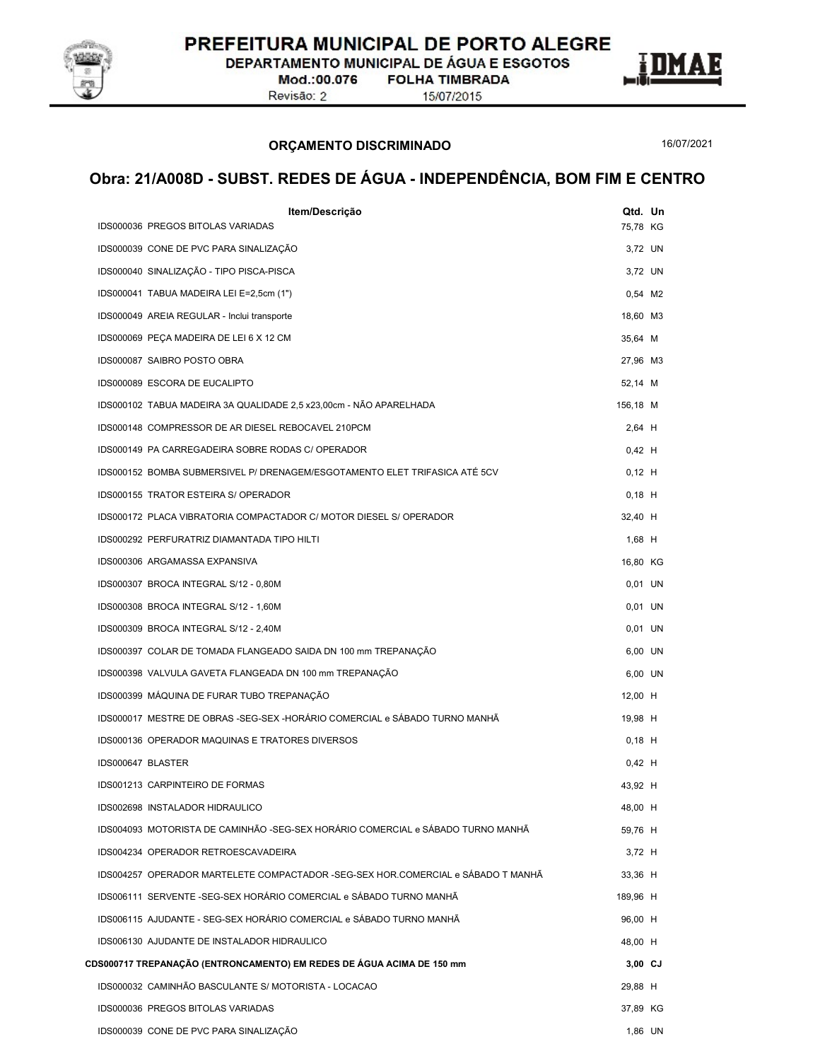

DEPARTAMENTO MUNICIPAL DE ÁGUA E ESGOTOS

Mod.:00.076 Revisão: 2

**FOLHA TIMBRADA** 15/07/2015

ORÇAMENTO DISCRIMINADO

16/07/2021

E

| Item/Descrição                                                                   | Qtd. Un  |  |
|----------------------------------------------------------------------------------|----------|--|
| IDS000036 PREGOS BITOLAS VARIADAS                                                | 75,78 KG |  |
| IDS000039 CONE DE PVC PARA SINALIZAÇÃO                                           | 3,72 UN  |  |
| IDS000040 SINALIZAÇÃO - TIPO PISCA-PISCA                                         | 3,72 UN  |  |
| IDS000041 TABUA MADEIRA LEI E=2,5cm (1")                                         | 0,54 M2  |  |
| IDS000049 AREIA REGULAR - Inclui transporte                                      | 18,60 M3 |  |
| IDS000069 PEÇA MADEIRA DE LEI 6 X 12 CM                                          | 35,64 M  |  |
| IDS000087 SAIBRO POSTO OBRA                                                      | 27,96 M3 |  |
| IDS000089 ESCORA DE EUCALIPTO                                                    | 52,14 M  |  |
| IDS000102 TABUA MADEIRA 3A QUALIDADE 2,5 x23,00cm - NÃO APARELHADA               | 156,18 M |  |
| IDS000148 COMPRESSOR DE AR DIESEL REBOCAVEL 210PCM                               | 2,64 H   |  |
| IDS000149 PA CARREGADEIRA SOBRE RODAS C/ OPERADOR                                | $0,42$ H |  |
| IDS000152 BOMBA SUBMERSIVEL P/ DRENAGEM/ESGOTAMENTO ELET TRIFASICA ATÉ 5CV       | $0,12$ H |  |
| IDS000155 TRATOR ESTEIRA S/ OPERADOR                                             | $0,18$ H |  |
| IDS000172 PLACA VIBRATORIA COMPACTADOR C/ MOTOR DIESEL S/ OPERADOR               | 32,40 H  |  |
| IDS000292 PERFURATRIZ DIAMANTADA TIPO HILTI                                      | $1,68$ H |  |
| IDS000306 ARGAMASSA EXPANSIVA                                                    | 16,80 KG |  |
| IDS000307 BROCA INTEGRAL S/12 - 0,80M                                            | 0,01 UN  |  |
| IDS000308 BROCA INTEGRAL S/12 - 1,60M                                            | 0,01 UN  |  |
| IDS000309 BROCA INTEGRAL S/12 - 2,40M                                            | 0,01 UN  |  |
| IDS000397 COLAR DE TOMADA FLANGEADO SAIDA DN 100 mm TREPANAÇÃO                   | 6,00 UN  |  |
| IDS000398 VALVULA GAVETA FLANGEADA DN 100 mm TREPANAÇÃO                          | 6,00 UN  |  |
| IDS000399 MÁQUINA DE FURAR TUBO TREPANAÇÃO                                       | 12,00 H  |  |
| IDS000017 MESTRE DE OBRAS -SEG-SEX -HORÁRIO COMERCIAL e SÁBADO TURNO MANHÃ       | 19,98 H  |  |
| IDS000136 OPERADOR MAQUINAS E TRATORES DIVERSOS                                  | $0,18$ H |  |
| IDS000647 BLASTER                                                                | $0,42$ H |  |
| IDS001213 CARPINTEIRO DE FORMAS                                                  | 43,92 H  |  |
| IDS002698 INSTALADOR HIDRAULICO                                                  | 48,00 H  |  |
| IDS004093 MOTORISTA DE CAMINHÃO -SEG-SEX HORÁRIO COMERCIAL e SÁBADO TURNO MANHÃ  | 59,76 H  |  |
| IDS004234 OPERADOR RETROESCAVADEIRA                                              | 3,72 H   |  |
| IDS004257 OPERADOR MARTELETE COMPACTADOR -SEG-SEX HOR.COMERCIAL e SÁBADO T MANHÃ | 33,36 H  |  |
| IDS006111 SERVENTE -SEG-SEX HORÁRIO COMERCIAL e SÁBADO TURNO MANHÃ               | 189,96 H |  |
| IDS006115 AJUDANTE - SEG-SEX HORÁRIO COMERCIAL e SÁBADO TURNO MANHÃ              | 96,00 H  |  |
| IDS006130 AJUDANTE DE INSTALADOR HIDRAULICO                                      | 48,00 H  |  |
| CDS000717 TREPANAÇÃO (ENTRONCAMENTO) EM REDES DE AGUA ACIMA DE 150 mm            | 3,00 CJ  |  |
| IDS000032 CAMINHÃO BASCULANTE S/ MOTORISTA - LOCACAO                             | 29,88 H  |  |
| IDS000036 PREGOS BITOLAS VARIADAS                                                | 37,89 KG |  |
| IDS000039 CONE DE PVC PARA SINALIZAÇÃO                                           | 1,86 UN  |  |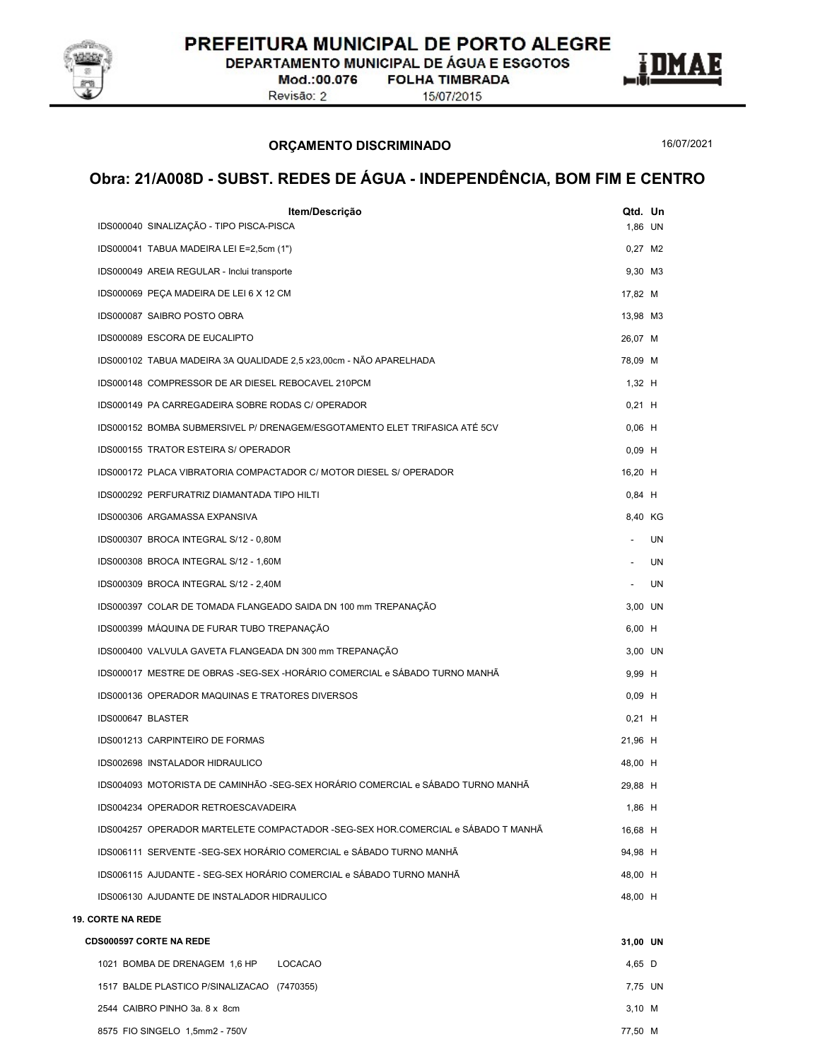

DEPARTAMENTO MUNICIPAL DE ÁGUA E ESGOTOS

Mod.:00.076 Revisão: 2

**FOLHA TIMBRADA** 15/07/2015

ORÇAMENTO DISCRIMINADO

16/07/2021

| Item/Descrição<br>IDS000040 SINALIZAÇÃO - TIPO PISCA-PISCA                       | Qtd. Un              |    |  |
|----------------------------------------------------------------------------------|----------------------|----|--|
| IDS000041 TABUA MADEIRA LEI E=2,5cm (1")                                         | 1,86 UN<br>$0,27$ M2 |    |  |
|                                                                                  | 9.30 M3              |    |  |
| IDS000049 AREIA REGULAR - Inclui transporte                                      | 17,82 M              |    |  |
| IDS000069 PEÇA MADEIRA DE LEI 6 X 12 CM<br>IDS000087 SAIBRO POSTO OBRA           | 13,98 M3             |    |  |
| IDS000089 ESCORA DE EUCALIPTO                                                    | 26,07 M              |    |  |
| IDS000102 TABUA MADEIRA 3A QUALIDADE 2,5 x23,00cm - NÃO APARELHADA               | 78,09 M              |    |  |
| IDS000148 COMPRESSOR DE AR DIESEL REBOCAVEL 210PCM                               | $1,32$ H             |    |  |
| IDS000149 PA CARREGADEIRA SOBRE RODAS C/ OPERADOR                                | $0,21$ H             |    |  |
| IDS000152 BOMBA SUBMERSIVEL P/ DRENAGEM/ESGOTAMENTO ELET TRIFASICA ATÉ 5CV       | $0,06$ H             |    |  |
| IDS000155 TRATOR ESTEIRA S/ OPERADOR                                             | $0,09$ H             |    |  |
| IDS000172 PLACA VIBRATORIA COMPACTADOR C/ MOTOR DIESEL S/ OPERADOR               | 16,20 H              |    |  |
| IDS000292 PERFURATRIZ DIAMANTADA TIPO HILTI                                      | $0,84$ H             |    |  |
| IDS000306 ARGAMASSA EXPANSIVA                                                    | 8,40 KG              |    |  |
| IDS000307 BROCA INTEGRAL S/12 - 0,80M                                            | $\sim$               | UN |  |
| IDS000308 BROCA INTEGRAL S/12 - 1,60M                                            | $\sim$               | UN |  |
| IDS000309 BROCA INTEGRAL S/12 - 2,40M                                            | $\sim$               | UN |  |
| IDS000397 COLAR DE TOMADA FLANGEADO SAIDA DN 100 mm TREPANAÇÃO                   | 3,00 UN              |    |  |
| IDS000399 MÁQUINA DE FURAR TUBO TREPANAÇÃO                                       | 6,00 H               |    |  |
| IDS000400 VALVULA GAVETA FLANGEADA DN 300 mm TREPANAÇÃO                          | 3,00 UN              |    |  |
| IDS000017 MESTRE DE OBRAS -SEG-SEX -HORÁRIO COMERCIAL e SÁBADO TURNO MANHÃ       | 9,99 H               |    |  |
| IDS000136 OPERADOR MAQUINAS E TRATORES DIVERSOS                                  | $0,09$ H             |    |  |
| IDS000647 BLASTER                                                                | $0,21$ H             |    |  |
| IDS001213 CARPINTEIRO DE FORMAS                                                  | 21,96 H              |    |  |
| IDS002698 INSTALADOR HIDRAULICO                                                  | 48,00 H              |    |  |
| IDS004093 MOTORISTA DE CAMINHÃO -SEG-SEX HORÁRIO COMERCIAL e SÁBADO TURNO MANHÃ  | 29,88 H              |    |  |
| IDS004234 OPERADOR RETROESCAVADEIRA                                              | 1,86 H               |    |  |
| IDS004257 OPERADOR MARTELETE COMPACTADOR -SEG-SEX HOR.COMERCIAL e SÁBADO T MANHÃ | 16,68 H              |    |  |
| IDS006111 SERVENTE -SEG-SEX HORÁRIO COMERCIAL e SÁBADO TURNO MANHÃ               | 94,98 H              |    |  |
| IDS006115 AJUDANTE - SEG-SEX HORÁRIO COMERCIAL e SÁBADO TURNO MANHÃ              | 48,00 H              |    |  |
| IDS006130 AJUDANTE DE INSTALADOR HIDRAULICO                                      | 48,00 H              |    |  |
| <b>19. CORTE NA REDE</b>                                                         |                      |    |  |
| <b>CDS000597 CORTE NA REDE</b>                                                   | 31,00 UN             |    |  |
| 1021 BOMBA DE DRENAGEM 1,6 HP<br><b>LOCACAO</b>                                  | 4,65 D               |    |  |
| 1517 BALDE PLASTICO P/SINALIZACAO (7470355)                                      | 7,75 UN              |    |  |
| 2544 CAIBRO PINHO 3a. 8 x 8cm                                                    | $3,10$ M             |    |  |
| 8575 FIO SINGELO 1,5mm2 - 750V                                                   | 77,50 M              |    |  |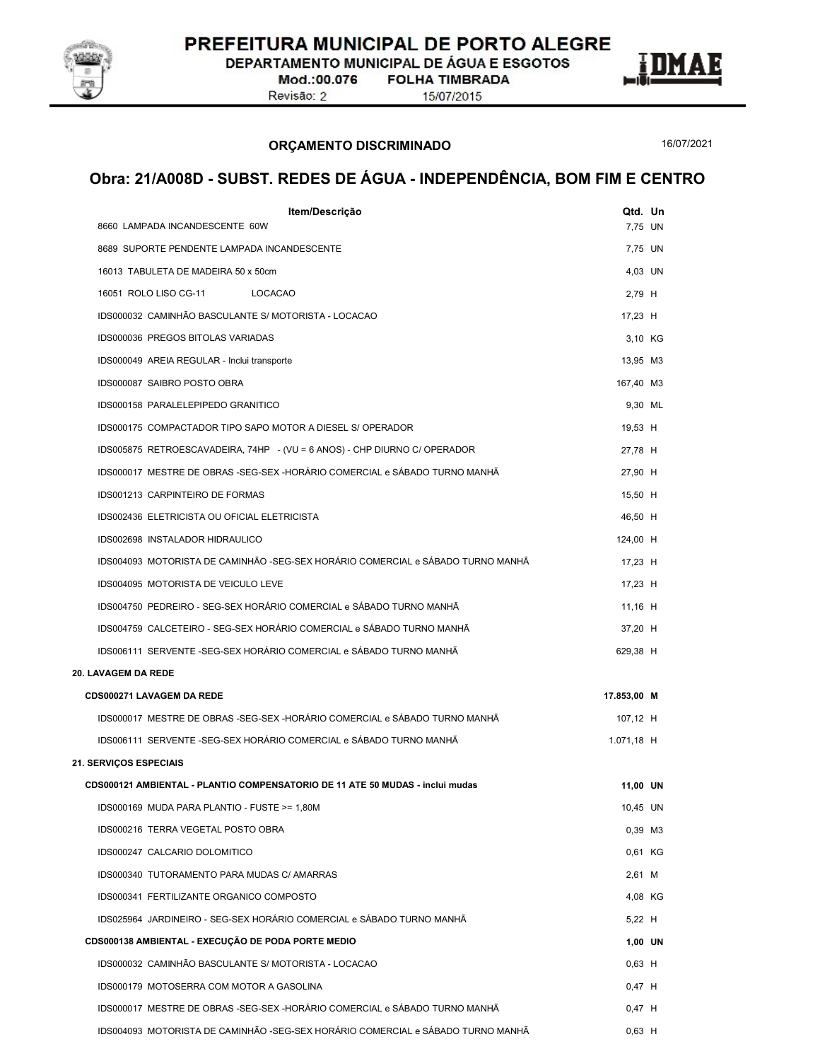

DEPARTAMENTO MUNICIPAL DE ÁGUA E ESGOTOS

Mod.:00.076 Revisão: 2

**FOLHA TIMBRADA** 15/07/2015

ORÇAMENTO DISCRIMINADO

16/07/2021

E

| Item/Descrição                                                                  | Qtd. Un     |  |
|---------------------------------------------------------------------------------|-------------|--|
| 8660 LAMPADA INCANDESCENTE 60W                                                  | 7,75 UN     |  |
| 8689 SUPORTE PENDENTE LAMPADA INCANDESCENTE                                     | 7,75 UN     |  |
| 16013 TABULETA DE MADEIRA 50 x 50cm                                             | 4,03 UN     |  |
| 16051 ROLO LISO CG-11<br>LOCACAO                                                | 2,79 H      |  |
| IDS000032 CAMINHÃO BASCULANTE S/ MOTORISTA - LOCACAO                            | 17,23 H     |  |
| IDS000036 PREGOS BITOLAS VARIADAS                                               | 3,10 KG     |  |
| IDS000049 AREIA REGULAR - Inclui transporte                                     | 13,95 M3    |  |
| IDS000087 SAIBRO POSTO OBRA                                                     | 167,40 M3   |  |
| IDS000158 PARALELEPIPEDO GRANITICO                                              | 9,30 ML     |  |
| IDS000175 COMPACTADOR TIPO SAPO MOTOR A DIESEL S/ OPERADOR                      | 19,53 H     |  |
| IDS005875 RETROESCAVADEIRA, 74HP - (VU = 6 ANOS) - CHP DIURNO C/ OPERADOR       | 27,78 H     |  |
| IDS000017 MESTRE DE OBRAS -SEG-SEX -HORÁRIO COMERCIAL e SÁBADO TURNO MANHÃ      | 27,90 H     |  |
| IDS001213 CARPINTEIRO DE FORMAS                                                 | 15.50 H     |  |
| IDS002436 ELETRICISTA OU OFICIAL ELETRICISTA                                    | 46,50 H     |  |
| IDS002698 INSTALADOR HIDRAULICO                                                 | 124,00 H    |  |
| IDS004093 MOTORISTA DE CAMINHÃO -SEG-SEX HORÁRIO COMERCIAL e SÁBADO TURNO MANHÃ | 17,23 H     |  |
| IDS004095 MOTORISTA DE VEICULO LEVE                                             | 17,23 H     |  |
| IDS004750 PEDREIRO - SEG-SEX HORÁRIO COMERCIAL e SÁBADO TURNO MANHÃ             | 11,16 H     |  |
| IDS004759 CALCETEIRO - SEG-SEX HORÁRIO COMERCIAL e SÁBADO TURNO MANHÃ           | 37,20 H     |  |
| IDS006111 SERVENTE -SEG-SEX HORÁRIO COMERCIAL e SÁBADO TURNO MANHÃ              | 629,38 H    |  |
| 20. LAVAGEM DA REDE                                                             |             |  |
| CDS000271 LAVAGEM DA REDE                                                       | 17.853,00 M |  |
| IDS000017 MESTRE DE OBRAS -SEG-SEX -HORÁRIO COMERCIAL e SÁBADO TURNO MANHÃ      | 107,12 H    |  |
| IDS006111 SERVENTE -SEG-SEX HORÁRIO COMERCIAL e SÁBADO TURNO MANHÃ              | 1.071,18 H  |  |
| <b>21. SERVIÇOS ESPECIAIS</b>                                                   |             |  |
| CDS000121 AMBIENTAL - PLANTIO COMPENSATORIO DE 11 ATE 50 MUDAS - inclui mudas   | 11,00 UN    |  |
| IDS000169 MUDA PARA PLANTIO - FUSTE >= 1,80M                                    | 10,45 UN    |  |
| IDS000216 TERRA VEGETAL POSTO OBRA                                              | 0,39 M3     |  |
| IDS000247 CALCARIO DOLOMITICO                                                   | 0,61 KG     |  |
| IDS000340 TUTORAMENTO PARA MUDAS C/ AMARRAS                                     | 2,61 M      |  |
| IDS000341 FERTILIZANTE ORGANICO COMPOSTO                                        | 4,08 KG     |  |
| IDS025964_JARDINEIRO - SEG-SEX HORÁRIO COMERCIAL e SÁBADO TURNO MANHÃ           | 5,22 H      |  |
| CDS000138 AMBIENTAL - EXECUÇÃO DE PODA PORTE MEDIO                              | 1,00 UN     |  |
| IDS000032 CAMINHÃO BASCULANTE S/ MOTORISTA - LOCACAO                            | $0,63$ H    |  |
| IDS000179 MOTOSERRA COM MOTOR A GASOLINA                                        | $0,47$ H    |  |
| IDS000017 MESTRE DE OBRAS -SEG-SEX -HORÁRIO COMERCIAL e SÁBADO TURNO MANHÃ      | $0,47$ H    |  |
| IDS004093 MOTORISTA DE CAMINHÃO -SEG-SEX HORÁRIO COMERCIAL e SÁBADO TURNO MANHÃ | $0,63$ H    |  |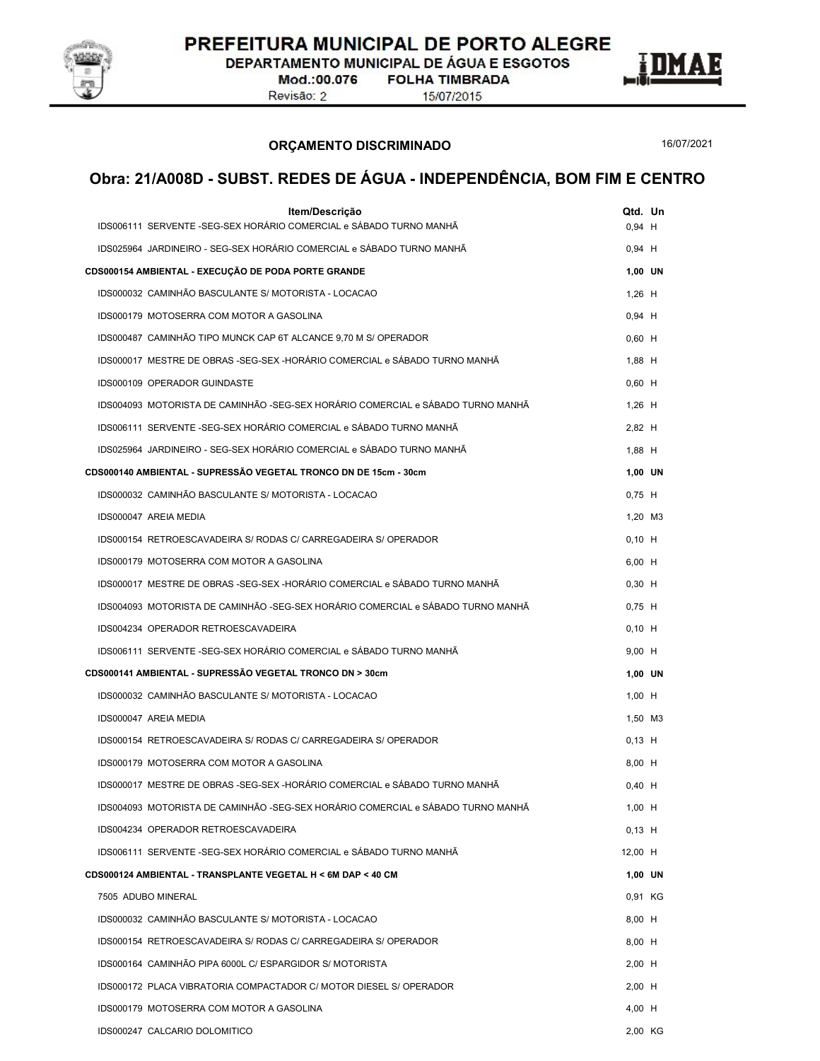

DEPARTAMENTO MUNICIPAL DE ÁGUA E ESGOTOS

Mod.:00.076 Revisão: 2

**FOLHA TIMBRADA** 15/07/2015

ORÇAMENTO DISCRIMINADO

16/07/2021

E

| Item/Descrição<br>IDS006111 SERVENTE -SEG-SEX HORÁRIO COMERCIAL e SÁBADO TURNO MANHÃ | $0,94$ H | Qtd. Un |  |
|--------------------------------------------------------------------------------------|----------|---------|--|
| IDS025964 JARDINEIRO - SEG-SEX HORÁRIO COMERCIAL e SÁBADO TURNO MANHÃ                | $0,94$ H |         |  |
| CDS000154 AMBIENTAL - EXECUÇÃO DE PODA PORTE GRANDE                                  |          | 1.00 UN |  |
| IDS000032 CAMINHÃO BASCULANTE S/ MOTORISTA - LOCACAO                                 | $1,26$ H |         |  |
| IDS000179 MOTOSERRA COM MOTOR A GASOLINA                                             | $0,94$ H |         |  |
| IDS000487 CAMINHÃO TIPO MUNCK CAP 6T ALCANCE 9,70 M S/ OPERADOR                      | $0,60$ H |         |  |
| IDS000017 MESTRE DE OBRAS -SEG-SEX -HORÁRIO COMERCIAL e SÁBADO TURNO MANHÃ           | $1,88$ H |         |  |
| IDS000109 OPERADOR GUINDASTE                                                         | $0,60$ H |         |  |
| IDS004093 MOTORISTA DE CAMINHÃO -SEG-SEX HORÁRIO COMERCIAL e SÁBADO TURNO MANHÃ      | $1,26$ H |         |  |
| IDS006111 SERVENTE -SEG-SEX HORÁRIO COMERCIAL e SÁBADO TURNO MANHÃ                   | 2,82 H   |         |  |
| IDS025964 JARDINEIRO - SEG-SEX HORÁRIO COMERCIAL e SÁBADO TURNO MANHÃ                | 1,88 H   |         |  |
| CDS000140 AMBIENTAL - SUPRESSÃO VEGETAL TRONCO DN DE 15cm - 30cm                     |          | 1,00 UN |  |
| IDS000032 CAMINHÃO BASCULANTE S/ MOTORISTA - LOCACAO                                 | $0.75$ H |         |  |
| IDS000047 AREIA MEDIA                                                                |          | 1,20 M3 |  |
| IDS000154 RETROESCAVADEIRA S/ RODAS C/ CARREGADEIRA S/ OPERADOR                      | $0,10$ H |         |  |
| IDS000179 MOTOSERRA COM MOTOR A GASOLINA                                             | 6,00 H   |         |  |
| IDS000017 MESTRE DE OBRAS -SEG-SEX -HORÁRIO COMERCIAL e SÁBADO TURNO MANHÃ           | $0,30$ H |         |  |
| IDS004093 MOTORISTA DE CAMINHÃO -SEG-SEX HORÁRIO COMERCIAL e SÁBADO TURNO MANHÃ      | $0.75$ H |         |  |
| IDS004234 OPERADOR RETROESCAVADEIRA                                                  | $0,10$ H |         |  |
| IDS006111 SERVENTE -SEG-SEX HORÁRIO COMERCIAL e SÁBADO TURNO MANHÃ                   | $9,00$ H |         |  |
| CDS000141 AMBIENTAL - SUPRESSÃO VEGETAL TRONCO DN > 30cm                             |          | 1,00 UN |  |
| IDS000032 CAMINHÃO BASCULANTE S/ MOTORISTA - LOCACAO                                 | $1,00$ H |         |  |
| IDS000047 AREIA MEDIA                                                                |          | 1.50 M3 |  |
| IDS000154 RETROESCAVADEIRA S/ RODAS C/ CARREGADEIRA S/ OPERADOR                      | $0,13$ H |         |  |
| IDS000179 MOTOSERRA COM MOTOR A GASOLINA                                             | 8,00 H   |         |  |
| IDS000017 MESTRE DE OBRAS -SEG-SEX -HORÁRIO COMERCIAL e SÁBADO TURNO MANHÃ           | $0,40$ H |         |  |
| IDS004093 MOTORISTA DE CAMINHÃO -SEG-SEX HORÁRIO COMERCIAL e SÁBADO TURNO MANHÃ      | $1,00$ H |         |  |
| IDS004234 OPERADOR RETROESCAVADEIRA                                                  | $0,13$ H |         |  |
| IDS006111 SERVENTE -SEG-SEX HORÁRIO COMERCIAL e SÁBADO TURNO MANHÃ                   | 12,00 H  |         |  |
| CDS000124 AMBIENTAL - TRANSPLANTE VEGETAL H < 6M DAP < 40 CM                         |          | 1,00 UN |  |
| 7505 ADUBO MINERAL                                                                   |          | 0.91 KG |  |
| IDS000032 CAMINHÃO BASCULANTE S/ MOTORISTA - LOCACAO                                 | 8,00 H   |         |  |
| IDS000154 RETROESCAVADEIRA S/ RODAS C/ CARREGADEIRA S/ OPERADOR                      | 8,00 H   |         |  |
| IDS000164 CAMINHÃO PIPA 6000L C/ ESPARGIDOR S/ MOTORISTA                             | $2,00$ H |         |  |
| IDS000172 PLACA VIBRATORIA COMPACTADOR C/ MOTOR DIESEL S/ OPERADOR                   | $2,00$ H |         |  |
| IDS000179 MOTOSERRA COM MOTOR A GASOLINA                                             | 4,00 H   |         |  |
| IDS000247 CALCARIO DOLOMITICO                                                        |          | 2,00 KG |  |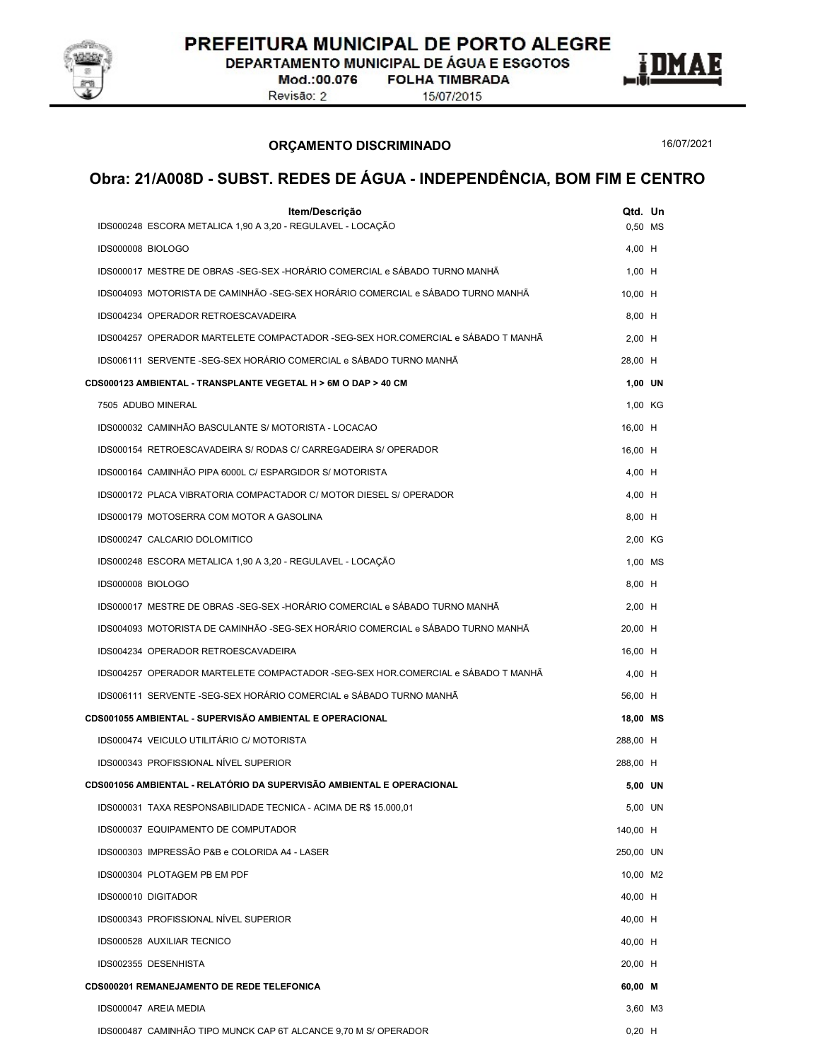

DEPARTAMENTO MUNICIPAL DE ÁGUA E ESGOTOS

Mod.:00.076 Revisão: 2

**FOLHA TIMBRADA** 

15/07/2015

ORÇAMENTO DISCRIMINADO

16/07/2021

E

| IDS000248 ESCORA METALICA 1,90 A 3,20 - REGULAVEL - LOCAÇÃO<br>0,50 MS<br>IDS000008 BIOLOGO<br>4,00 H<br>IDS000017 MESTRE DE OBRAS -SEG-SEX -HORÁRIO COMERCIAL e SÁBADO TURNO MANHÃ<br>$1,00$ H<br>IDS004093 MOTORISTA DE CAMINHÃO -SEG-SEX HORÁRIO COMERCIAL e SÁBADO TURNO MANHÃ<br>10,00 H<br>IDS004234 OPERADOR RETROESCAVADEIRA<br>8,00 H<br>IDS004257 OPERADOR MARTELETE COMPACTADOR -SEG-SEX HOR.COMERCIAL e SÁBADO T MANHÃ<br>$2,00$ H<br>IDS006111 SERVENTE -SEG-SEX HORÁRIO COMERCIAL e SÁBADO TURNO MANHÃ<br>28,00 H<br>CDS000123 AMBIENTAL - TRANSPLANTE VEGETAL H > 6M O DAP > 40 CM<br>1,00 UN<br>7505 ADUBO MINERAL<br>1,00 KG<br>IDS000032 CAMINHÃO BASCULANTE S/ MOTORISTA - LOCACAO<br>16,00 H<br>IDS000154 RETROESCAVADEIRA S/ RODAS C/ CARREGADEIRA S/ OPERADOR<br>16,00 H<br>IDS000164 CAMINHÃO PIPA 6000L C/ ESPARGIDOR S/ MOTORISTA<br>4,00 H<br>IDS000172 PLACA VIBRATORIA COMPACTADOR C/ MOTOR DIESEL S/ OPERADOR<br>4,00 H<br>8,00 H<br>IDS000179 MOTOSERRA COM MOTOR A GASOLINA<br>IDS000247 CALCARIO DOLOMITICO<br>2,00 KG<br>IDS000248 ESCORA METALICA 1,90 A 3,20 - REGULAVEL - LOCAÇÃO<br>1,00 MS<br>IDS000008 BIOLOGO<br>8,00 H<br>IDS000017 MESTRE DE OBRAS -SEG-SEX -HORÁRIO COMERCIAL e SÁBADO TURNO MANHÃ<br>$2,00$ H<br>IDS004093 MOTORISTA DE CAMINHÃO -SEG-SEX HORÁRIO COMERCIAL e SÁBADO TURNO MANHÃ<br>20,00 H<br>IDS004234 OPERADOR RETROESCAVADEIRA<br>16,00 H<br>IDS004257 OPERADOR MARTELETE COMPACTADOR -SEG-SEX HOR.COMERCIAL e SÁBADO T MANHÃ<br>4,00 H<br>IDS006111 SERVENTE -SEG-SEX HORÁRIO COMERCIAL e SÁBADO TURNO MANHÃ<br>56,00 H<br>CDS001055 AMBIENTAL - SUPERVISÃO AMBIENTAL E OPERACIONAL<br>18,00 MS<br>IDS000474 VEICULO UTILITÁRIO C/ MOTORISTA<br>288,00 H<br>IDS000343 PROFISSIONAL NÍVEL SUPERIOR<br>288,00 H<br>CDS001056 AMBIENTAL - RELATÓRIO DA SUPERVISÃO AMBIENTAL E OPERACIONAL<br>5,00 UN<br>5,00 UN<br>IDS000031 TAXA RESPONSABILIDADE TECNICA - ACIMA DE R\$ 15.000,01<br>140,00 H<br>IDS000037 EQUIPAMENTO DE COMPUTADOR<br>IDS000303 IMPRESSÃO P&B e COLORIDA A4 - LASER<br>250,00 UN<br>IDS000304 PLOTAGEM PB EM PDF<br>10,00 M2<br>IDS000010 DIGITADOR<br>40,00 H<br>IDS000343 PROFISSIONAL NÍVEL SUPERIOR<br>40,00 H<br>IDS000528 AUXILIAR TECNICO<br>40,00 H<br>IDS002355 DESENHISTA<br>20,00 H<br>CDS000201 REMANEJAMENTO DE REDE TELEFONICA<br>60,00 M<br>IDS000047 AREIA MEDIA<br>3,60 M3<br>$0,20$ H | Item/Descrição                                                  | Qtd. Un |  |
|-------------------------------------------------------------------------------------------------------------------------------------------------------------------------------------------------------------------------------------------------------------------------------------------------------------------------------------------------------------------------------------------------------------------------------------------------------------------------------------------------------------------------------------------------------------------------------------------------------------------------------------------------------------------------------------------------------------------------------------------------------------------------------------------------------------------------------------------------------------------------------------------------------------------------------------------------------------------------------------------------------------------------------------------------------------------------------------------------------------------------------------------------------------------------------------------------------------------------------------------------------------------------------------------------------------------------------------------------------------------------------------------------------------------------------------------------------------------------------------------------------------------------------------------------------------------------------------------------------------------------------------------------------------------------------------------------------------------------------------------------------------------------------------------------------------------------------------------------------------------------------------------------------------------------------------------------------------------------------------------------------------------------------------------------------------------------------------------------------------------------------------------------------------------------------------------------------------------------------------------------------------------------------------------------------------------------------------------------------------------------------------------|-----------------------------------------------------------------|---------|--|
|                                                                                                                                                                                                                                                                                                                                                                                                                                                                                                                                                                                                                                                                                                                                                                                                                                                                                                                                                                                                                                                                                                                                                                                                                                                                                                                                                                                                                                                                                                                                                                                                                                                                                                                                                                                                                                                                                                                                                                                                                                                                                                                                                                                                                                                                                                                                                                                           |                                                                 |         |  |
|                                                                                                                                                                                                                                                                                                                                                                                                                                                                                                                                                                                                                                                                                                                                                                                                                                                                                                                                                                                                                                                                                                                                                                                                                                                                                                                                                                                                                                                                                                                                                                                                                                                                                                                                                                                                                                                                                                                                                                                                                                                                                                                                                                                                                                                                                                                                                                                           |                                                                 |         |  |
|                                                                                                                                                                                                                                                                                                                                                                                                                                                                                                                                                                                                                                                                                                                                                                                                                                                                                                                                                                                                                                                                                                                                                                                                                                                                                                                                                                                                                                                                                                                                                                                                                                                                                                                                                                                                                                                                                                                                                                                                                                                                                                                                                                                                                                                                                                                                                                                           |                                                                 |         |  |
|                                                                                                                                                                                                                                                                                                                                                                                                                                                                                                                                                                                                                                                                                                                                                                                                                                                                                                                                                                                                                                                                                                                                                                                                                                                                                                                                                                                                                                                                                                                                                                                                                                                                                                                                                                                                                                                                                                                                                                                                                                                                                                                                                                                                                                                                                                                                                                                           |                                                                 |         |  |
|                                                                                                                                                                                                                                                                                                                                                                                                                                                                                                                                                                                                                                                                                                                                                                                                                                                                                                                                                                                                                                                                                                                                                                                                                                                                                                                                                                                                                                                                                                                                                                                                                                                                                                                                                                                                                                                                                                                                                                                                                                                                                                                                                                                                                                                                                                                                                                                           |                                                                 |         |  |
|                                                                                                                                                                                                                                                                                                                                                                                                                                                                                                                                                                                                                                                                                                                                                                                                                                                                                                                                                                                                                                                                                                                                                                                                                                                                                                                                                                                                                                                                                                                                                                                                                                                                                                                                                                                                                                                                                                                                                                                                                                                                                                                                                                                                                                                                                                                                                                                           |                                                                 |         |  |
|                                                                                                                                                                                                                                                                                                                                                                                                                                                                                                                                                                                                                                                                                                                                                                                                                                                                                                                                                                                                                                                                                                                                                                                                                                                                                                                                                                                                                                                                                                                                                                                                                                                                                                                                                                                                                                                                                                                                                                                                                                                                                                                                                                                                                                                                                                                                                                                           |                                                                 |         |  |
|                                                                                                                                                                                                                                                                                                                                                                                                                                                                                                                                                                                                                                                                                                                                                                                                                                                                                                                                                                                                                                                                                                                                                                                                                                                                                                                                                                                                                                                                                                                                                                                                                                                                                                                                                                                                                                                                                                                                                                                                                                                                                                                                                                                                                                                                                                                                                                                           |                                                                 |         |  |
|                                                                                                                                                                                                                                                                                                                                                                                                                                                                                                                                                                                                                                                                                                                                                                                                                                                                                                                                                                                                                                                                                                                                                                                                                                                                                                                                                                                                                                                                                                                                                                                                                                                                                                                                                                                                                                                                                                                                                                                                                                                                                                                                                                                                                                                                                                                                                                                           |                                                                 |         |  |
|                                                                                                                                                                                                                                                                                                                                                                                                                                                                                                                                                                                                                                                                                                                                                                                                                                                                                                                                                                                                                                                                                                                                                                                                                                                                                                                                                                                                                                                                                                                                                                                                                                                                                                                                                                                                                                                                                                                                                                                                                                                                                                                                                                                                                                                                                                                                                                                           |                                                                 |         |  |
|                                                                                                                                                                                                                                                                                                                                                                                                                                                                                                                                                                                                                                                                                                                                                                                                                                                                                                                                                                                                                                                                                                                                                                                                                                                                                                                                                                                                                                                                                                                                                                                                                                                                                                                                                                                                                                                                                                                                                                                                                                                                                                                                                                                                                                                                                                                                                                                           |                                                                 |         |  |
|                                                                                                                                                                                                                                                                                                                                                                                                                                                                                                                                                                                                                                                                                                                                                                                                                                                                                                                                                                                                                                                                                                                                                                                                                                                                                                                                                                                                                                                                                                                                                                                                                                                                                                                                                                                                                                                                                                                                                                                                                                                                                                                                                                                                                                                                                                                                                                                           |                                                                 |         |  |
|                                                                                                                                                                                                                                                                                                                                                                                                                                                                                                                                                                                                                                                                                                                                                                                                                                                                                                                                                                                                                                                                                                                                                                                                                                                                                                                                                                                                                                                                                                                                                                                                                                                                                                                                                                                                                                                                                                                                                                                                                                                                                                                                                                                                                                                                                                                                                                                           |                                                                 |         |  |
|                                                                                                                                                                                                                                                                                                                                                                                                                                                                                                                                                                                                                                                                                                                                                                                                                                                                                                                                                                                                                                                                                                                                                                                                                                                                                                                                                                                                                                                                                                                                                                                                                                                                                                                                                                                                                                                                                                                                                                                                                                                                                                                                                                                                                                                                                                                                                                                           |                                                                 |         |  |
|                                                                                                                                                                                                                                                                                                                                                                                                                                                                                                                                                                                                                                                                                                                                                                                                                                                                                                                                                                                                                                                                                                                                                                                                                                                                                                                                                                                                                                                                                                                                                                                                                                                                                                                                                                                                                                                                                                                                                                                                                                                                                                                                                                                                                                                                                                                                                                                           |                                                                 |         |  |
|                                                                                                                                                                                                                                                                                                                                                                                                                                                                                                                                                                                                                                                                                                                                                                                                                                                                                                                                                                                                                                                                                                                                                                                                                                                                                                                                                                                                                                                                                                                                                                                                                                                                                                                                                                                                                                                                                                                                                                                                                                                                                                                                                                                                                                                                                                                                                                                           |                                                                 |         |  |
|                                                                                                                                                                                                                                                                                                                                                                                                                                                                                                                                                                                                                                                                                                                                                                                                                                                                                                                                                                                                                                                                                                                                                                                                                                                                                                                                                                                                                                                                                                                                                                                                                                                                                                                                                                                                                                                                                                                                                                                                                                                                                                                                                                                                                                                                                                                                                                                           |                                                                 |         |  |
|                                                                                                                                                                                                                                                                                                                                                                                                                                                                                                                                                                                                                                                                                                                                                                                                                                                                                                                                                                                                                                                                                                                                                                                                                                                                                                                                                                                                                                                                                                                                                                                                                                                                                                                                                                                                                                                                                                                                                                                                                                                                                                                                                                                                                                                                                                                                                                                           |                                                                 |         |  |
|                                                                                                                                                                                                                                                                                                                                                                                                                                                                                                                                                                                                                                                                                                                                                                                                                                                                                                                                                                                                                                                                                                                                                                                                                                                                                                                                                                                                                                                                                                                                                                                                                                                                                                                                                                                                                                                                                                                                                                                                                                                                                                                                                                                                                                                                                                                                                                                           |                                                                 |         |  |
|                                                                                                                                                                                                                                                                                                                                                                                                                                                                                                                                                                                                                                                                                                                                                                                                                                                                                                                                                                                                                                                                                                                                                                                                                                                                                                                                                                                                                                                                                                                                                                                                                                                                                                                                                                                                                                                                                                                                                                                                                                                                                                                                                                                                                                                                                                                                                                                           |                                                                 |         |  |
|                                                                                                                                                                                                                                                                                                                                                                                                                                                                                                                                                                                                                                                                                                                                                                                                                                                                                                                                                                                                                                                                                                                                                                                                                                                                                                                                                                                                                                                                                                                                                                                                                                                                                                                                                                                                                                                                                                                                                                                                                                                                                                                                                                                                                                                                                                                                                                                           |                                                                 |         |  |
|                                                                                                                                                                                                                                                                                                                                                                                                                                                                                                                                                                                                                                                                                                                                                                                                                                                                                                                                                                                                                                                                                                                                                                                                                                                                                                                                                                                                                                                                                                                                                                                                                                                                                                                                                                                                                                                                                                                                                                                                                                                                                                                                                                                                                                                                                                                                                                                           |                                                                 |         |  |
|                                                                                                                                                                                                                                                                                                                                                                                                                                                                                                                                                                                                                                                                                                                                                                                                                                                                                                                                                                                                                                                                                                                                                                                                                                                                                                                                                                                                                                                                                                                                                                                                                                                                                                                                                                                                                                                                                                                                                                                                                                                                                                                                                                                                                                                                                                                                                                                           |                                                                 |         |  |
|                                                                                                                                                                                                                                                                                                                                                                                                                                                                                                                                                                                                                                                                                                                                                                                                                                                                                                                                                                                                                                                                                                                                                                                                                                                                                                                                                                                                                                                                                                                                                                                                                                                                                                                                                                                                                                                                                                                                                                                                                                                                                                                                                                                                                                                                                                                                                                                           |                                                                 |         |  |
|                                                                                                                                                                                                                                                                                                                                                                                                                                                                                                                                                                                                                                                                                                                                                                                                                                                                                                                                                                                                                                                                                                                                                                                                                                                                                                                                                                                                                                                                                                                                                                                                                                                                                                                                                                                                                                                                                                                                                                                                                                                                                                                                                                                                                                                                                                                                                                                           |                                                                 |         |  |
|                                                                                                                                                                                                                                                                                                                                                                                                                                                                                                                                                                                                                                                                                                                                                                                                                                                                                                                                                                                                                                                                                                                                                                                                                                                                                                                                                                                                                                                                                                                                                                                                                                                                                                                                                                                                                                                                                                                                                                                                                                                                                                                                                                                                                                                                                                                                                                                           |                                                                 |         |  |
|                                                                                                                                                                                                                                                                                                                                                                                                                                                                                                                                                                                                                                                                                                                                                                                                                                                                                                                                                                                                                                                                                                                                                                                                                                                                                                                                                                                                                                                                                                                                                                                                                                                                                                                                                                                                                                                                                                                                                                                                                                                                                                                                                                                                                                                                                                                                                                                           |                                                                 |         |  |
|                                                                                                                                                                                                                                                                                                                                                                                                                                                                                                                                                                                                                                                                                                                                                                                                                                                                                                                                                                                                                                                                                                                                                                                                                                                                                                                                                                                                                                                                                                                                                                                                                                                                                                                                                                                                                                                                                                                                                                                                                                                                                                                                                                                                                                                                                                                                                                                           |                                                                 |         |  |
|                                                                                                                                                                                                                                                                                                                                                                                                                                                                                                                                                                                                                                                                                                                                                                                                                                                                                                                                                                                                                                                                                                                                                                                                                                                                                                                                                                                                                                                                                                                                                                                                                                                                                                                                                                                                                                                                                                                                                                                                                                                                                                                                                                                                                                                                                                                                                                                           |                                                                 |         |  |
|                                                                                                                                                                                                                                                                                                                                                                                                                                                                                                                                                                                                                                                                                                                                                                                                                                                                                                                                                                                                                                                                                                                                                                                                                                                                                                                                                                                                                                                                                                                                                                                                                                                                                                                                                                                                                                                                                                                                                                                                                                                                                                                                                                                                                                                                                                                                                                                           |                                                                 |         |  |
|                                                                                                                                                                                                                                                                                                                                                                                                                                                                                                                                                                                                                                                                                                                                                                                                                                                                                                                                                                                                                                                                                                                                                                                                                                                                                                                                                                                                                                                                                                                                                                                                                                                                                                                                                                                                                                                                                                                                                                                                                                                                                                                                                                                                                                                                                                                                                                                           |                                                                 |         |  |
|                                                                                                                                                                                                                                                                                                                                                                                                                                                                                                                                                                                                                                                                                                                                                                                                                                                                                                                                                                                                                                                                                                                                                                                                                                                                                                                                                                                                                                                                                                                                                                                                                                                                                                                                                                                                                                                                                                                                                                                                                                                                                                                                                                                                                                                                                                                                                                                           |                                                                 |         |  |
|                                                                                                                                                                                                                                                                                                                                                                                                                                                                                                                                                                                                                                                                                                                                                                                                                                                                                                                                                                                                                                                                                                                                                                                                                                                                                                                                                                                                                                                                                                                                                                                                                                                                                                                                                                                                                                                                                                                                                                                                                                                                                                                                                                                                                                                                                                                                                                                           |                                                                 |         |  |
|                                                                                                                                                                                                                                                                                                                                                                                                                                                                                                                                                                                                                                                                                                                                                                                                                                                                                                                                                                                                                                                                                                                                                                                                                                                                                                                                                                                                                                                                                                                                                                                                                                                                                                                                                                                                                                                                                                                                                                                                                                                                                                                                                                                                                                                                                                                                                                                           |                                                                 |         |  |
|                                                                                                                                                                                                                                                                                                                                                                                                                                                                                                                                                                                                                                                                                                                                                                                                                                                                                                                                                                                                                                                                                                                                                                                                                                                                                                                                                                                                                                                                                                                                                                                                                                                                                                                                                                                                                                                                                                                                                                                                                                                                                                                                                                                                                                                                                                                                                                                           |                                                                 |         |  |
|                                                                                                                                                                                                                                                                                                                                                                                                                                                                                                                                                                                                                                                                                                                                                                                                                                                                                                                                                                                                                                                                                                                                                                                                                                                                                                                                                                                                                                                                                                                                                                                                                                                                                                                                                                                                                                                                                                                                                                                                                                                                                                                                                                                                                                                                                                                                                                                           |                                                                 |         |  |
|                                                                                                                                                                                                                                                                                                                                                                                                                                                                                                                                                                                                                                                                                                                                                                                                                                                                                                                                                                                                                                                                                                                                                                                                                                                                                                                                                                                                                                                                                                                                                                                                                                                                                                                                                                                                                                                                                                                                                                                                                                                                                                                                                                                                                                                                                                                                                                                           | IDS000487 CAMINHÃO TIPO MUNCK CAP 6T ALCANCE 9,70 M S/ OPERADOR |         |  |